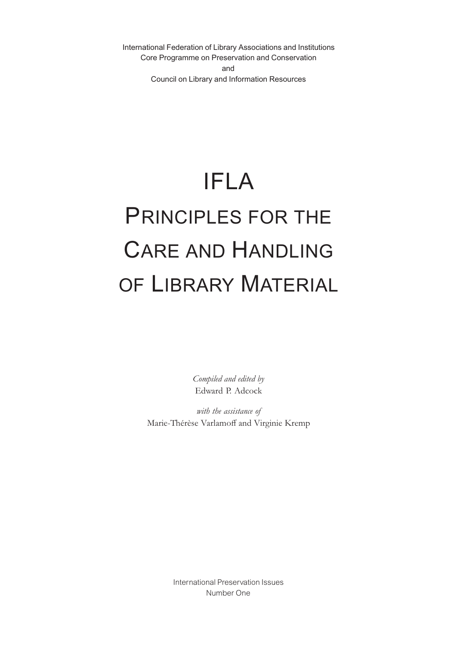International Federation of Library Associations and Institutions Core Programme on Preservation and Conservation and Council on Library and Information Resources

# IFLA PRINCIPLES FOR THE CARE AND HANDLING OF LIBRARY MATERIAL

*Compiled and edited by* Edward P. Adcock

*with the assistance of* Marie-Thérèse Varlamoff and Virginie Kremp

> International Preservation Issues Number One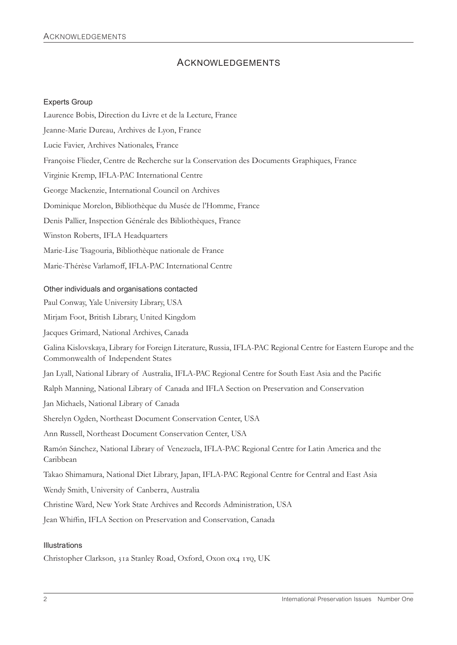## ACKNOWLEDGEMENTS

#### Experts Group

Laurence Bobis, Direction du Livre et de la Lecture, France Jeanne-Marie Dureau, Archives de Lyon, France Lucie Favier, Archives Nationales, France Françoise Flieder, Centre de Recherche sur la Conservation des Documents Graphiques, France Virginie Kremp, IFLA-PAC International Centre George Mackenzie, International Council on Archives Dominique Morelon, Bibliothèque du Musée de l'Homme, France Denis Pallier, Inspection Générale des Bibliothèques, France Winston Roberts, IFLA Headquarters Marie-Lise Tsagouria, Bibliothèque nationale de France Marie-Thérèse Varlamoff, IFLA-PAC International Centre

#### Other individuals and organisations contacted

Paul Conway, Yale University Library, USA Mirjam Foot, British Library, United Kingdom Jacques Grimard, National Archives, Canada Galina Kislovskaya, Library for Foreign Literature, Russia, IFLA-PAC Regional Centre for Eastern Europe and the Commonwealth of Independent States Jan Lyall, National Library of Australia, IFLA-PAC Regional Centre for South East Asia and the Pacific Ralph Manning, National Library of Canada and IFLA Section on Preservation and Conservation Jan Michaels, National Library of Canada Sherelyn Ogden, Northeast Document Conservation Center, USA Ann Russell, Northeast Document Conservation Center, USA Ramón Sánchez, National Library of Venezuela, IFLA-PAC Regional Centre for Latin America and the Caribbean Takao Shimamura, National Diet Library, Japan, IFLA-PAC Regional Centre for Central and East Asia Wendy Smith, University of Canberra, Australia Christine Ward, New York State Archives and Records Administration, USA Jean Whiffin, IFLA Section on Preservation and Conservation, Canada

#### Illustrations

Christopher Clarkson, 31a Stanley Road, Oxford, Oxon 0x4 1YQ, UK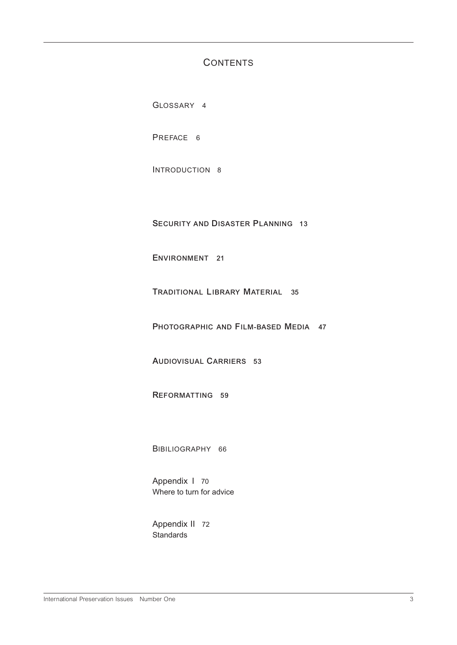## **CONTENTS**

GLOSSARY 4

PREFACE 6

INTRODUCTION 8

**SECURITY AND DISASTER PLANNING 13**

**ENVIRONMENT 21**

**TRADITIONAL LIBRARY MATERIAL 35**

**PHOTOGRAPHIC AND FILM-BASED MEDIA 47**

**AUDIOVISUAL CARRIERS 53**

**REFORMATTING 59**

BIBILIOGRAPHY 66

Appendix I 70 Where to turn for advice

Appendix II 72 **Standards**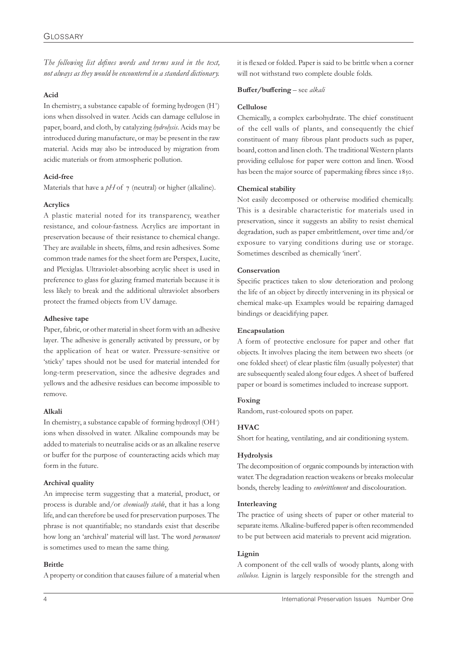*The following list defines words and terms used in the text, not always as they would be encountered in a standard dictionary.*

#### **Acid**

In chemistry, a substance capable of forming hydrogen  $(H^+)$ ions when dissolved in water. Acids can damage cellulose in paper, board, and cloth, by catalyzing *hydrolysis*. Acids may be introduced during manufacture, or may be present in the raw material. Acids may also be introduced by migration from acidic materials or from atmospheric pollution.

#### **Acid-free**

Materials that have a  $pH$  of  $\tau$  (neutral) or higher (alkaline).

#### **Acrylics**

A plastic material noted for its transparency, weather resistance, and colour-fastness. Acrylics are important in preservation because of their resistance to chemical change. They are available in sheets, films, and resin adhesives. Some common trade names for the sheet form are Perspex, Lucite, and Plexiglas. Ultraviolet-absorbing acrylic sheet is used in preference to glass for glazing framed materials because it is less likely to break and the additional ultraviolet absorbers protect the framed objects from UV damage.

#### **Adhesive tape**

Paper, fabric, or other material in sheet form with an adhesive layer. The adhesive is generally activated by pressure, or by the application of heat or water. Pressure-sensitive or 'sticky' tapes should not be used for material intended for long-term preservation, since the adhesive degrades and yellows and the adhesive residues can become impossible to remove.

#### **Alkali**

In chemistry, a substance capable of forming hydroxyl (OH– ) ions when dissolved in water. Alkaline compounds may be added to materials to neutralise acids or as an alkaline reserve or buffer for the purpose of counteracting acids which may form in the future.

#### **Archival quality**

An imprecise term suggesting that a material, product, or process is durable and/or *chemically stable*, that it has a long life, and can therefore be used for preservation purposes. The phrase is not quantifiable; no standards exist that describe how long an 'archival' material will last. The word *permanent* is sometimes used to mean the same thing.

#### **Brittle**

A property or condition that causes failure of a material when

it is flexed or folded. Paper is said to be brittle when a corner will not withstand two complete double folds.

#### **Buffer/buffering** – see *alkali*

#### **Cellulose**

Chemically, a complex carbohydrate. The chief constituent of the cell walls of plants, and consequently the chief constituent of many fibrous plant products such as paper, board, cotton and linen cloth. The traditional Western plants providing cellulose for paper were cotton and linen. Wood has been the major source of papermaking fibres since 1850.

#### **Chemical stability**

Not easily decomposed or otherwise modified chemically. This is a desirable characteristic for materials used in preservation, since it suggests an ability to resist chemical degradation, such as paper embrittlement, over time and/or exposure to varying conditions during use or storage. Sometimes described as chemically 'inert'.

#### **Conservation**

Specific practices taken to slow deterioration and prolong the life of an object by directly intervening in its physical or chemical make-up. Examples would be repairing damaged bindings or deacidifying paper.

#### **Encapsulation**

A form of protective enclosure for paper and other flat objects. It involves placing the item between two sheets (or one folded sheet) of clear plastic film (usually polyester) that are subsequently sealed along four edges. A sheet of buffered paper or board is sometimes included to increase support.

#### **Foxing**

Random, rust-coloured spots on paper.

#### **HVAC**

Short for heating, ventilating, and air conditioning system.

#### **Hydrolysis**

The decomposition of organic compounds by interaction with water. The degradation reaction weakens or breaks molecular bonds, thereby leading to *embrittlement* and discolouration.

#### **Interleaving**

The practice of using sheets of paper or other material to separate items. Alkaline-buffered paper is often recommended to be put between acid materials to prevent acid migration.

#### **Lignin**

A component of the cell walls of woody plants, along with *cellulose*. Lignin is largely responsible for the strength and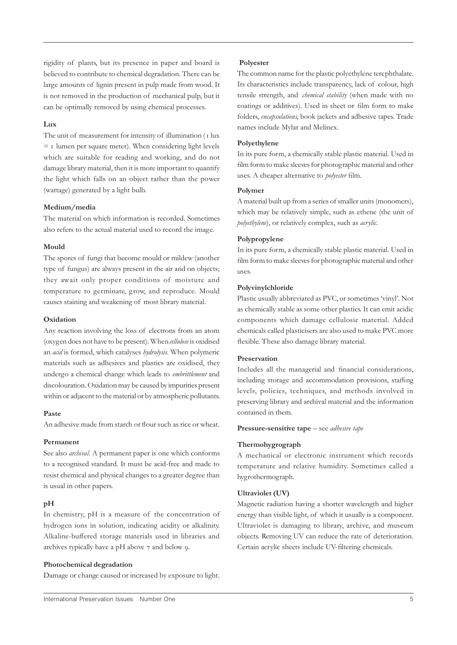rigidity of plants, but its presence in paper and board is believed to contribute to chemical degradation. There can be large amounts of lignin present in pulp made from wood. It is not removed in the production of mechanical pulp, but it can be optimally removed by using chemical processes.

#### **Lux**

The unit of measurement for intensity of illumination (1 lux  $=$  1 lumen per square meter). When considering light levels which are suitable for reading and working, and do not damage library material, then it is more important to quantify the light which falls on an object rather than the power (wattage) generated by a light bulb.

#### **Medium/media**

The material on which information is recorded. Sometimes also refers to the actual material used to record the image.

#### **Mould**

The spores of fungi that become mould or mildew (another type of fungus) are always present in the air and on objects; they await only proper conditions of moisture and temperature to germinate, grow, and reproduce. Mould causes staining and weakening of most library material.

#### **Oxidation**

Any reaction involving the loss of electrons from an atom (oxygen does not have to be present). When *cellulose* is oxidised an *acid* is formed, which catalyses *hydrolysis*. When polymeric materials such as adhesives and plastics are oxidised, they undergo a chemical change which leads to *embrittlement* and discolouration. Oxidation may be caused by impurities present within or adjacent to the material or by atmospheric pollutants.

#### **Paste**

An adhesive made from starch or flour such as rice or wheat.

#### **Permanent**

See also *archival*. A permanent paper is one which conforms to a recognised standard. It must be acid-free and made to resist chemical and physical changes to a greater degree than is usual in other papers.

#### **pH**

In chemistry, pH is a measure of the concentration of hydrogen ions in solution, indicating acidity or alkalinity. Alkaline-buffered storage materials used in libraries and archives typically have a pH above 7 and below 9.

#### **Photochemical degradation**

Damage or change caused or increased by exposure to light.

#### **Polyester**

The common name for the plastic polyethylene terephthalate. Its characteristics include transparency, lack of colour, high tensile strength, and *chemical stability* (when made with no coatings or additives). Used in sheet or film form to make folders, *encapsulations*, book jackets and adhesive tapes. Trade names include Mylar and Melinex.

#### **Polyethylene**

In its pure form, a chemically stable plastic material. Used in film form to make sleeves for photographic material and other uses. A cheaper alternative to *polyester* film.

#### **Polymer**

A material built up from a series of smaller units (monomers), which may be relatively simple, such as ethene (the unit of *polyethylene*), or relatively complex, such as *acrylic*.

#### **Polypropylene**

In its pure form, a chemically stable plastic material. Used in film form to make sleeves for photographic material and other uses.

#### **Polyvinylchloride**

Plastic usually abbreviated as PVC, or sometimes 'vinyl'. Not as chemically stable as some other plastics. It can emit acidic components which damage cellulosic material. Added chemicals called plasticisers are also used to make PVC more flexible. These also damage library material.

#### **Preservation**

Includes all the managerial and financial considerations, including storage and accommodation provisions, staffing levels, policies, techniques, and methods involved in preserving library and archival material and the information contained in them.

#### **Pressure-sensitive tape** – see *adhesive tape*

#### **Thermohygrograph**

A mechanical or electronic instrument which records temperature and relative humidity. Sometimes called a hygrothermograph.

#### **Ultraviolet (UV)**

Magnetic radiation having a shorter wavelength and higher energy than visible light, of which it usually is a component. Ultraviolet is damaging to library, archive, and museum objects. Removing UV can reduce the rate of deterioration. Certain acrylic sheets include UV-filtering chemicals.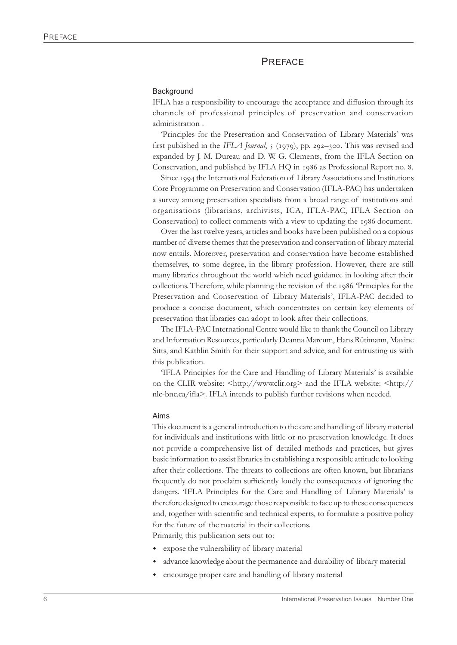#### PREFACE

#### **Background**

IFLA has a responsibility to encourage the acceptance and diffusion through its channels of professional principles of preservation and conservation administration .

'Principles for the Preservation and Conservation of Library Materials' was first published in the *IFLA Journal*,  $\frac{1}{2}$  (1979), pp. 292–300. This was revised and expanded by J. M. Dureau and D. W. G. Clements, from the IFLA Section on Conservation, and published by IFLA HQ in 1986 as Professional Report no. 8.

Since 1994 the International Federation of Library Associations and Institutions Core Programme on Preservation and Conservation (IFLA-PAC) has undertaken a survey among preservation specialists from a broad range of institutions and organisations (librarians, archivists, ICA, IFLA-PAC, IFLA Section on Conservation) to collect comments with a view to updating the 1986 document.

Over the last twelve years, articles and books have been published on a copious number of diverse themes that the preservation and conservation of library material now entails. Moreover, preservation and conservation have become established themselves, to some degree, in the library profession. However, there are still many libraries throughout the world which need guidance in looking after their collections. Therefore, while planning the revision of the 1986 'Principles for the Preservation and Conservation of Library Materials', IFLA-PAC decided to produce a concise document, which concentrates on certain key elements of preservation that libraries can adopt to look after their collections.

The IFLA-PAC International Centre would like to thank the Council on Library and Information Resources, particularly Deanna Marcum, Hans Rütimann, Maxine Sitts, and Kathlin Smith for their support and advice, and for entrusting us with this publication.

'IFLA Principles for the Care and Handling of Library Materials' is available on the CLIR website: <http://www.clir.org> and the IFLA website: <http:// nlc-bnc.ca/ifla>. IFLA intends to publish further revisions when needed.

#### Aims

This document is a general introduction to the care and handling of library material for individuals and institutions with little or no preservation knowledge. It does not provide a comprehensive list of detailed methods and practices, but gives basic information to assist libraries in establishing a responsible attitude to looking after their collections. The threats to collections are often known, but librarians frequently do not proclaim sufficiently loudly the consequences of ignoring the dangers. 'IFLA Principles for the Care and Handling of Library Materials' is therefore designed to encourage those responsible to face up to these consequences and, together with scientific and technical experts, to formulate a positive policy for the future of the material in their collections.

Primarily, this publication sets out to:

- expose the vulnerability of library material
- advance knowledge about the permanence and durability of library material
- encourage proper care and handling of library material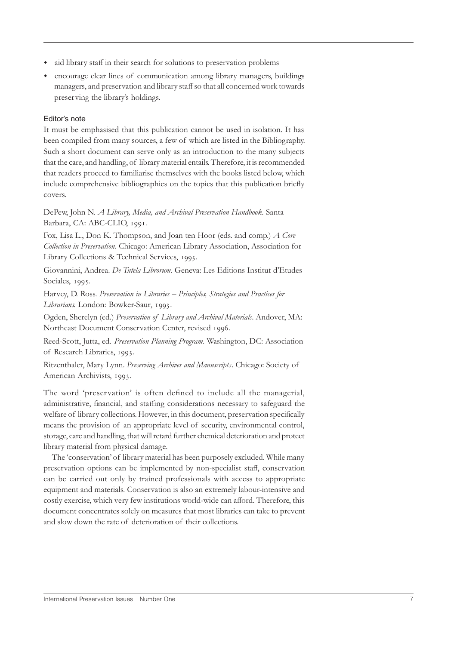- ightharpoonup and library staff in their search for solutions to preservation problems
- w encourage clear lines of communication among library managers, buildings managers, and preservation and library staff so that all concerned work towards preserving the library's holdings.

#### Editor's note

It must be emphasised that this publication cannot be used in isolation. It has been compiled from many sources, a few of which are listed in the Bibliography. Such a short document can serve only as an introduction to the many subjects that the care, and handling, of library material entails. Therefore, it is recommended that readers proceed to familiarise themselves with the books listed below, which include comprehensive bibliographies on the topics that this publication briefly covers.

DePew, John N. *A Library, Media, and Archival Preservation Handbook*. Santa Barbara, CA: ABC-CLIO, 1991.

Fox, Lisa L., Don K. Thompson, and Joan ten Hoor (eds. and comp.) *A Core Collection in Preservation*. Chicago: American Library Association, Association for Library Collections & Technical Services, 1993.

Giovannini, Andrea. *De Tutela Librorum*. Geneva: Les Editions Institut d'Etudes Sociales, 1995.

Harvey, D. Ross. *Preservation in Libraries – Principles, Strategies and Practices for* Librarians. London: Bowker-Saur, 1993.

Ogden, Sherelyn (ed.) *Preservation of Library and Archival Materials*. Andover, MA: Northeast Document Conservation Center, revised 1996.

Reed-Scott, Jutta, ed. *Preservation Planning Program*. Washington, DC: Association of Research Libraries, 1993.

Ritzenthaler, Mary Lynn. *Preserving Archives and Manuscripts*. Chicago: Society of American Archivists, 1993.

The word 'preservation' is often defined to include all the managerial, administrative, financial, and staffing considerations necessary to safeguard the welfare of library collections. However, in this document, preservation specifically means the provision of an appropriate level of security, environmental control, storage, care and handling, that will retard further chemical deterioration and protect library material from physical damage.

The 'conservation' of library material has been purposely excluded. While many preservation options can be implemented by non-specialist staff, conservation can be carried out only by trained professionals with access to appropriate equipment and materials. Conservation is also an extremely labour-intensive and costly exercise, which very few institutions world-wide can afford. Therefore, this document concentrates solely on measures that most libraries can take to prevent and slow down the rate of deterioration of their collections.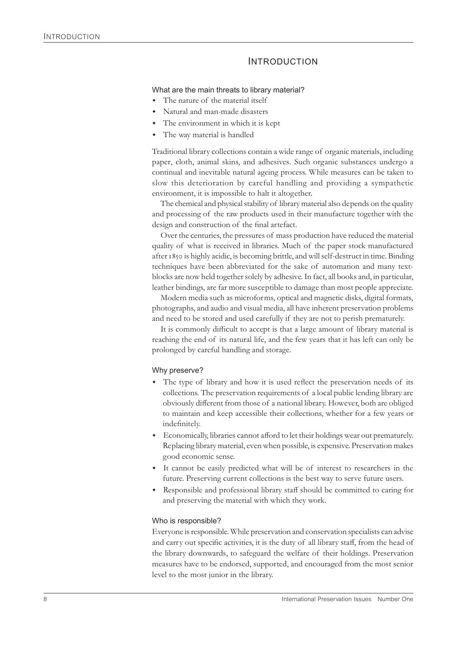## INTRODUCTION

#### What are the main threats to library material?

- $\bullet$  The nature of the material itself
- Natural and man-made disasters
- The environment in which it is kept
- The way material is handled

Traditional library collections contain a wide range of organic materials, including paper, cloth, animal skins, and adhesives. Such organic substances undergo a continual and inevitable natural ageing process. While measures can be taken to slow this deterioration by careful handling and providing a sympathetic environment, it is impossible to halt it altogether.

The chemical and physical stability of library material also depends on the quality and processing of the raw products used in their manufacture together with the design and construction of the final artefact.

Over the centuries, the pressures of mass production have reduced the material quality of what is received in libraries. Much of the paper stock manufactured after 1850 is highly acidic, is becoming brittle, and will self-destruct in time. Binding techniques have been abbreviated for the sake of automation and many textblocks are now held together solely by adhesive. In fact, all books and, in particular, leather bindings, are far more susceptible to damage than most people appreciate.

Modern media such as microforms, optical and magnetic disks, digital formats, photographs, and audio and visual media, all have inherent preservation problems and need to be stored and used carefully if they are not to perish prematurely.

It is commonly difficult to accept is that a large amount of library material is reaching the end of its natural life, and the few years that it has left can only be prolonged by careful handling and storage.

#### Why preserve?

- The type of library and how it is used reflect the preservation needs of its collections. The preservation requirements of a local public lending library are obviously different from those of a national library. However, both are obliged to maintain and keep accessible their collections, whether for a few years or indefinitely.
- w Economically, libraries cannot afford to let their holdings wear out prematurely. Replacing library material, even when possible, is expensive. Preservation makes good economic sense.
- It cannot be easily predicted what will be of interest to researchers in the future. Preserving current collections is the best way to serve future users.
- Responsible and professional library staff should be committed to caring for and preserving the material with which they work.

#### Who is responsible?

Everyone is responsible. While preservation and conservation specialists can advise and carry out specific activities, it is the duty of all library staff, from the head of the library downwards, to safeguard the welfare of their holdings. Preservation measures have to be endorsed, supported, and encouraged from the most senior level to the most junior in the library.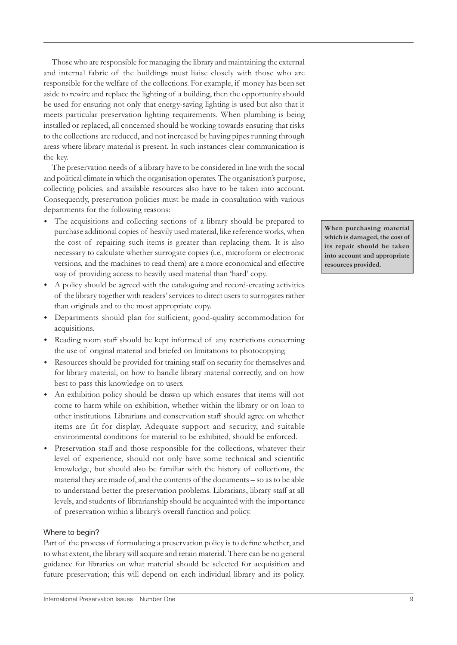Those who are responsible for managing the library and maintaining the external and internal fabric of the buildings must liaise closely with those who are responsible for the welfare of the collections. For example, if money has been set aside to rewire and replace the lighting of a building, then the opportunity should be used for ensuring not only that energy-saving lighting is used but also that it meets particular preservation lighting requirements. When plumbing is being installed or replaced, all concerned should be working towards ensuring that risks to the collections are reduced, and not increased by having pipes running through areas where library material is present. In such instances clear communication is the key.

The preservation needs of a library have to be considered in line with the social and political climate in which the organisation operates. The organisation's purpose, collecting policies, and available resources also have to be taken into account. Consequently, preservation policies must be made in consultation with various departments for the following reasons:

- The acquisitions and collecting sections of a library should be prepared to purchase additional copies of heavily used material, like reference works, when the cost of repairing such items is greater than replacing them. It is also necessary to calculate whether surrogate copies (i.e., microform or electronic versions, and the machines to read them) are a more economical and effective way of providing access to heavily used material than 'hard' copy.
- w A policy should be agreed with the cataloguing and record-creating activities of the library together with readers' services to direct users to surrogates rather than originals and to the most appropriate copy.
- w Departments should plan for sufficient, good-quality accommodation for acquisitions.
- w Reading room staff should be kept informed of any restrictions concerning the use of original material and briefed on limitations to photocopying.
- w Resources should be provided for training staff on security for themselves and for library material, on how to handle library material correctly, and on how best to pass this knowledge on to users.
- An exhibition policy should be drawn up which ensures that items will not come to harm while on exhibition, whether within the library or on loan to other institutions. Librarians and conservation staff should agree on whether items are fit for display. Adequate support and security, and suitable environmental conditions for material to be exhibited, should be enforced.
- Preservation staff and those responsible for the collections, whatever their level of experience, should not only have some technical and scientific knowledge, but should also be familiar with the history of collections, the material they are made of, and the contents of the documents – so as to be able to understand better the preservation problems. Librarians, library staff at all levels, and students of librarianship should be acquainted with the importance of preservation within a library's overall function and policy.

#### Where to begin?

Part of the process of formulating a preservation policy is to define whether, and to what extent, the library will acquire and retain material. There can be no general guidance for libraries on what material should be selected for acquisition and future preservation; this will depend on each individual library and its policy.

**When purchasing material which is damaged, the cost of its repair should be taken into account and appropriate resources provided.**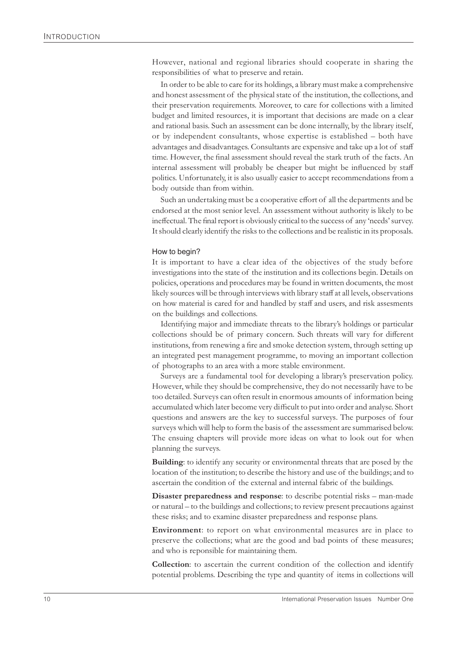However, national and regional libraries should cooperate in sharing the responsibilities of what to preserve and retain.

In order to be able to care for its holdings, a library must make a comprehensive and honest assessment of the physical state of the institution, the collections, and their preservation requirements. Moreover, to care for collections with a limited budget and limited resources, it is important that decisions are made on a clear and rational basis. Such an assessment can be done internally, by the library itself, or by independent consultants, whose expertise is established – both have advantages and disadvantages. Consultants are expensive and take up a lot of staff time. However, the final assessment should reveal the stark truth of the facts. An internal assessment will probably be cheaper but might be influenced by staff politics. Unfortunately, it is also usually easier to accept recommendations from a body outside than from within.

Such an undertaking must be a cooperative effort of all the departments and be endorsed at the most senior level. An assessment without authority is likely to be ineffectual. The final report is obviously critical to the success of any 'needs' survey. It should clearly identify the risks to the collections and be realistic in its proposals.

#### How to begin?

It is important to have a clear idea of the objectives of the study before investigations into the state of the institution and its collections begin. Details on policies, operations and procedures may be found in written documents, the most likely sources will be through interviews with library staff at all levels, observations on how material is cared for and handled by staff and users, and risk assesments on the buildings and collections.

Identifying major and immediate threats to the library's holdings or particular collections should be of primary concern. Such threats will vary for different institutions, from renewing a fire and smoke detection system, through setting up an integrated pest management programme, to moving an important collection of photographs to an area with a more stable environment.

Surveys are a fundamental tool for developing a library's preservation policy. However, while they should be comprehensive, they do not necessarily have to be too detailed. Surveys can often result in enormous amounts of information being accumulated which later become very difficult to put into order and analyse. Short questions and answers are the key to successful surveys. The purposes of four surveys which will help to form the basis of the assessment are summarised below. The ensuing chapters will provide more ideas on what to look out for when planning the surveys.

**Building**: to identify any security or environmental threats that are posed by the location of the institution; to describe the history and use of the buildings; and to ascertain the condition of the external and internal fabric of the buildings.

**Disaster preparedness and response**: to describe potential risks – man-made or natural – to the buildings and collections; to review present precautions against these risks; and to examine disaster preparedness and response plans.

**Environment**: to report on what environmental measures are in place to preserve the collections; what are the good and bad points of these measures; and who is reponsible for maintaining them.

**Collection**: to ascertain the current condition of the collection and identify potential problems. Describing the type and quantity of items in collections will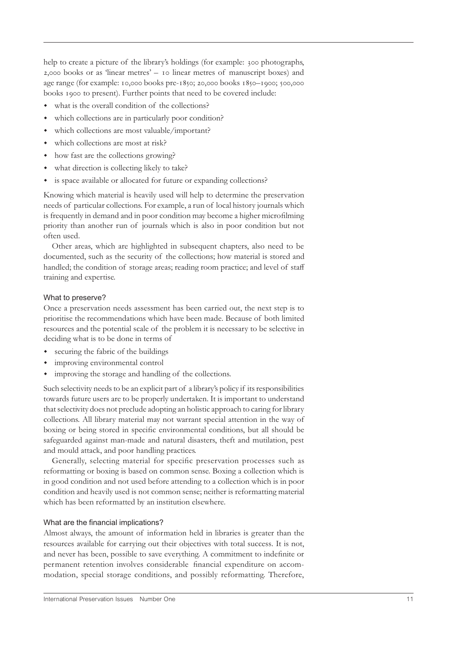help to create a picture of the library's holdings (for example: 300 photographs,  $2,000$  books or as 'linear metres' –  $10$  linear metres of manuscript boxes) and age range (for example: 10,000 books pre-1850; 20,000 books 1850-1900; 500,000 books 1900 to present). Further points that need to be covered include:

- $\bullet$  what is the overall condition of the collections?
- which collections are in particularly poor condition?
- which collections are most valuable/important?
- $\bullet$  which collections are most at risk?
- how fast are the collections growing?
- what direction is collecting likely to take?
- is space available or allocated for future or expanding collections?

Knowing which material is heavily used will help to determine the preservation needs of particular collections. For example, a run of local history journals which is frequently in demand and in poor condition may become a higher microfilming priority than another run of journals which is also in poor condition but not often used.

Other areas, which are highlighted in subsequent chapters, also need to be documented, such as the security of the collections; how material is stored and handled; the condition of storage areas; reading room practice; and level of staff training and expertise.

#### What to preserve?

Once a preservation needs assessment has been carried out, the next step is to prioritise the recommendations which have been made. Because of both limited resources and the potential scale of the problem it is necessary to be selective in deciding what is to be done in terms of

- securing the fabric of the buildings
- improving environmental control
- improving the storage and handling of the collections.

Such selectivity needs to be an explicit part of a library's policy if its responsibilities towards future users are to be properly undertaken. It is important to understand that selectivity does not preclude adopting an holistic approach to caring for library collections. All library material may not warrant special attention in the way of boxing or being stored in specific environmental conditions, but all should be safeguarded against man-made and natural disasters, theft and mutilation, pest and mould attack, and poor handling practices.

Generally, selecting material for specific preservation processes such as reformatting or boxing is based on common sense. Boxing a collection which is in good condition and not used before attending to a collection which is in poor condition and heavily used is not common sense; neither is reformatting material which has been reformatted by an institution elsewhere.

#### What are the financial implications?

Almost always, the amount of information held in libraries is greater than the resources available for carrying out their objectives with total success. It is not, and never has been, possible to save everything. A commitment to indefinite or permanent retention involves considerable financial expenditure on accommodation, special storage conditions, and possibly reformatting. Therefore,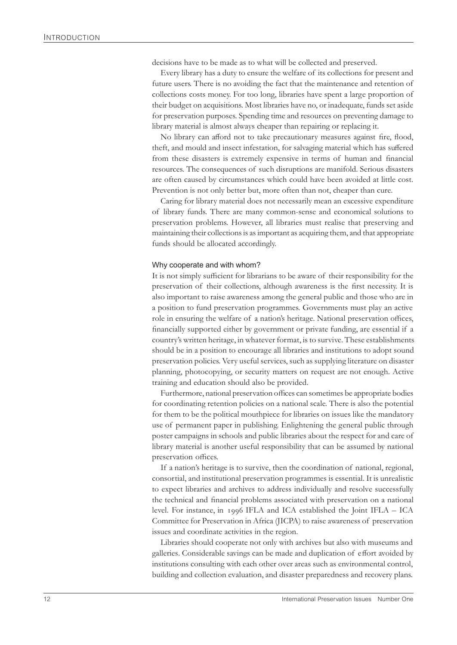decisions have to be made as to what will be collected and preserved.

Every library has a duty to ensure the welfare of its collections for present and future users. There is no avoiding the fact that the maintenance and retention of collections costs money. For too long, libraries have spent a large proportion of their budget on acquisitions. Most libraries have no, or inadequate, funds set aside for preservation purposes. Spending time and resources on preventing damage to library material is almost always cheaper than repairing or replacing it.

No library can afford not to take precautionary measures against fire, flood, theft, and mould and insect infestation, for salvaging material which has suffered from these disasters is extremely expensive in terms of human and financial resources. The consequences of such disruptions are manifold. Serious disasters are often caused by circumstances which could have been avoided at little cost. Prevention is not only better but, more often than not, cheaper than cure.

Caring for library material does not necessarily mean an excessive expenditure of library funds. There are many common-sense and economical solutions to preservation problems. However, all libraries must realise that preserving and maintaining their collections is as important as acquiring them, and that appropriate funds should be allocated accordingly.

#### Why cooperate and with whom?

It is not simply sufficient for librarians to be aware of their responsibility for the preservation of their collections, although awareness is the first necessity. It is also important to raise awareness among the general public and those who are in a position to fund preservation programmes. Governments must play an active role in ensuring the welfare of a nation's heritage. National preservation offices, financially supported either by government or private funding, are essential if a country's written heritage, in whatever format, is to survive. These establishments should be in a position to encourage all libraries and institutions to adopt sound preservation policies. Very useful services, such as supplying literature on disaster planning, photocopying, or security matters on request are not enough. Active training and education should also be provided.

Furthermore, national preservation offices can sometimes be appropriate bodies for coordinating retention policies on a national scale. There is also the potential for them to be the political mouthpiece for libraries on issues like the mandatory use of permanent paper in publishing. Enlightening the general public through poster campaigns in schools and public libraries about the respect for and care of library material is another useful responsibility that can be assumed by national preservation offices.

If a nation's heritage is to survive, then the coordination of national, regional, consortial, and institutional preservation programmes is essential. It is unrealistic to expect libraries and archives to address individually and resolve successfully the technical and financial problems associated with preservation on a national level. For instance, in IFLA and ICA established the Joint IFLA – ICA Committee for Preservation in Africa (JICPA) to raise awareness of preservation issues and coordinate activities in the region.

Libraries should cooperate not only with archives but also with museums and galleries. Considerable savings can be made and duplication of effort avoided by institutions consulting with each other over areas such as environmental control, building and collection evaluation, and disaster preparedness and recovery plans.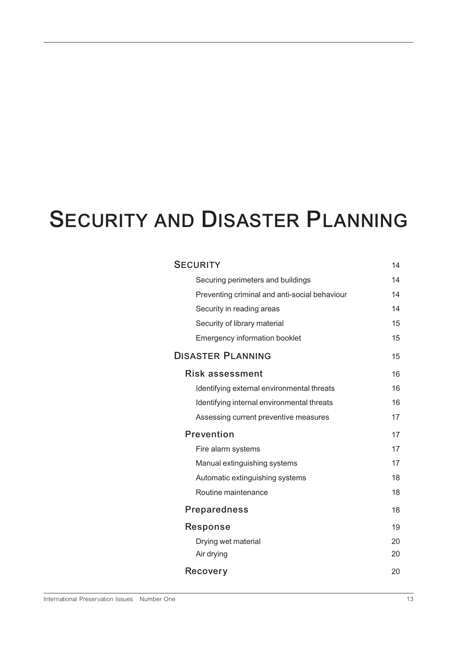## **SECURITY AND DISASTER PLANNING**

| <b>SECURITY</b>                               | 14 |
|-----------------------------------------------|----|
| Securing perimeters and buildings             | 14 |
| Preventing criminal and anti-social behaviour | 14 |
| Security in reading areas                     | 14 |
| Security of library material                  | 15 |
| <b>Emergency information booklet</b>          | 15 |
| <b>DISASTER PLANNING</b>                      | 15 |
| <b>Risk assessment</b>                        | 16 |
| Identifying external environmental threats    | 16 |
| Identifying internal environmental threats    | 16 |
| Assessing current preventive measures         | 17 |
| Prevention                                    |    |
| Fire alarm systems                            | 17 |
| Manual extinguishing systems                  | 17 |
| Automatic extinguishing systems               | 18 |
| Routine maintenance                           | 18 |
| <b>Preparedness</b>                           | 18 |
| Response                                      | 19 |
| Drying wet material                           | 20 |
| Air drying                                    | 20 |
| Recovery                                      | 20 |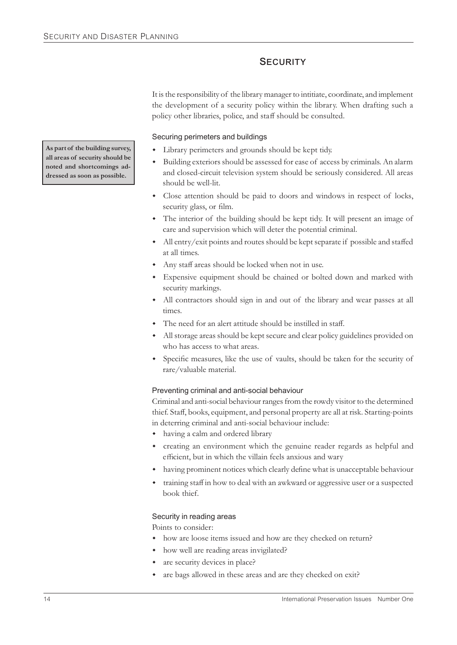## **SECURITY**

It is the responsibility of the library manager to intitiate, coordinate, and implement the development of a security policy within the library. When drafting such a policy other libraries, police, and staff should be consulted.

Securing perimeters and buildings

- Library perimeters and grounds should be kept tidy.
- Building exteriors should be assessed for ease of access by criminals. An alarm and closed-circuit television system should be seriously considered. All areas should be well-lit.
- Close attention should be paid to doors and windows in respect of locks, security glass, or film.
- The interior of the building should be kept tidy. It will present an image of care and supervision which will deter the potential criminal.
- w All entry/exit points and routes should be kept separate if possible and staffed at all times.
- Any staff areas should be locked when not in use.
- w Expensive equipment should be chained or bolted down and marked with security markings.
- All contractors should sign in and out of the library and wear passes at all times.
- The need for an alert attitude should be instilled in staff.
- All storage areas should be kept secure and clear policy guidelines provided on who has access to what areas.
- Specific measures, like the use of vaults, should be taken for the security of rare/valuable material.

#### Preventing criminal and anti-social behaviour

Criminal and anti-social behaviour ranges from the rowdy visitor to the determined thief. Staff, books, equipment, and personal property are all at risk. Starting-points in deterring criminal and anti-social behaviour include:

- having a calm and ordered library
- creating an environment which the genuine reader regards as helpful and efficient, but in which the villain feels anxious and wary
- having prominent notices which clearly define what is unacceptable behaviour
- training staff in how to deal with an awkward or aggressive user or a suspected book thief.

#### Security in reading areas

Points to consider:

- how are loose items issued and how are they checked on return?
- how well are reading areas invigilated?
- are security devices in place?
- are bags allowed in these areas and are they checked on exit?

**As part of the building survey, all areas of security should be noted and shortcomings addressed as soon as possible.**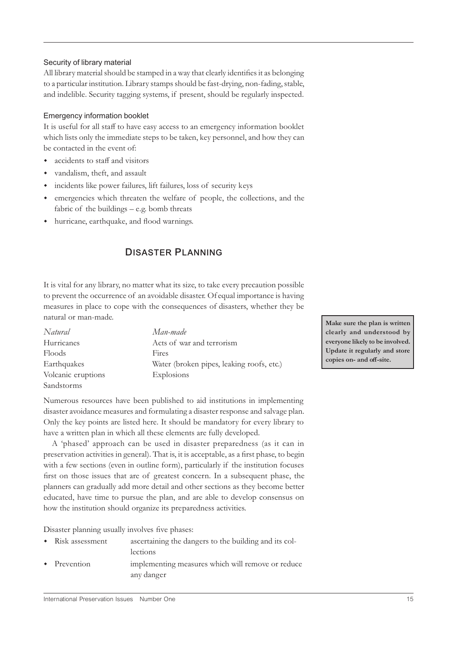#### Security of library material

All library material should be stamped in a way that clearly identifies it as belonging to a particular institution. Library stamps should be fast-drying, non-fading, stable, and indelible. Security tagging systems, if present, should be regularly inspected.

#### Emergency information booklet

It is useful for all staff to have easy access to an emergency information booklet which lists only the immediate steps to be taken, key personnel, and how they can be contacted in the event of:

- accidents to staff and visitors
- vandalism, theft, and assault
- w incidents like power failures, lift failures, loss of security keys
- emergencies which threaten the welfare of people, the collections, and the fabric of the buildings – e.g. bomb threats
- w hurricane, earthquake, and flood warnings.

## **DISASTER PLANNING**

It is vital for any library, no matter what its size, to take every precaution possible to prevent the occurrence of an avoidable disaster. Of equal importance is having measures in place to cope with the consequences of disasters, whether they be natural or man-made.

| Natural            | Man-made                                  |
|--------------------|-------------------------------------------|
| Hurricanes         | Acts of war and terrorism                 |
| Floods             | Fires                                     |
| Earthquakes        | Water (broken pipes, leaking roofs, etc.) |
| Volcanic eruptions | Explosions                                |
| Sandstorms         |                                           |

Numerous resources have been published to aid institutions in implementing disaster avoidance measures and formulating a disaster response and salvage plan. Only the key points are listed here. It should be mandatory for every library to have a written plan in which all these elements are fully developed.

A 'phased' approach can be used in disaster preparedness (as it can in preservation activities in general). That is, it is acceptable, as a first phase, to begin with a few sections (even in outline form), particularly if the institution focuses first on those issues that are of greatest concern. In a subsequent phase, the planners can gradually add more detail and other sections as they become better educated, have time to pursue the plan, and are able to develop consensus on how the institution should organize its preparedness activities.

Disaster planning usually involves five phases:

| • Risk assessment    | ascertaining the dangers to the building and its col-<br>lections |
|----------------------|-------------------------------------------------------------------|
| $\bullet$ Prevention | implementing measures which will remove or reduce<br>any danger   |

**Make sure the plan is written clearly and understood by everyone likely to be involved. Update it regularly and store copies on- and off-site.**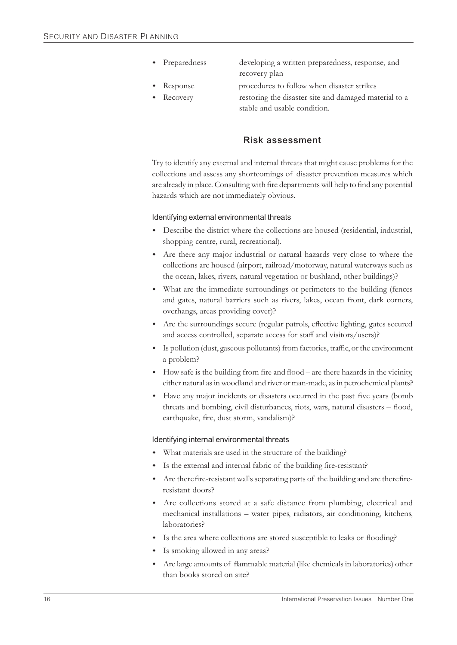Preparedness developing a written preparedness, response, and

recovery plan

- - Response procedures to follow when disaster strikes
	- Recovery restoring the disaster site and damaged material to a stable and usable condition.

## **Risk assessment**

Try to identify any external and internal threats that might cause problems for the collections and assess any shortcomings of disaster prevention measures which are already in place. Consulting with fire departments will help to find any potential hazards which are not immediately obvious.

#### Identifying external environmental threats

- w Describe the district where the collections are housed (residential, industrial, shopping centre, rural, recreational).
- Are there any major industrial or natural hazards very close to where the collections are housed (airport, railroad/motorway, natural waterways such as the ocean, lakes, rivers, natural vegetation or bushland, other buildings)?
- w What are the immediate surroundings or perimeters to the building (fences and gates, natural barriers such as rivers, lakes, ocean front, dark corners, overhangs, areas providing cover)?
- Are the surroundings secure (regular patrols, effective lighting, gates secured and access controlled, separate access for staff and visitors/users)?
- w Is pollution (dust, gaseous pollutants) from factories, traffic, or the environment a problem?
- w How safe is the building from fire and flood are there hazards in the vicinity, either natural as in woodland and river or man-made, as in petrochemical plants?
- w Have any major incidents or disasters occurred in the past five years (bomb threats and bombing, civil disturbances, riots, wars, natural disasters – flood, earthquake, fire, dust storm, vandalism)?

#### Identifying internal environmental threats

- w What materials are used in the structure of the building?
- Is the external and internal fabric of the building fire-resistant?
- w Are there fire-resistant walls separating parts of the building and are there fireresistant doors?
- w Are collections stored at a safe distance from plumbing, electrical and mechanical installations – water pipes, radiators, air conditioning, kitchens, laboratories?
- w Is the area where collections are stored susceptible to leaks or flooding?
- Is smoking allowed in any areas?
- Are large amounts of flammable material (like chemicals in laboratories) other than books stored on site?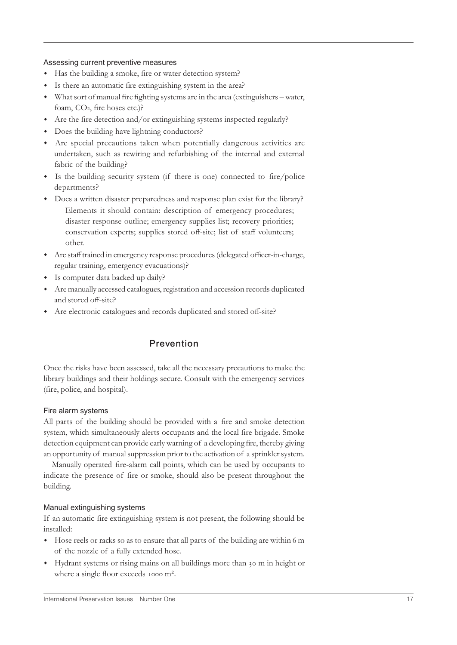#### Assessing current preventive measures

- Has the building a smoke, fire or water detection system?
- w Is there an automatic fire extinguishing system in the area?
- w What sort ofmanual fire fighting systems are in the area (extinguishers water, foam, CO<sub>2</sub>, fire hoses etc.)?
- w Are the fire detection and/or extinguishing systems inspected regularly?
- Does the building have lightning conductors?
- Are special precautions taken when potentially dangerous activities are undertaken, such as rewiring and refurbishing of the internal and external fabric of the building?
- Is the building security system (if there is one) connected to fire/police departments?
- Does a written disaster preparedness and response plan exist for the library? Elements it should contain: description of emergency procedures; disaster response outline; emergency supplies list; recovery priorities; conservation experts; supplies stored off-site; list of staff volunteers; other.
- w Are staff trained in emergency response procedures (delegated officer-in-charge, regular training, emergency evacuations)?
- Is computer data backed up daily?
- w Are manually accessed catalogues, registration and accession records duplicated and stored off-site?
- w Are electronic catalogues and records duplicated and stored off-site?

## **Prevention**

Once the risks have been assessed, take all the necessary precautions to make the library buildings and their holdings secure. Consult with the emergency services (fire, police, and hospital).

#### Fire alarm systems

All parts of the building should be provided with a fire and smoke detection system, which simultaneously alerts occupants and the local fire brigade. Smoke detection equipment can provide early warning of a developing fire, thereby giving an opportunity of manual suppression prior to the activation of a sprinkler system.

Manually operated fire-alarm call points, which can be used by occupants to indicate the presence of fire or smoke, should also be present throughout the building.

#### Manual extinguishing systems

If an automatic fire extinguishing system is not present, the following should be installed:

- Hose reels or racks so as to ensure that all parts of the building are within 6 m of the nozzle of a fully extended hose.
- Hydrant systems or rising mains on all buildings more than 30 m in height or where a single floor exceeds 1000 m<sup>2</sup>.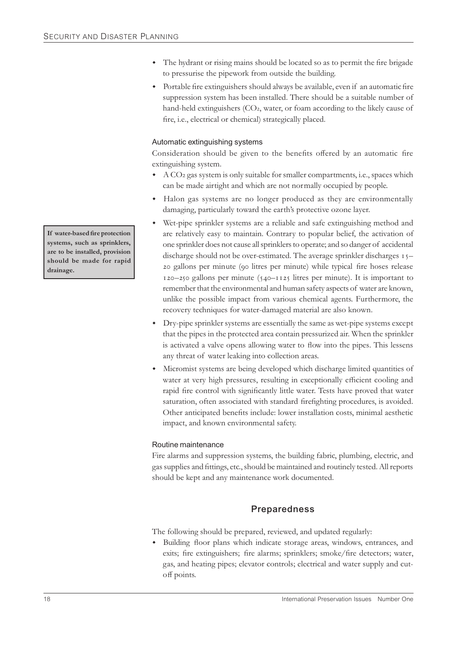- w The hydrant or rising mains should be located so as to permit the fire brigade to pressurise the pipework from outside the building.
- w Portable fire extinguishers should always be available, even if an automatic fire suppression system has been installed. There should be a suitable number of hand-held extinguishers (CO2, water, or foam according to the likely cause of fire, i.e., electrical or chemical) strategically placed.

### Automatic extinguishing systems

Consideration should be given to the benefits offered by an automatic fire extinguishing system.

- $\triangleleft$  A CO<sub>2</sub> gas system is only suitable for smaller compartments, i.e., spaces which can be made airtight and which are not normally occupied by people.
- Halon gas systems are no longer produced as they are environmentally damaging, particularly toward the earth's protective ozone layer.
- Wet-pipe sprinkler systems are a reliable and safe extinguishing method and are relatively easy to maintain. Contrary to popular belief, the activation of one sprinkler does not cause all sprinklers to operate; and so danger of accidental discharge should not be over-estimated. The average sprinkler discharges 15zo gallons per minute (90 litres per minute) while typical fire hoses release  $120-250$  gallons per minute ( $540-1125$  litres per minute). It is important to remember that the environmental and human safety aspects of water are known, unlike the possible impact from various chemical agents. Furthermore, the recovery techniques for water-damaged material are also known.
- w Dry-pipe sprinkler systems are essentially the same as wet-pipe systems except that the pipes in the protected area contain pressurized air. When the sprinkler is activated a valve opens allowing water to flow into the pipes. This lessens any threat of water leaking into collection areas.
- Micromist systems are being developed which discharge limited quantities of water at very high pressures, resulting in exceptionally efficient cooling and rapid fire control with significantly little water. Tests have proved that water saturation, often associated with standard firefighting procedures, is avoided. Other anticipated benefits include: lower installation costs, minimal aesthetic impact, and known environmental safety.

#### Routine maintenance

Fire alarms and suppression systems, the building fabric, plumbing, electric, and gas supplies and fittings, etc., should be maintained and routinely tested. All reports should be kept and any maintenance work documented.

## **Preparedness**

The following should be prepared, reviewed, and updated regularly:

Building floor plans which indicate storage areas, windows, entrances, and exits; fire extinguishers; fire alarms; sprinklers; smoke/fire detectors; water, gas, and heating pipes; elevator controls; electrical and water supply and cutoff points.

**If water-based fire protection systems, such as sprinklers, are to be installed, provision should be made for rapid drainage.**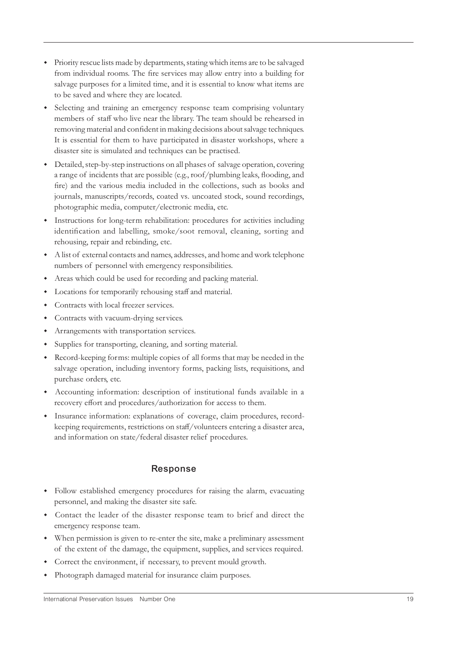- w Priority rescue lists made by departments, stating which items are to be salvaged from individual rooms. The fire services may allow entry into a building for salvage purposes for a limited time, and it is essential to know what items are to be saved and where they are located.
- Selecting and training an emergency response team comprising voluntary members of staff who live near the library. The team should be rehearsed in removing material and confident in making decisions about salvage techniques. It is essential for them to have participated in disaster workshops, where a disaster site is simulated and techniques can be practised.
- w Detailed, step-by-step instructions on all phases of salvage operation, covering a range of incidents that are possible (e.g., roof/plumbing leaks, flooding, and fire) and the various media included in the collections, such as books and journals, manuscripts/records, coated vs. uncoated stock, sound recordings, photographic media, computer/electronic media, etc.
- w Instructions for long-term rehabilitation: procedures for activities including identification and labelling, smoke/soot removal, cleaning, sorting and rehousing, repair and rebinding, etc.
- w A list of external contacts and names, addresses, and home and work telephone numbers of personnel with emergency responsibilities.
- Areas which could be used for recording and packing material.
- w Locations for temporarily rehousing staff and material.
- Contracts with local freezer services.
- Contracts with vacuum-drying services.
- Arrangements with transportation services.
- w Supplies for transporting, cleaning, and sorting material.
- w Record-keeping forms: multiple copies of all forms that may be needed in the salvage operation, including inventory forms, packing lists, requisitions, and purchase orders, etc.
- w Accounting information: description of institutional funds available in a recovery effort and procedures/authorization for access to them.
- w Insurance information: explanations of coverage, claim procedures, recordkeeping requirements, restrictions on staff/volunteers entering a disaster area, and information on state/federal disaster relief procedures.

## **Response**

- w Follow established emergency procedures for raising the alarm, evacuating personnel, and making the disaster site safe.
- Contact the leader of the disaster response team to brief and direct the emergency response team.
- w When permission is given to re-enter the site, make a preliminary assessment of the extent of the damage, the equipment, supplies, and services required.
- Correct the environment, if necessary, to prevent mould growth.
- Photograph damaged material for insurance claim purposes.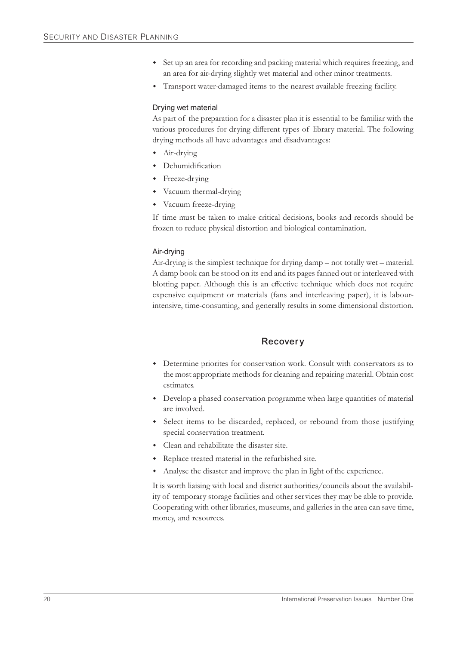- w Set up an area for recording and packing material which requires freezing, and an area for air-drying slightly wet material and other minor treatments.
- Transport water-damaged items to the nearest available freezing facility.

#### Drying wet material

As part of the preparation for a disaster plan it is essential to be familiar with the various procedures for drying different types of library material. The following drying methods all have advantages and disadvantages:

- $\bullet$  Air-drying
- Dehumidification
- Freeze-drying
- Vacuum thermal-drying
- Vacuum freeze-drying

If time must be taken to make critical decisions, books and records should be frozen to reduce physical distortion and biological contamination.

#### Air-drying

Air-drying is the simplest technique for drying damp – not totally wet – material. A damp book can be stood on its end and its pages fanned out or interleaved with blotting paper. Although this is an effective technique which does not require expensive equipment or materials (fans and interleaving paper), it is labourintensive, time-consuming, and generally results in some dimensional distortion.

#### **Recovery**

- w Determine priorites for conservation work. Consult with conservators as to the most appropriate methods for cleaning and repairing material. Obtain cost estimates.
- Develop a phased conservation programme when large quantities of material are involved.
- w Select items to be discarded, replaced, or rebound from those justifying special conservation treatment.
- Clean and rehabilitate the disaster site.
- Replace treated material in the refurbished site.
- w Analyse the disaster and improve the plan in light of the experience.

It is worth liaising with local and district authorities/councils about the availability of temporary storage facilities and other services they may be able to provide. Cooperating with other libraries, museums, and galleries in the area can save time, money, and resources.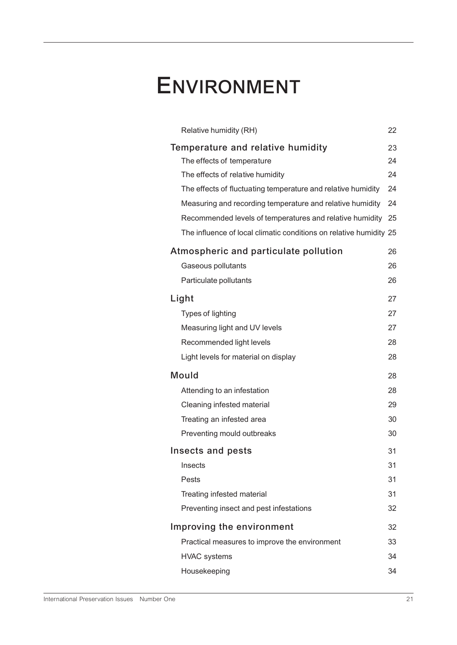## **ENVIRONMENT**

| Relative humidity (RH)                                             | 22 |
|--------------------------------------------------------------------|----|
| Temperature and relative humidity                                  |    |
| The effects of temperature                                         | 24 |
| The effects of relative humidity                                   | 24 |
| The effects of fluctuating temperature and relative humidity       | 24 |
| Measuring and recording temperature and relative humidity          | 24 |
| Recommended levels of temperatures and relative humidity 25        |    |
| The influence of local climatic conditions on relative humidity 25 |    |
| Atmospheric and particulate pollution                              | 26 |
| Gaseous pollutants                                                 | 26 |
| Particulate pollutants                                             | 26 |
| Light<br>27                                                        |    |
| Types of lighting                                                  | 27 |
| Measuring light and UV levels                                      | 27 |
| Recommended light levels                                           | 28 |
| Light levels for material on display                               | 28 |
| <b>Mould</b>                                                       |    |
| Attending to an infestation                                        | 28 |
| Cleaning infested material                                         | 29 |
| Treating an infested area                                          | 30 |
| Preventing mould outbreaks                                         | 30 |
| Insects and pests                                                  | 31 |
| Insects                                                            | 31 |
| Pests                                                              | 31 |
| Treating infested material                                         | 31 |
| Preventing insect and pest infestations                            | 32 |
| Improving the environment<br>32                                    |    |
| Practical measures to improve the environment                      | 33 |
| <b>HVAC</b> systems                                                | 34 |
| Housekeeping                                                       | 34 |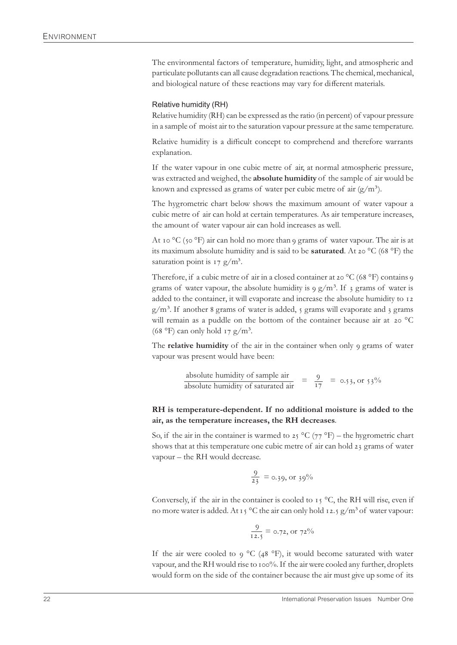The environmental factors of temperature, humidity, light, and atmospheric and particulate pollutants can all cause degradation reactions. The chemical, mechanical, and biological nature of these reactions may vary for different materials.

#### Relative humidity (RH)

Relative humidity (RH) can be expressed as the ratio (in percent) of vapour pressure in a sample of moist air to the saturation vapour pressure at the same temperature.

Relative humidity is a difficult concept to comprehend and therefore warrants explanation.

If the water vapour in one cubic metre of air, at normal atmospheric pressure, was extracted and weighed, the **absolute humidity** of the sample of air would be known and expressed as grams of water per cubic metre of air  $(g/m<sup>3</sup>)$ .

The hygrometric chart below shows the maximum amount of water vapour a cubic metre of air can hold at certain temperatures. As air temperature increases, the amount of water vapour air can hold increases as well.

At 10  $^{\circ}$ C (50  $^{\circ}$ F) air can hold no more than 9 grams of water vapour. The air is at its maximum absolute humidity and is said to be **saturated**. At 20 °C (68 °F) the saturation point is  $17 \text{ g/m}^3$ .

Therefore, if a cubic metre of air in a closed container at 20  $^{\circ}$ C (68  $^{\circ}$ F) contains 9 grams of water vapour, the absolute humidity is  $9 \frac{\text{g}}{\text{m}^3}$ . If  $\frac{1}{3}$  grams of water is added to the container, it will evaporate and increase the absolute humidity to 12  $g/m<sup>3</sup>$ . If another 8 grams of water is added, 5 grams will evaporate and 3 grams will remain as a puddle on the bottom of the container because air at  $20^{\circ}$ C (68 °F) can only hold  $17 \text{ g/m}^3$ .

The **relative humidity** of the air in the container when only grams of water vapour was present would have been:

absolute humidity of sample air  $= \frac{9}{17} = 0.53$ , or  $53\%$ <br>absolute humidity of saturated air

#### **RH is temperature-dependent. If no additional moisture is added to the air, as the temperature increases, the RH decreases**.

So, if the air in the container is warmed to 25  $^{\circ}C$  (77  $^{\circ}F$ ) – the hygrometric chart shows that at this temperature one cubic metre of air can hold 23 grams of water vapour – the RH would decrease.

$$
\frac{9}{23} = 0.39, \text{ or } 39\%
$$

Conversely, if the air in the container is cooled to  $15^{\circ}$ C, the RH will rise, even if no more water is added. At 15 °C the air can only hold 12.5  $g/m<sup>3</sup>$  of water vapour:

$$
\frac{9}{12.5} = 0.72, \text{ or } 72\%
$$

If the air were cooled to 9 °C (48 °F), it would become saturated with water vapour, and the RH would rise to 100%. If the air were cooled any further, droplets would form on the side of the container because the air must give up some of its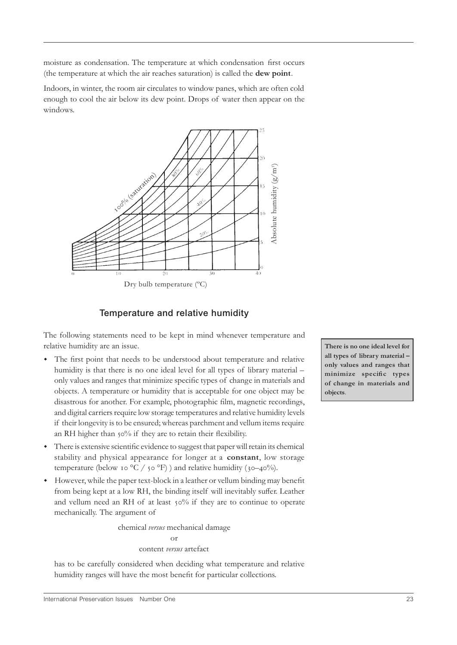moisture as condensation. The temperature at which condensation first occurs (the temperature at which the air reaches saturation) is called the **dew point**.

Indoors, in winter, the room air circulates to window panes, which are often cold enough to cool the air below its dew point. Drops of water then appear on the windows.



## **Temperature and relative humidity**

The following statements need to be kept in mind whenever temperature and relative humidity are an issue.

- w The first point that needs to be understood about temperature and relative humidity is that there is no one ideal level for all types of library material – only values and ranges that minimize specific types of change in materials and objects. A temperature or humidity that is acceptable for one object may be disastrous for another. For example, photographic film, magnetic recordings, and digital carriers require low storage temperatures and relative humidity levels if their longevity is to be ensured; whereas parchment and vellum items require an RH higher than 50% if they are to retain their flexibility.
- w There is extensive scientific evidence to suggest that paper will retain its chemical stability and physical appearance for longer at a **constant**, low storage temperature (below 10 °C /  $\circ$  °F) ) and relative humidity ( $\circ$ -40%).
- However, while the paper text-block in a leather or vellum binding may benefit from being kept at a low RH, the binding itself will inevitably suffer. Leather and vellum need an RH of at least  $50\%$  if they are to continue to operate mechanically. The argument of

chemical *versus* mechanical damage or content *versus* artefact

has to be carefully considered when deciding what temperature and relative humidity ranges will have the most benefit for particular collections.

**There is no one ideal level for all types of library material – only values and ranges that minimize specific types of change in materials and objects**.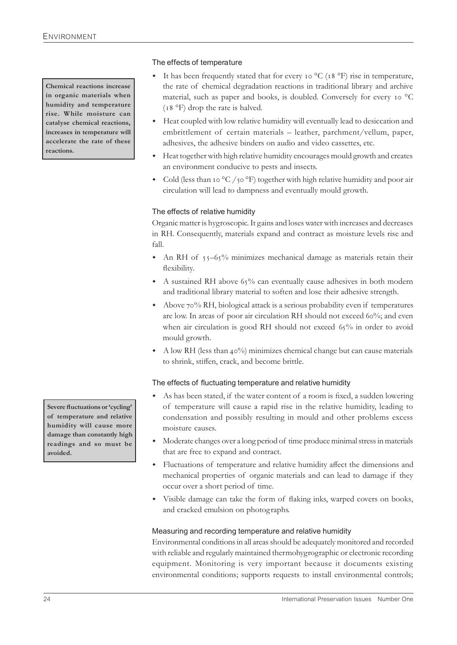**Chemical reactions increase in organic materials when humidity and temperature rise. While moisture can catalyse chemical reactions, increases in temperature will accelerate the rate of these reactions.**

#### The effects of temperature

- $\bullet$  It has been frequently stated that for every 10 °C (18 °F) rise in temperature, the rate of chemical degradation reactions in traditional library and archive material, such as paper and books, is doubled. Conversely for every 10  $^{\circ}$ C  $(18 \text{ °F})$  drop the rate is halved.
- w Heat coupled with low relative humidity will eventually lead to desiccation and embrittlement of certain materials – leather, parchment/vellum, paper, adhesives, the adhesive binders on audio and video cassettes, etc.
- Heat together with high relative humidity encourages mould growth and creates an environment conducive to pests and insects.
- Cold (less than 10  $\rm{^{\circ}C}$  /  $\rm{^{\circ}C}$ ) together with high relative humidity and poor air circulation will lead to dampness and eventually mould growth.

#### The effects of relative humidity

Organic matter is hygroscopic. It gains and loses water with increases and decreases in RH. Consequently, materials expand and contract as moisture levels rise and fall.

- An RH of  $55-65%$  minimizes mechanical damage as materials retain their flexibility.
- A sustained RH above  $65\%$  can eventually cause adhesives in both modern and traditional library material to soften and lose their adhesive strength.
- $\bullet$  Above 70% RH, biological attack is a serious probability even if temperatures are low. In areas of poor air circulation RH should not exceed 60%; and even when air circulation is good RH should not exceed  $65\%$  in order to avoid mould growth.
- A low RH (less than  $40\%$ ) minimizes chemical change but can cause materials to shrink, stiffen, crack, and become brittle.

#### The effects of fluctuating temperature and relative humidity

- As has been stated, if the water content of a room is fixed, a sudden lowering of temperature will cause a rapid rise in the relative humidity, leading to condensation and possibly resulting in mould and other problems excess moisture causes.
- w Moderate changes over a long period of time produce minimal stress in materials that are free to expand and contract.
- Fluctuations of temperature and relative humidity affect the dimensions and mechanical properties of organic materials and can lead to damage if they occur over a short period of time.
- Visible damage can take the form of flaking inks, warped covers on books, and cracked emulsion on photographs.

#### Measuring and recording temperature and relative humidity

Environmental conditions in all areas should be adequately monitored and recorded with reliable and regularly maintained thermohygrographic or electronic recording equipment. Monitoring is very important because it documents existing environmental conditions; supports requests to install environmental controls;

**Severe fluctuations or 'cycling' of temperature and relative humidity will cause more damage than constantly high readings and so must be avoided.**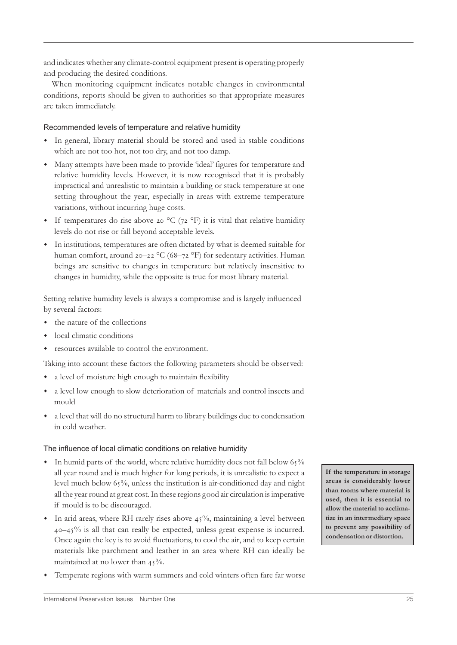and indicates whether any climate-control equipment present is operating properly and producing the desired conditions.

When monitoring equipment indicates notable changes in environmental conditions, reports should be given to authorities so that appropriate measures are taken immediately.

#### Recommended levels of temperature and relative humidity

- w In general, library material should be stored and used in stable conditions which are not too hot, not too dry, and not too damp.
- w Many attempts have been made to provide 'ideal' figures for temperature and relative humidity levels. However, it is now recognised that it is probably impractical and unrealistic to maintain a building or stack temperature at one setting throughout the year, especially in areas with extreme temperature variations, without incurring huge costs.
- If temperatures do rise above 20 °C ( $72$  °F) it is vital that relative humidity levels do not rise or fall beyond acceptable levels.
- w In institutions, temperatures are often dictated by what is deemed suitable for human comfort, around 20–22  $^{\circ}C$  (68–72  $^{\circ}F$ ) for sedentary activities. Human beings are sensitive to changes in temperature but relatively insensitive to changes in humidity, while the opposite is true for most library material.

Setting relative humidity levels is always a compromise and is largely influenced by several factors:

- the nature of the collections
- local climatic conditions
- resources available to control the environment.

Taking into account these factors the following parameters should be observed:

- w a level of moisture high enough to maintain flexibility
- w a level low enough to slow deterioration of materials and control insects and mould
- w a level that will do no structural harm to library buildings due to condensation in cold weather.

#### The influence of local climatic conditions on relative humidity

- In humid parts of the world, where relative humidity does not fall below  $65\%$ all year round and is much higher for long periods, it is unrealistic to expect a level much below 65%, unless the institution is air-conditioned day and night all the year round at great cost. In these regions good air circulation is imperative if mould is to be discouraged.
- $\bullet$  In arid areas, where RH rarely rises above 45%, maintaining a level between  $40-45\%$  is all that can really be expected, unless great expense is incurred. Once again the key is to avoid fluctuations, to cool the air, and to keep certain materials like parchment and leather in an area where RH can ideally be maintained at no lower than  $45\%$ .
- Temperate regions with warm summers and cold winters often fare far worse

**If the temperature in storage areas is considerably lower than rooms where material is used, then it is essential to allow the material to acclimatize in an intermediary space to prevent any possibility of condensation or distortion.**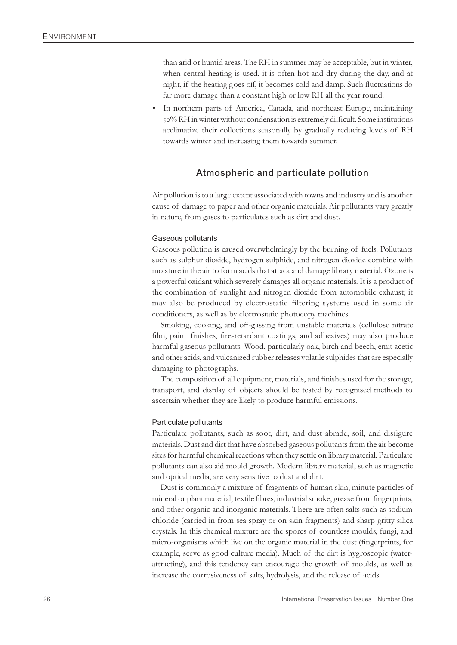than arid or humid areas. The RH in summer may be acceptable, but in winter, when central heating is used, it is often hot and dry during the day, and at night, if the heating goes off, it becomes cold and damp. Such fluctuations do far more damage than a constant high or low RH all the year round.

In northern parts of America, Canada, and northeast Europe, maintaining % RH in winter without condensation is extremely difficult. Some institutions acclimatize their collections seasonally by gradually reducing levels of RH towards winter and increasing them towards summer.

#### **Atmospheric and particulate pollution**

Air pollution is to a large extent associated with towns and industry and is another cause of damage to paper and other organic materials. Air pollutants vary greatly in nature, from gases to particulates such as dirt and dust.

#### Gaseous pollutants

Gaseous pollution is caused overwhelmingly by the burning of fuels. Pollutants such as sulphur dioxide, hydrogen sulphide, and nitrogen dioxide combine with moisture in the air to form acids that attack and damage library material. Ozone is a powerful oxidant which severely damages all organic materials. It is a product of the combination of sunlight and nitrogen dioxide from automobile exhaust; it may also be produced by electrostatic filtering systems used in some air conditioners, as well as by electrostatic photocopy machines.

Smoking, cooking, and off-gassing from unstable materials (cellulose nitrate film, paint finishes, fire-retardant coatings, and adhesives) may also produce harmful gaseous pollutants. Wood, particularly oak, birch and beech, emit acetic and other acids, and vulcanized rubber releases volatile sulphides that are especially damaging to photographs.

The composition of all equipment, materials, and finishes used for the storage, transport, and display of objects should be tested by recognised methods to ascertain whether they are likely to produce harmful emissions.

#### Particulate pollutants

Particulate pollutants, such as soot, dirt, and dust abrade, soil, and disfigure materials. Dust and dirt that have absorbed gaseous pollutants from the air become sites for harmful chemical reactions when they settle on library material. Particulate pollutants can also aid mould growth. Modern library material, such as magnetic and optical media, are very sensitive to dust and dirt.

Dust is commonly a mixture of fragments of human skin, minute particles of mineral or plant material, textile fibres, industrial smoke, grease from fingerprints, and other organic and inorganic materials. There are often salts such as sodium chloride (carried in from sea spray or on skin fragments) and sharp gritty silica crystals. In this chemical mixture are the spores of countless moulds, fungi, and micro-organisms which live on the organic material in the dust (fingerprints, for example, serve as good culture media). Much of the dirt is hygroscopic (waterattracting), and this tendency can encourage the growth of moulds, as well as increase the corrosiveness of salts, hydrolysis, and the release of acids.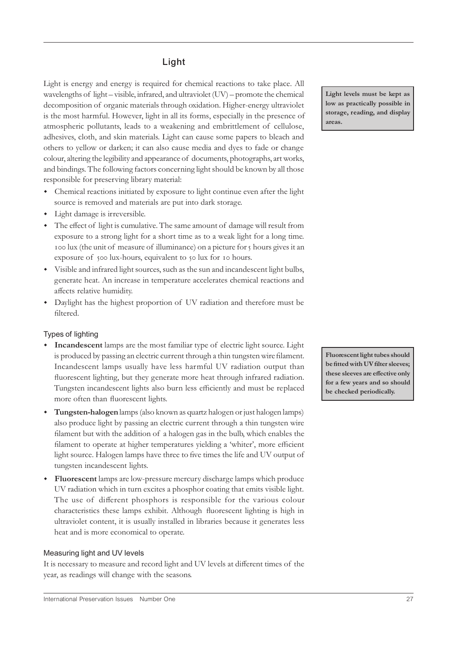## **Light**

Light is energy and energy is required for chemical reactions to take place. All wavelengths of light – visible, infrared, and ultraviolet (UV) – promote the chemical decomposition of organic materials through oxidation. Higher-energy ultraviolet is the most harmful. However, light in all its forms, especially in the presence of atmospheric pollutants, leads to a weakening and embrittlement of cellulose, adhesives, cloth, and skin materials. Light can cause some papers to bleach and others to yellow or darken; it can also cause media and dyes to fade or change colour, altering the legibility and appearance of documents, photographs, art works, and bindings. The following factors concerning light should be known by all those responsible for preserving library material:

- w Chemical reactions initiated by exposure to light continue even after the light source is removed and materials are put into dark storage.
- Light damage is irreversible.
- w The effect of light is cumulative. The same amount of damage will result from exposure to a strong light for a short time as to a weak light for a long time. roo lux (the unit of measure of illuminance) on a picture for 5 hours gives it an exposure of 500 lux-hours, equivalent to 50 lux for 10 hours.
- w Visible and infrared light sources, such as the sun and incandescent light bulbs, generate heat. An increase in temperature accelerates chemical reactions and affects relative humidity.
- w Daylight has the highest proportion of UV radiation and therefore must be filtered.

#### Types of lighting

- w **Incandescent** lamps are the most familiar type of electric light source. Light is produced by passing an electric current through a thin tungsten wire filament. Incandescent lamps usually have less harmful UV radiation output than fluorescent lighting, but they generate more heat through infrared radiation. Tungsten incandescent lights also burn less efficiently and must be replaced more often than fluorescent lights.
- **Tungsten-halogen** lamps (also known as quartz halogen or just halogen lamps) also produce light by passing an electric current through a thin tungsten wire filament but with the addition of a halogen gas in the bulb, which enables the filament to operate at higher temperatures yielding a 'whiter', more efficient light source. Halogen lamps have three to five times the life and UV output of tungsten incandescent lights.
- Fluorescent lamps are low-pressure mercury discharge lamps which produce UV radiation which in turn excites a phosphor coating that emits visible light. The use of different phosphors is responsible for the various colour characteristics these lamps exhibit. Although fluorescent lighting is high in ultraviolet content, it is usually installed in libraries because it generates less heat and is more economical to operate.

#### Measuring light and UV levels

It is necessary to measure and record light and UV levels at different times of the year, as readings will change with the seasons.

**Fluorescent light tubes should be fitted with UV filter sleeves; these sleeves are effective only for a few years and so should be checked periodically.**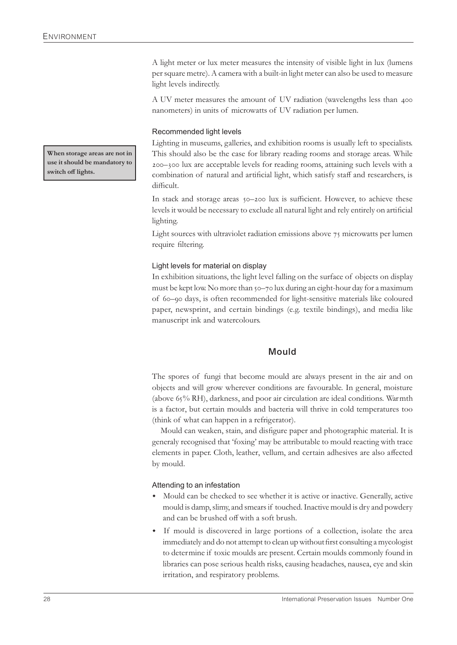A light meter or lux meter measures the intensity of visible light in lux (lumens per square metre). A camera with a built-in light meter can also be used to measure light levels indirectly.

A UV meter measures the amount of UV radiation (wavelengths less than 400 nanometers) in units of microwatts of UV radiation per lumen.

#### Recommended light levels

Lighting in museums, galleries, and exhibition rooms is usually left to specialists. This should also be the case for library reading rooms and storage areas. While – lux are acceptable levels for reading rooms, attaining such levels with a combination of natural and artificial light, which satisfy staff and researchers, is difficult.

In stack and storage areas 50-200 lux is sufficient. However, to achieve these levels it would be necessary to exclude all natural light and rely entirely on artificial lighting.

Light sources with ultraviolet radiation emissions above  $\tau_5$  microwatts per lumen require filtering.

#### Light levels for material on display

In exhibition situations, the light level falling on the surface of objects on display must be kept low. No more than 50–70 lux during an eight-hour day for a maximum of 60-90 days, is often recommended for light-sensitive materials like coloured paper, newsprint, and certain bindings (e.g. textile bindings), and media like manuscript ink and watercolours.

#### **Mould**

The spores of fungi that become mould are always present in the air and on objects and will grow wherever conditions are favourable. In general, moisture (above  $65\%$  RH), darkness, and poor air circulation are ideal conditions. Warmth is a factor, but certain moulds and bacteria will thrive in cold temperatures too (think of what can happen in a refrigerator).

Mould can weaken, stain, and disfigure paper and photographic material. It is generaly recognised that 'foxing' may be attributable to mould reacting with trace elements in paper. Cloth, leather, vellum, and certain adhesives are also affected by mould.

#### Attending to an infestation

- Mould can be checked to see whether it is active or inactive. Generally, active mould is damp, slimy, and smears if touched. Inactive mould is dry and powdery and can be brushed off with a soft brush.
- If mould is discovered in large portions of a collection, isolate the area immediately and do not attempt to clean up without first consulting a mycologist to determine if toxic moulds are present. Certain moulds commonly found in libraries can pose serious health risks, causing headaches, nausea, eye and skin irritation, and respiratory problems.

**When storage areas are not in use it should be mandatory to switch off lights.**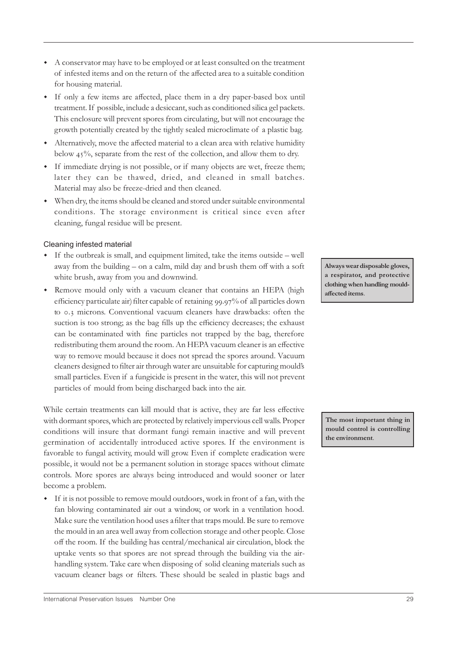- for housing material. w If only a few items are affected, place them in a dry paper-based box until
	- treatment. If possible, include a desiccant, such as conditioned silica gel packets. This enclosure will prevent spores from circulating, but will not encourage the growth potentially created by the tightly sealed microclimate of a plastic bag.

w A conservator may have to be employed or at least consulted on the treatment of infested items and on the return of the affected area to a suitable condition

- w Alternatively, move the affected material to a clean area with relative humidity below  $45\%$ , separate from the rest of the collection, and allow them to dry.
- w If immediate drying is not possible, or if many objects are wet, freeze them; later they can be thawed, dried, and cleaned in small batches. Material may also be freeze-dried and then cleaned.
- w When dry, the items should be cleaned and stored under suitable environmental conditions. The storage environment is critical since even after cleaning, fungal residue will be present.

#### Cleaning infested material

- w If the outbreak is small, and equipment limited, take the items outside well away from the building – on a calm, mild day and brush them off with a soft white brush, away from you and downwind.
- Remove mould only with a vacuum cleaner that contains an HEPA (high efficiency particulate air) filter capable of retaining 99.97% of all particles down to 0.3 microns. Conventional vacuum cleaners have drawbacks: often the suction is too strong; as the bag fills up the efficiency decreases; the exhaust can be contaminated with fine particles not trapped by the bag, therefore redistributing them around the room. An HEPA vacuum cleaner is an effective way to remove mould because it does not spread the spores around. Vacuum cleaners designed to filter air through water are unsuitable for capturing mould's small particles. Even if a fungicide is present in the water, this will not prevent particles of mould from being discharged back into the air.

While certain treatments can kill mould that is active, they are far less effective with dormant spores, which are protected by relatively impervious cell walls. Proper conditions will insure that dormant fungi remain inactive and will prevent germination of accidentally introduced active spores. If the environment is favorable to fungal activity, mould will grow. Even if complete eradication were possible, it would not be a permanent solution in storage spaces without climate controls. More spores are always being introduced and would sooner or later become a problem.

If it is not possible to remove mould outdoors, work in front of a fan, with the fan blowing contaminated air out a window, or work in a ventilation hood. Make sure the ventilation hood uses a filter that traps mould. Be sure to remove the mould in an area well away from collection storage and other people. Close off the room. If the building has central/mechanical air circulation, block the uptake vents so that spores are not spread through the building via the airhandling system. Take care when disposing of solid cleaning materials such as vacuum cleaner bags or filters. These should be sealed in plastic bags and

**Always wear disposable gloves, a respirator, and protective clothing when handling mouldaffected items**.

**The most important thing in mould control is controlling the environment**.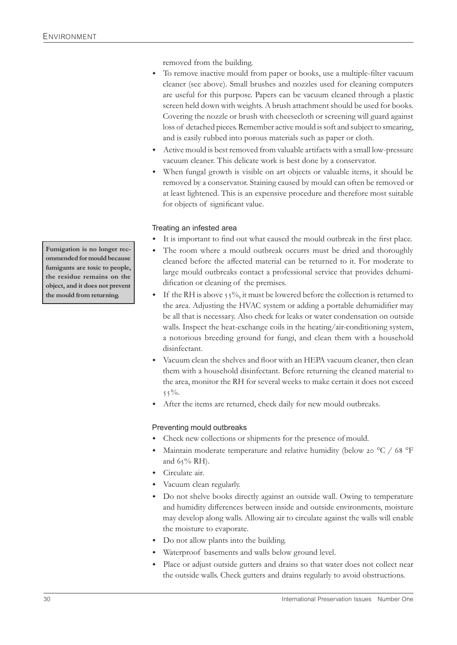removed from the building.

- To remove inactive mould from paper or books, use a multiple-filter vacuum cleaner (see above). Small brushes and nozzles used for cleaning computers are useful for this purpose. Papers can be vacuum cleaned through a plastic screen held down with weights. A brush attachment should be used for books. Covering the nozzle or brush with cheesecloth or screening will guard against loss of detached pieces. Remember active mould is soft and subject to smearing, and is easily rubbed into porous materials such as paper or cloth.
- Active mould is best removed from valuable artifacts with a small low-pressure vacuum cleaner. This delicate work is best done by a conservator.
- w When fungal growth is visible on art objects or valuable items, it should be removed by a conservator. Staining caused by mould can often be removed or at least lightened. This is an expensive procedure and therefore most suitable for objects of significant value.

#### Treating an infested area

- It is important to find out what caused the mould outbreak in the first place.
- The room where a mould outbreak occurrs must be dried and thoroughly cleaned before the affected material can be returned to it. For moderate to large mould outbreaks contact a professional service that provides dehumidification or cleaning of the premises.
- $\bullet$  If the RH is above 55%, it must be lowered before the collection is returned to the area. Adjusting the HVAC system or adding a portable dehumidifier may be all that is necessary. Also check for leaks or water condensation on outside walls. Inspect the heat-exchange coils in the heating/air-conditioning system, a notorious breeding ground for fungi, and clean them with a household disinfectant.
- Vacuum clean the shelves and floor with an HEPA vacuum cleaner, then clean them with a household disinfectant. Before returning the cleaned material to the area, monitor the RH for several weeks to make certain it does not exceed  $55\%$ .
- After the items are returned, check daily for new mould outbreaks.

#### Preventing mould outbreaks

- Check new collections or shipments for the presence of mould.
- Maintain moderate temperature and relative humidity (below 20  $^{\circ}$ C / 68  $^{\circ}$ F and  $65\%$  RH).
- Circulate air.
- Vacuum clean regularly.
- Do not shelve books directly against an outside wall. Owing to temperature and humidity differences between inside and outside environments, moisture may develop along walls. Allowing air to circulate against the walls will enable the moisture to evaporate.
- Do not allow plants into the building.
- Waterproof basements and walls below ground level.
- Place or adjust outside gutters and drains so that water does not collect near the outside walls. Check gutters and drains regularly to avoid obstructions.

**Fumigation is no longer recommended for mould because fumigants are toxic to people, the residue remains on the object, and it does not prevent the mould from returning.**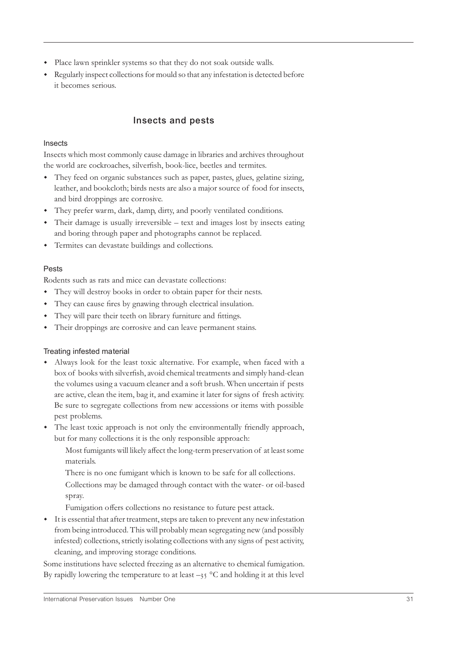- Place lawn sprinkler systems so that they do not soak outside walls.
- w Regularly inspect collections for mould so that any infestation is detected before it becomes serious.

## **Insects and pests**

#### Insects

Insects which most commonly cause damage in libraries and archives throughout the world are cockroaches, silverfish, book-lice, beetles and termites.

- w They feed on organic substances such as paper, pastes, glues, gelatine sizing, leather, and bookcloth; birds nests are also a major source of food for insects, and bird droppings are corrosive.
- w They prefer warm, dark, damp, dirty, and poorly ventilated conditions.
- Their damage is usually irreversible text and images lost by insects eating and boring through paper and photographs cannot be replaced.
- Termites can devastate buildings and collections.

#### Pests

Rodents such as rats and mice can devastate collections:

- They will destroy books in order to obtain paper for their nests.
- They can cause fires by gnawing through electrical insulation.
- They will pare their teeth on library furniture and fittings.
- Their droppings are corrosive and can leave permanent stains.

#### Treating infested material

- w Always look for the least toxic alternative. For example, when faced with a box of books with silverfish, avoid chemical treatments and simply hand-clean the volumes using a vacuum cleaner and a soft brush. When uncertain if pests are active, clean the item, bag it, and examine it later for signs of fresh activity. Be sure to segregate collections from new accessions or items with possible pest problems.
- The least toxic approach is not only the environmentally friendly approach, but for many collections it is the only responsible approach:

Most fumigants will likely affect the long-term preservation of at least some materials.

There is no one fumigant which is known to be safe for all collections.

Collections may be damaged through contact with the water- or oil-based spray.

Fumigation offers collections no resistance to future pest attack.

w It is essential that after treatment, steps are taken to prevent any new infestation from being introduced. This will probably mean segregating new (and possibly infested) collections, strictly isolating collections with any signs of pest activity, cleaning, and improving storage conditions.

Some institutions have selected freezing as an alternative to chemical fumigation. By rapidly lowering the temperature to at least  $-35$  °C and holding it at this level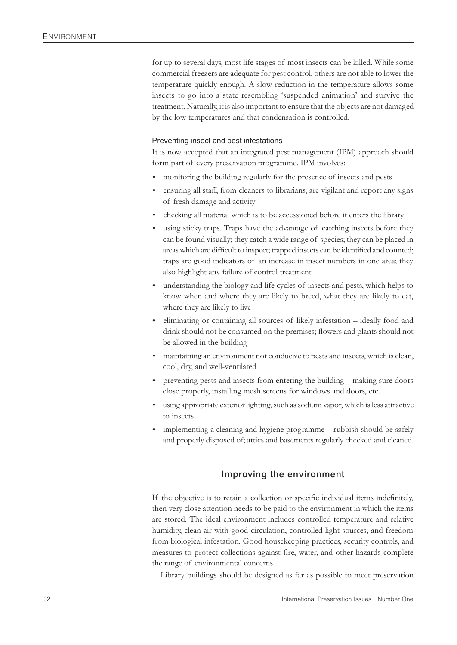for up to several days, most life stages of most insects can be killed. While some commercial freezers are adequate for pest control, others are not able to lower the temperature quickly enough. A slow reduction in the temperature allows some insects to go into a state resembling 'suspended animation' and survive the treatment. Naturally, it is also important to ensure that the objects are not damaged by the low temperatures and that condensation is controlled.

#### Preventing insect and pest infestations

It is now accepted that an integrated pest management (IPM) approach should form part of every preservation programme. IPM involves:

- monitoring the building regularly for the presence of insects and pests
- ensuring all staff, from cleaners to librarians, are vigilant and report any signs of fresh damage and activity
- checking all material which is to be accessioned before it enters the library
- using sticky traps. Traps have the advantage of catching insects before they can be found visually; they catch a wide range of species; they can be placed in areas which are difficult to inspect; trapped insects can be identified and counted; traps are good indicators of an increase in insect numbers in one area; they also highlight any failure of control treatment
- understanding the biology and life cycles of insects and pests, which helps to know when and where they are likely to breed, what they are likely to eat, where they are likely to live
- w eliminating or containing all sources of likely infestation ideally food and drink should not be consumed on the premises; flowers and plants should not be allowed in the building
- maintaining an environment not conducive to pests and insects, which is clean, cool, dry, and well-ventilated
- $\bullet$  preventing pests and insects from entering the building making sure doors close properly, installing mesh screens for windows and doors, etc.
- w using appropriate exterior lighting, such as sodium vapor, which is less attractive to insects
- implementing a cleaning and hygiene programme rubbish should be safely and properly disposed of; attics and basements regularly checked and cleaned.

#### **Improving the environment**

If the objective is to retain a collection or specific individual items indefinitely, then very close attention needs to be paid to the environment in which the items are stored. The ideal environment includes controlled temperature and relative humidity, clean air with good circulation, controlled light sources, and freedom from biological infestation. Good housekeeping practices, security controls, and measures to protect collections against fire, water, and other hazards complete the range of environmental concerns.

Library buildings should be designed as far as possible to meet preservation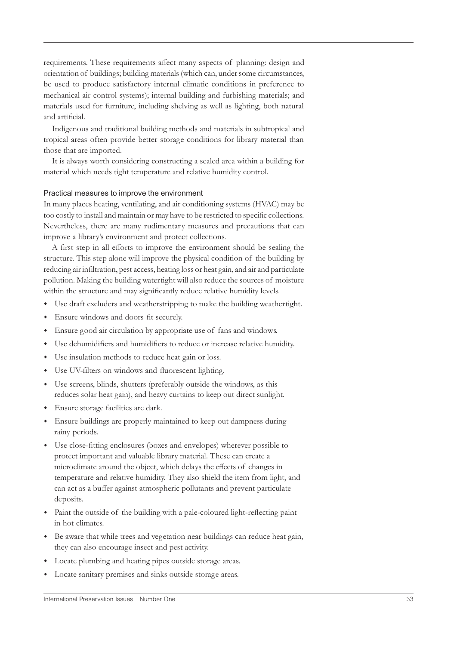requirements. These requirements affect many aspects of planning: design and orientation of buildings; building materials (which can, under some circumstances, be used to produce satisfactory internal climatic conditions in preference to mechanical air control systems); internal building and furbishing materials; and materials used for furniture, including shelving as well as lighting, both natural and artificial.

Indigenous and traditional building methods and materials in subtropical and tropical areas often provide better storage conditions for library material than those that are imported.

It is always worth considering constructing a sealed area within a building for material which needs tight temperature and relative humidity control.

#### Practical measures to improve the environment

In many places heating, ventilating, and air conditioning systems (HVAC) may be too costly to install and maintain or may have to be restricted to specific collections. Nevertheless, there are many rudimentary measures and precautions that can improve a library's environment and protect collections.

A first step in all efforts to improve the environment should be sealing the structure. This step alone will improve the physical condition of the building by reducing air infiltration, pest access, heating loss or heat gain, and air and particulate pollution. Making the building watertight will also reduce the sources of moisture within the structure and may significantly reduce relative humidity levels.

- w Use draft excluders and weatherstripping to make the building weathertight.
- w Ensure windows and doors fit securely.
- w Ensure good air circulation by appropriate use of fans and windows.
- Use dehumidifiers and humidifiers to reduce or increase relative humidity.
- Use insulation methods to reduce heat gain or loss.
- Use UV-filters on windows and fluorescent lighting.
- w Use screens, blinds, shutters (preferably outside the windows, as this reduces solar heat gain), and heavy curtains to keep out direct sunlight.
- w Ensure storage facilities are dark.
- w Ensure buildings are properly maintained to keep out dampness during rainy periods.
- w Use close-fitting enclosures (boxes and envelopes) wherever possible to protect important and valuable library material. These can create a microclimate around the object, which delays the effects of changes in temperature and relative humidity. They also shield the item from light, and can act as a buffer against atmospheric pollutants and prevent particulate deposits.
- Paint the outside of the building with a pale-coloured light-reflecting paint in hot climates.
- w Be aware that while trees and vegetation near buildings can reduce heat gain, they can also encourage insect and pest activity.
- Locate plumbing and heating pipes outside storage areas.
- $\bullet$  Locate sanitary premises and sinks outside storage areas.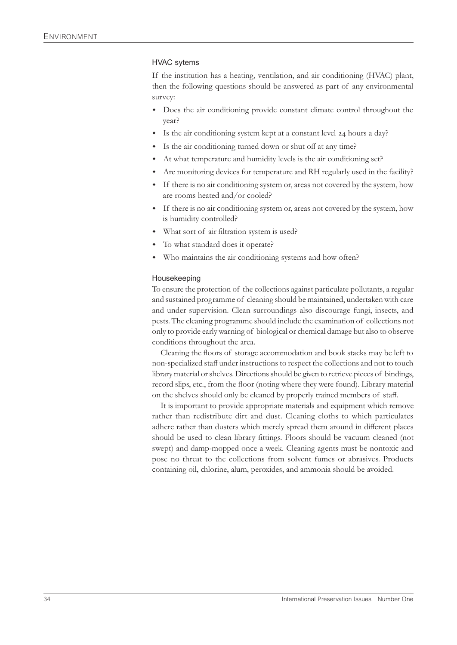#### HVAC sytems

If the institution has a heating, ventilation, and air conditioning (HVAC) plant, then the following questions should be answered as part of any environmental survey:

- Does the air conditioning provide constant climate control throughout the year?
- Is the air conditioning system kept at a constant level 24 hours a day?
- Is the air conditioning turned down or shut off at any time?
- At what temperature and humidity levels is the air conditioning set?
- Are monitoring devices for temperature and RH regularly used in the facility?
- If there is no air conditioning system or, areas not covered by the system, how are rooms heated and/or cooled?
- w If there is no air conditioning system or, areas not covered by the system, how is humidity controlled?
- What sort of air filtration system is used?
- To what standard does it operate?
- Who maintains the air conditioning systems and how often?

#### Housekeeping

To ensure the protection of the collections against particulate pollutants, a regular and sustained programme of cleaning should be maintained, undertaken with care and under supervision. Clean surroundings also discourage fungi, insects, and pests. The cleaning programme should include the examination of collections not only to provide early warning of biological or chemical damage but also to observe conditions throughout the area.

Cleaning the floors of storage accommodation and book stacks may be left to non-specialized staff under instructions to respect the collections and not to touch library material or shelves. Directions should be given to retrieve pieces of bindings, record slips, etc., from the floor (noting where they were found). Library material on the shelves should only be cleaned by properly trained members of staff.

It is important to provide appropriate materials and equipment which remove rather than redistribute dirt and dust. Cleaning cloths to which particulates adhere rather than dusters which merely spread them around in different places should be used to clean library fittings. Floors should be vacuum cleaned (not swept) and damp-mopped once a week. Cleaning agents must be nontoxic and pose no threat to the collections from solvent fumes or abrasives. Products containing oil, chlorine, alum, peroxides, and ammonia should be avoided.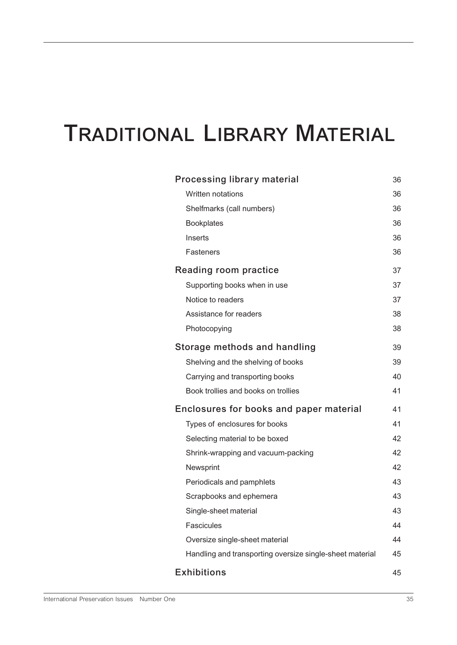## **TRADITIONAL LIBRARY MATERIAL**

| <b>Processing library material</b>                       | 36 |
|----------------------------------------------------------|----|
| Written notations                                        | 36 |
| Shelfmarks (call numbers)                                | 36 |
| <b>Bookplates</b>                                        | 36 |
| Inserts                                                  | 36 |
| Fasteners                                                | 36 |
| Reading room practice                                    | 37 |
| Supporting books when in use                             | 37 |
| Notice to readers                                        | 37 |
| Assistance for readers                                   | 38 |
| Photocopying                                             | 38 |
| Storage methods and handling                             | 39 |
| Shelving and the shelving of books                       | 39 |
| Carrying and transporting books                          | 40 |
| Book trollies and books on trollies                      | 41 |
| Enclosures for books and paper material                  | 41 |
| Types of enclosures for books                            | 41 |
| Selecting material to be boxed                           | 42 |
| Shrink-wrapping and vacuum-packing                       | 42 |
| Newsprint                                                | 42 |
| Periodicals and pamphlets                                | 43 |
| Scrapbooks and ephemera                                  | 43 |
| Single-sheet material                                    | 43 |
| Fascicules                                               | 44 |
| Oversize single-sheet material                           | 44 |
| Handling and transporting oversize single-sheet material | 45 |
| <b>Exhibitions</b>                                       | 45 |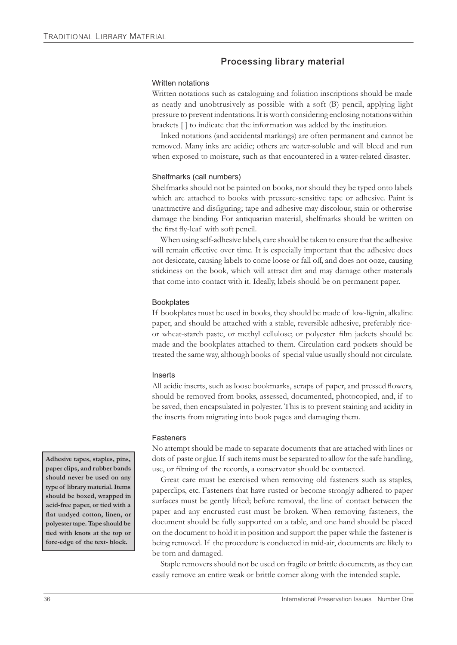## **Processing library material**

#### Written notations

Written notations such as cataloguing and foliation inscriptions should be made as neatly and unobtrusively as possible with a soft (B) pencil, applying light pressure to prevent indentations. It is worth considering enclosing notations within brackets [ ] to indicate that the information was added by the institution.

Inked notations (and accidental markings) are often permanent and cannot be removed. Many inks are acidic; others are water-soluble and will bleed and run when exposed to moisture, such as that encountered in a water-related disaster.

#### Shelfmarks (call numbers)

Shelfmarks should not be painted on books, nor should they be typed onto labels which are attached to books with pressure-sensitive tape or adhesive. Paint is unattractive and disfiguring; tape and adhesive may discolour, stain or otherwise damage the binding. For antiquarian material, shelfmarks should be written on the first fly-leaf with soft pencil.

When using self-adhesive labels, care should be taken to ensure that the adhesive will remain effective over time. It is especially important that the adhesive does not desiccate, causing labels to come loose or fall off, and does not ooze, causing stickiness on the book, which will attract dirt and may damage other materials that come into contact with it. Ideally, labels should be on permanent paper.

#### **Bookplates**

If bookplates must be used in books, they should be made of low-lignin, alkaline paper, and should be attached with a stable, reversible adhesive, preferably riceor wheat-starch paste, or methyl cellulose; or polyester film jackets should be made and the bookplates attached to them. Circulation card pockets should be treated the same way, although books of special value usually should not circulate.

#### Inserts

All acidic inserts, such as loose bookmarks, scraps of paper, and pressed flowers, should be removed from books, assessed, documented, photocopied, and, if to be saved, then encapsulated in polyester. This is to prevent staining and acidity in the inserts from migrating into book pages and damaging them.

#### Fasteners

No attempt should be made to separate documents that are attached with lines or dots of paste or glue. If such items must be separated to allow for the safe handling, use, or filming of the records, a conservator should be contacted.

Great care must be exercised when removing old fasteners such as staples, paperclips, etc. Fasteners that have rusted or become strongly adhered to paper surfaces must be gently lifted; before removal, the line of contact between the paper and any encrusted rust must be broken. When removing fasteners, the document should be fully supported on a table, and one hand should be placed on the document to hold it in position and support the paper while the fastener is being removed. If the procedure is conducted in mid-air, documents are likely to be torn and damaged.

Staple removers should not be used on fragile or brittle documents, as they can easily remove an entire weak or brittle corner along with the intended staple.

**Adhesive tapes, staples, pins, paper clips, and rubber bands should never be used on any type of library material. Items should be boxed, wrapped in acid-free paper, or tied with a flat undyed cotton, linen, or polyester tape. Tape should be tied with knots at the top or fore-edge of the text- block.**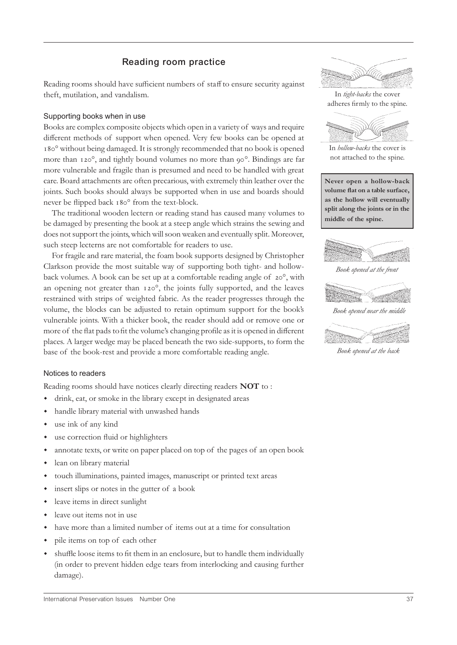# **Reading room practice**

Reading rooms should have sufficient numbers of staff to ensure security against theft, mutilation, and vandalism.

#### Supporting books when in use

Books are complex composite objects which open in a variety of ways and require different methods of support when opened. Very few books can be opened at ° without being damaged. It is strongly recommended that no book is opened more than 120°, and tightly bound volumes no more than 90°. Bindings are far more vulnerable and fragile than is presumed and need to be handled with great care. Board attachments are often precarious, with extremely thin leather over the joints. Such books should always be supported when in use and boards should never be flipped back 180° from the text-block.

The traditional wooden lectern or reading stand has caused many volumes to be damaged by presenting the book at a steep angle which strains the sewing and does not support the joints, which will soon weaken and eventually split. Moreover, such steep lecterns are not comfortable for readers to use.

For fragile and rare material, the foam book supports designed by Christopher Clarkson provide the most suitable way of supporting both tight- and hollowback volumes. A book can be set up at a comfortable reading angle of  $20^\circ$ , with an opening not greater than 120°, the joints fully supported, and the leaves restrained with strips of weighted fabric. As the reader progresses through the volume, the blocks can be adjusted to retain optimum support for the book's vulnerable joints. With a thicker book, the reader should add or remove one or more of the flat pads to fit the volume's changing profile as it is opened in different places. A larger wedge may be placed beneath the two side-supports, to form the base of the book-rest and provide a more comfortable reading angle.

#### Notices to readers

Reading rooms should have notices clearly directing readers **NOT** to :

- w drink, eat, or smoke in the library except in designated areas
- w handle library material with unwashed hands
- use ink of any kind
- use correction fluid or highlighters
- annotate texts, or write on paper placed on top of the pages of an open book
- lean on library material
- touch illuminations, painted images, manuscript or printed text areas
- insert slips or notes in the gutter of a book
- leave items in direct sunlight
- leave out items not in use
- have more than a limited number of items out at a time for consultation
- pile items on top of each other
- w shuffle loose items to fit them in an enclosure, but to handle them individually (in order to prevent hidden edge tears from interlocking and causing further damage).



In *tight-backs* the cover adheres firmly to the spine.



In *hollow-backs* the cover is not attached to the spine.

**Never open a hollow-back volume flat on a table surface, as the hollow will eventually split along the joints or in the middle of the spine.**



*Book opened at the front*



*Book opened at the back*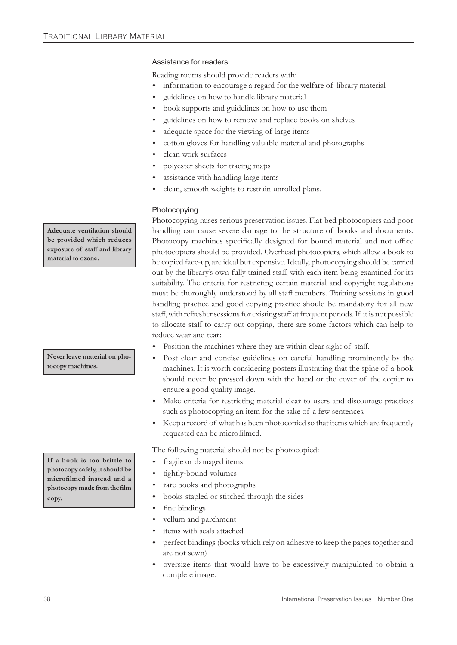#### Assistance for readers

Reading rooms should provide readers with:

- information to encourage a regard for the welfare of library material
- guidelines on how to handle library material
- book supports and guidelines on how to use them
- guidelines on how to remove and replace books on shelves
- adequate space for the viewing of large items
- cotton gloves for handling valuable material and photographs
- clean work surfaces
- polyester sheets for tracing maps
- assistance with handling large items
- clean, smooth weights to restrain unrolled plans.

#### Photocopying

Photocopying raises serious preservation issues. Flat-bed photocopiers and poor handling can cause severe damage to the structure of books and documents. Photocopy machines specifically designed for bound material and not office photocopiers should be provided. Overhead photocopiers, which allow a book to be copied face-up, are ideal but expensive. Ideally, photocopying should be carried out by the library's own fully trained staff, with each item being examined for its suitability. The criteria for restricting certain material and copyright regulations must be thoroughly understood by all staff members. Training sessions in good handling practice and good copying practice should be mandatory for all new staff, with refresher sessions for existing staff at frequent periods. If it is not possible to allocate staff to carry out copying, there are some factors which can help to reduce wear and tear:

- Position the machines where they are within clear sight of staff.
- Post clear and concise guidelines on careful handling prominently by the machines. It is worth considering posters illustrating that the spine of a book should never be pressed down with the hand or the cover of the copier to ensure a good quality image.
- Make criteria for restricting material clear to users and discourage practices such as photocopying an item for the sake of a few sentences.
- Keep a record of what has been photocopied so that items which are frequently requested can be microfilmed.

The following material should not be photocopied:

- fragile or damaged items
- tightly-bound volumes
- rare books and photographs
- books stapled or stitched through the sides
- fine bindings
- vellum and parchment
- items with seals attached
- perfect bindings (books which rely on adhesive to keep the pages together and are not sewn)
- oversize items that would have to be excessively manipulated to obtain a complete image.

**Adequate ventilation should be provided which reduces exposure of staff and library material to ozone.**

**Never leave material on photocopy machines.**

**If a book is too brittle to photocopy safely, it should be microfilmed instead and a photocopy made from the film copy.**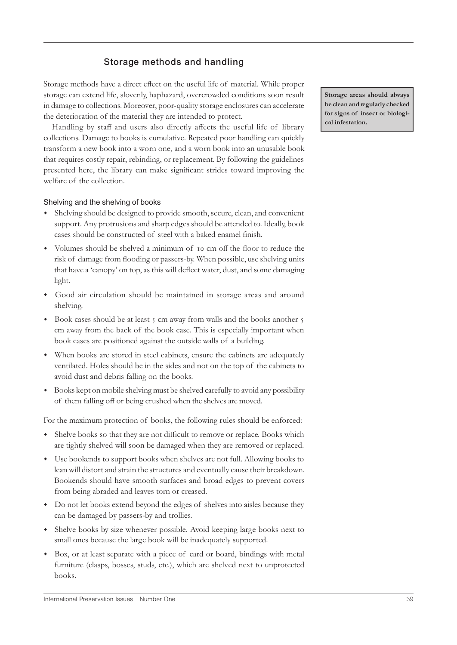# **Storage methods and handling**

Storage methods have a direct effect on the useful life of material. While proper storage can extend life, slovenly, haphazard, overcrowded conditions soon result in damage to collections. Moreover, poor-quality storage enclosures can accelerate the deterioration of the material they are intended to protect.

Handling by staff and users also directly affects the useful life of library collections. Damage to books is cumulative. Repeated poor handling can quickly transform a new book into a worn one, and a worn book into an unusable book that requires costly repair, rebinding, or replacement. By following the guidelines presented here, the library can make significant strides toward improving the welfare of the collection.

#### Shelving and the shelving of books

- w Shelving should be designed to provide smooth, secure, clean, and convenient support. Any protrusions and sharp edges should be attended to. Ideally, book cases should be constructed of steel with a baked enamel finish.
- w Volumes should be shelved a minimum of cm off the floor to reduce the risk of damage from flooding or passers-by. When possible, use shelving units that have a 'canopy' on top, as this will deflect water, dust, and some damaging light.
- w Good air circulation should be maintained in storage areas and around shelving.
- Book cases should be at least 5 cm away from walls and the books another 5 cm away from the back of the book case. This is especially important when book cases are positioned against the outside walls of a building.
- w When books are stored in steel cabinets, ensure the cabinets are adequately ventilated. Holes should be in the sides and not on the top of the cabinets to avoid dust and debris falling on the books.
- w Books kept on mobile shelving must be shelved carefully to avoid any possibility of them falling off or being crushed when the shelves are moved.

For the maximum protection of books, the following rules should be enforced:

- w Shelve books so that they are not difficult to remove or replace. Books which are tightly shelved will soon be damaged when they are removed or replaced.
- w Use bookends to support books when shelves are not full. Allowing books to lean will distort and strain the structures and eventually cause their breakdown. Bookends should have smooth surfaces and broad edges to prevent covers from being abraded and leaves torn or creased.
- Do not let books extend beyond the edges of shelves into aisles because they can be damaged by passers-by and trollies.
- Shelve books by size whenever possible. Avoid keeping large books next to small ones because the large book will be inadequately supported.
- w Box, or at least separate with a piece of card or board, bindings with metal furniture (clasps, bosses, studs, etc.), which are shelved next to unprotected books.

**Storage areas should always be clean and regularly checked for signs of insect or biological infestation.**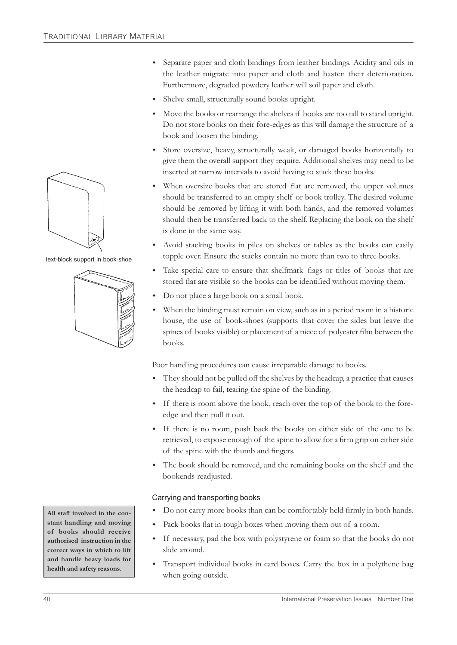- w Separate paper and cloth bindings from leather bindings. Acidity and oils in the leather migrate into paper and cloth and hasten their deterioration. Furthermore, degraded powdery leather will soil paper and cloth.
- Shelve small, structurally sound books upright.
- Move the books or rearrange the shelves if books are too tall to stand upright. Do not store books on their fore-edges as this will damage the structure of a book and loosen the binding.
- Store oversize, heavy, structurally weak, or damaged books horizontally to give them the overall support they require. Additional shelves may need to be inserted at narrow intervals to avoid having to stack these books.
- When oversize books that are stored flat are removed, the upper volumes should be transferred to an empty shelf or book trolley. The desired volume should be removed by lifting it with both hands, and the removed volumes should then be transferred back to the shelf. Replacing the book on the shelf is done in the same way.
- w Avoid stacking books in piles on shelves or tables as the books can easily topple over. Ensure the stacks contain no more than two to three books.
- Take special care to ensure that shelfmark flags or titles of books that are stored flat are visible so the books can be identified without moving them.
- Do not place a large book on a small book.
- When the binding must remain on view, such as in a period room in a historic house, the use of book-shoes (supports that cover the sides but leave the spines of books visible) or placement of a piece of polyester film between the books.

Poor handling procedures can cause irreparable damage to books.

- They should not be pulled off the shelves by the headcap, a practice that causes the headcap to fail, tearing the spine of the binding.
- w If there is room above the book, reach over the top of the book to the foreedge and then pull it out.
- w If there is no room, push back the books on either side of the one to be retrieved, to expose enough of the spine to allow for a firm grip on either side of the spine with the thumb and fingers.
- The book should be removed, and the remaining books on the shelf and the bookends readjusted.

#### Carrying and transporting books

- Do not carry more books than can be comfortably held firmly in both hands.
- Pack books flat in tough boxes when moving them out of a room.
- If necessary, pad the box with polystyrene or foam so that the books do not slide around.
- Transport individual books in card boxes. Carry the box in a polythene bag when going outside.



text-block support in book-shoe



**stant handling and moving of books should receive authorised instruction in the correct ways in which to lift and handle heavy loads for health and safety reasons.**

All staff involved in the con-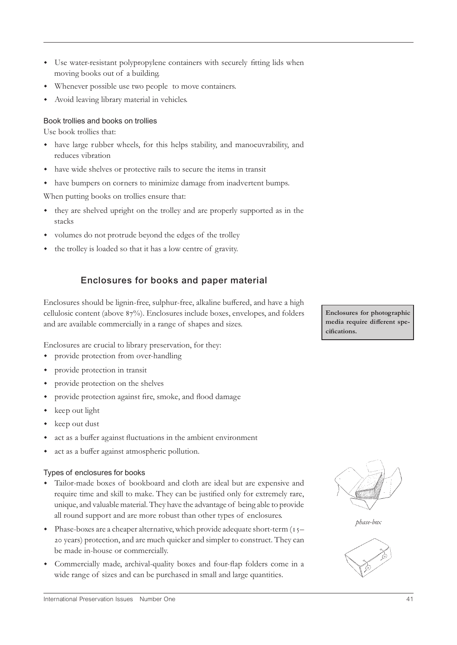- Use water-resistant polypropylene containers with securely fitting lids when moving books out of a building.
- w Whenever possible use two people to move containers.
- Avoid leaving library material in vehicles.

#### Book trollies and books on trollies

Use book trollies that:

- w have large rubber wheels, for this helps stability, and manoeuvrability, and reduces vibration
- w have wide shelves or protective rails to secure the items in transit
- $\bullet$  have bumpers on corners to minimize damage from inadvertent bumps.

When putting books on trollies ensure that:

- w they are shelved upright on the trolley and are properly supported as in the stacks
- w volumes do not protrude beyond the edges of the trolley
- the trolley is loaded so that it has a low centre of gravity.

# **Enclosures for books and paper material**

Enclosures should be lignin-free, sulphur-free, alkaline buffered, and have a high cellulosic content (above  $87\%$ ). Enclosures include boxes, envelopes, and folders and are available commercially in a range of shapes and sizes.

Enclosures are crucial to library preservation, for they:

- provide protection from over-handling
- provide protection in transit
- provide protection on the shelves
- provide protection against fire, smoke, and flood damage
- keep out light
- $\bullet$  keep out dust
- act as a buffer against fluctuations in the ambient environment
- act as a buffer against atmospheric pollution.

#### Types of enclosures for books

- w Tailor-made boxes of bookboard and cloth are ideal but are expensive and require time and skill to make. They can be justified only for extremely rare, unique, and valuable material. They have the advantage of being able to provide all round support and are more robust than other types of enclosures.
- Phase-boxes are a cheaper alternative, which provide adequate short-term (15-20 years) protection, and are much quicker and simpler to construct. They can be made in-house or commercially.
- w Commercially made, archival-quality boxes and four-flap folders come in a wide range of sizes and can be purchased in small and large quantities.







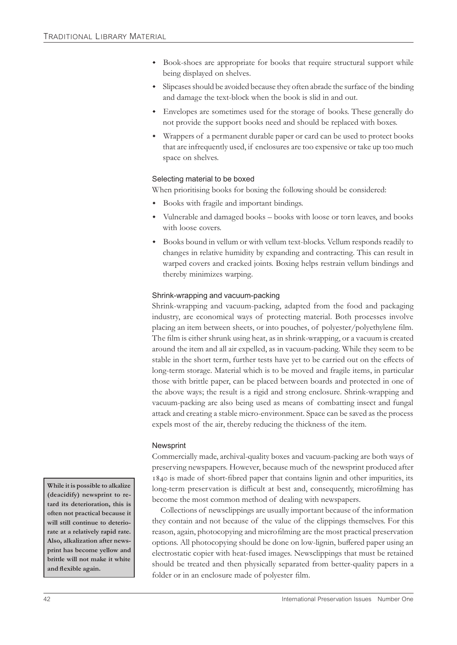- Book-shoes are appropriate for books that require structural support while being displayed on shelves.
- w Slipcases should be avoided because they often abrade the surface of the binding and damage the text-block when the book is slid in and out.
- w Envelopes are sometimes used for the storage of books. These generally do not provide the support books need and should be replaced with boxes.
- w Wrappers of a permanent durable paper or card can be used to protect books that are infrequently used, if enclosures are too expensive or take up too much space on shelves.

#### Selecting material to be boxed

When prioritising books for boxing the following should be considered:

- Books with fragile and important bindings.
- Vulnerable and damaged books books with loose or torn leaves, and books with loose covers.
- w Books bound in vellum or with vellum text-blocks. Vellum responds readily to changes in relative humidity by expanding and contracting. This can result in warped covers and cracked joints. Boxing helps restrain vellum bindings and thereby minimizes warping.

#### Shrink-wrapping and vacuum-packing

Shrink-wrapping and vacuum-packing, adapted from the food and packaging industry, are economical ways of protecting material. Both processes involve placing an item between sheets, or into pouches, of polyester/polyethylene film. The film is either shrunk using heat, as in shrink-wrapping, or a vacuum is created around the item and all air expelled, as in vacuum-packing. While they seem to be stable in the short term, further tests have yet to be carried out on the effects of long-term storage. Material which is to be moved and fragile items, in particular those with brittle paper, can be placed between boards and protected in one of the above ways; the result is a rigid and strong enclosure. Shrink-wrapping and vacuum-packing are also being used as means of combatting insect and fungal attack and creating a stable micro-environment. Space can be saved as the process expels most of the air, thereby reducing the thickness of the item.

#### **Newsprint**

Commercially made, archival-quality boxes and vacuum-packing are both ways of preserving newspapers. However, because much of the newsprint produced after is made of short-fibred paper that contains lignin and other impurities, its long-term preservation is difficult at best and, consequently, microfilming has become the most common method of dealing with newspapers.

Collections of newsclippings are usually important because of the information they contain and not because of the value of the clippings themselves. For this reason, again, photocopying and microfilming are the most practical preservation options. All photocopying should be done on low-lignin, buffered paper using an electrostatic copier with heat-fused images. Newsclippings that must be retained should be treated and then physically separated from better-quality papers in a folder or in an enclosure made of polyester film.

**While it is possible to alkalize (deacidify) newsprint to retard its deterioration, this is often not practical because it will still continue to deteriorate at a relatively rapid rate. Also, alkalization after newsprint has become yellow and brittle will not make it white and flexible again.**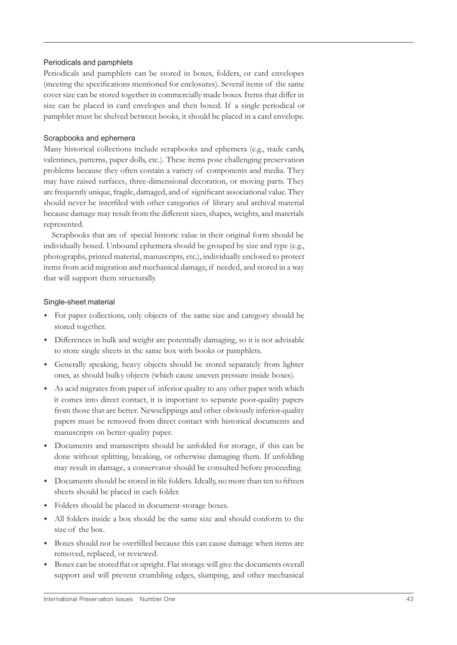#### Periodicals and pamphlets

Periodicals and pamphlets can be stored in boxes, folders, or card envelopes (meeting the specifications mentioned for enclosures). Several items of the same cover size can be stored together in commercially made boxes. Items that differ in size can be placed in card envelopes and then boxed. If a single periodical or pamphlet must be shelved between books, it should be placed in a card envelope.

#### Scrapbooks and ephemera

Many historical collections include scrapbooks and ephemera (e.g., trade cards, valentines, patterns, paper dolls, etc.). These items pose challenging preservation problems because they often contain a variety of components and media. They may have raised surfaces, three-dimensional decoration, or moving parts. They are frequently unique, fragile, damaged, and of significant associational value. They should never be interfiled with other categories of library and archival material because damage may result from the different sizes, shapes, weights, and materials represented.

Scrapbooks that are of special historic value in their original form should be individually boxed. Unbound ephemera should be grouped by size and type (e.g., photographs, printed material, manuscripts, etc.), individually enclosed to protect items from acid migration and mechanical damage, if needed, and stored in a way that will support them structurally.

#### Single-sheet material

- For paper collections, only objects of the same size and category should be stored together.
- w Differences in bulk and weight are potentially damaging, so it is not advisable to store single sheets in the same box with books or pamphlets.
- w Generally speaking, heavy objects should be stored separately from lighter ones, as should bulky objects (which cause uneven pressure inside boxes).
- As acid migrates from paper of inferior quality to any other paper with which it comes into direct contact, it is important to separate poor-quality papers from those that are better. Newsclippings and other obviously inferior-quality papers must be removed from direct contact with historical documents and manuscripts on better-quality paper.
- w Documents and manuscripts should be unfolded for storage, if this can be done without splitting, breaking, or otherwise damaging them. If unfolding may result in damage, a conservator should be consulted before proceeding.
- w Documents should be stored in file folders. Ideally, no more than ten to fifteen sheets should be placed in each folder.
- Folders should be placed in document-storage boxes.
- w All folders inside a box should be the same size and should conform to the size of the box.
- w Boxes should not be overfilled because this can cause damage when items are removed, replaced, or reviewed.
- Boxes can be stored flat or upright. Flat storage will give the documents overall support and will prevent crumbling edges, slumping, and other mechanical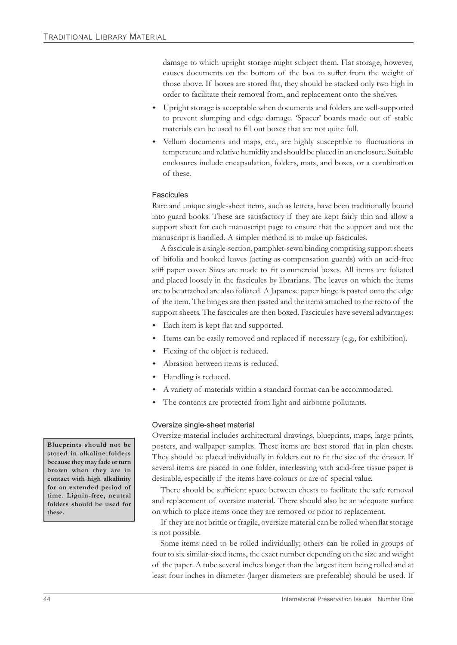damage to which upright storage might subject them. Flat storage, however, causes documents on the bottom of the box to suffer from the weight of those above. If boxes are stored flat, they should be stacked only two high in order to facilitate their removal from, and replacement onto the shelves.

- w Upright storage is acceptable when documents and folders are well-supported to prevent slumping and edge damage. 'Spacer' boards made out of stable materials can be used to fill out boxes that are not quite full.
- w Vellum documents and maps, etc., are highly susceptible to fluctuations in temperature and relative humidity and should be placed in an enclosure. Suitable enclosures include encapsulation, folders, mats, and boxes, or a combination of these.

#### Fascicules

Rare and unique single-sheet items, such as letters, have been traditionally bound into guard books. These are satisfactory if they are kept fairly thin and allow a support sheet for each manuscript page to ensure that the support and not the manuscript is handled. A simpler method is to make up fascicules.

A fascicule is a single-section, pamphlet-sewn binding comprising support sheets of bifolia and hooked leaves (acting as compensation guards) with an acid-free stiff paper cover. Sizes are made to fit commercial boxes. All items are foliated and placed loosely in the fascicules by librarians. The leaves on which the items are to be attached are also foliated. A Japanese paper hinge is pasted onto the edge of the item. The hinges are then pasted and the items attached to the recto of the support sheets. The fascicules are then boxed. Fascicules have several advantages:

- Each item is kept flat and supported.
- Items can be easily removed and replaced if necessary (e.g., for exhibition).
- Flexing of the object is reduced.
- Abrasion between items is reduced.
- Handling is reduced.
- A variety of materials within a standard format can be accommodated.
- The contents are protected from light and airborne pollutants.

#### Oversize single-sheet material

Oversize material includes architectural drawings, blueprints, maps, large prints, posters, and wallpaper samples. These items are best stored flat in plan chests. They should be placed individually in folders cut to fit the size of the drawer. If several items are placed in one folder, interleaving with acid-free tissue paper is desirable, especially if the items have colours or are of special value.

There should be sufficient space between chests to facilitate the safe removal and replacement of oversize material. There should also be an adequate surface on which to place items once they are removed or prior to replacement.

If they are not brittle or fragile, oversize material can be rolled when flat storage is not possible.

Some items need to be rolled individually; others can be rolled in groups of four to six similar-sized items, the exact number depending on the size and weight of the paper. A tube several inches longer than the largest item being rolled and at least four inches in diameter (larger diameters are preferable) should be used. If

**Blueprints should not be stored in alkaline folders because they may fade or turn brown when they are in contact with high alkalinity for an extended period of time. Lignin-free, neutral folders should be used for these.**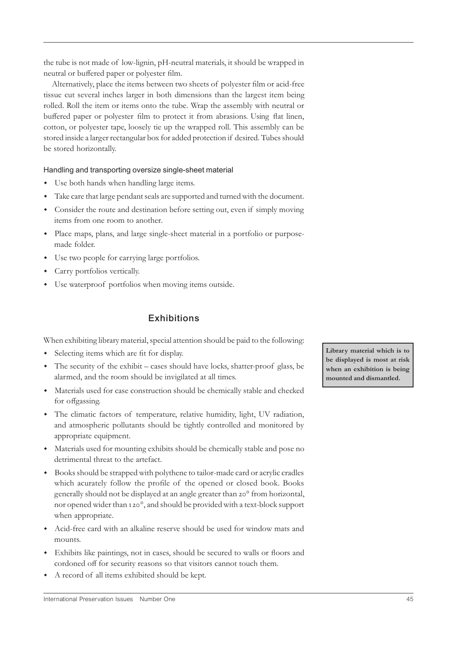the tube is not made of low-lignin, pH-neutral materials, it should be wrapped in neutral or buffered paper or polyester film.

Alternatively, place the items between two sheets of polyester film or acid-free tissue cut several inches larger in both dimensions than the largest item being rolled. Roll the item or items onto the tube. Wrap the assembly with neutral or buffered paper or polyester film to protect it from abrasions. Using flat linen, cotton, or polyester tape, loosely tie up the wrapped roll. This assembly can be stored inside a larger rectangular box for added protection if desired. Tubes should be stored horizontally.

Handling and transporting oversize single-sheet material

- Use both hands when handling large items.
- w Take care that large pendant seals are supported and turned with the document.
- w Consider the route and destination before setting out, even if simply moving items from one room to another.
- w Place maps, plans, and large single-sheet material in a portfolio or purposemade folder.
- Use two people for carrying large portfolios.
- Carry portfolios vertically.
- Use waterproof portfolios when moving items outside.

# **Exhibitions**

When exhibiting library material, special attention should be paid to the following:

- Selecting items which are fit for display.
- w The security of the exhibit cases should have locks, shatter-proof glass, be alarmed, and the room should be invigilated at all times.
- w Materials used for case construction should be chemically stable and checked for offgassing.
- The climatic factors of temperature, relative humidity, light, UV radiation, and atmospheric pollutants should be tightly controlled and monitored by appropriate equipment.
- w Materials used for mounting exhibits should be chemically stable and pose no detrimental threat to the artefact.
- w Books should be strapped with polythene to tailor-made card or acrylic cradles which acurately follow the profile of the opened or closed book. Books generally should not be displayed at an angle greater than 20° from horizontal, nor opened wider than 120°, and should be provided with a text-block support when appropriate.
- w Acid-free card with an alkaline reserve should be used for window mats and mounts.
- w Exhibits like paintings, not in cases, should be secured to walls or floors and cordoned off for security reasons so that visitors cannot touch them.
- A record of all items exhibited should be kept.

**Library material which is to be displayed is most at risk when an exhibition is being mounted and dismantled.**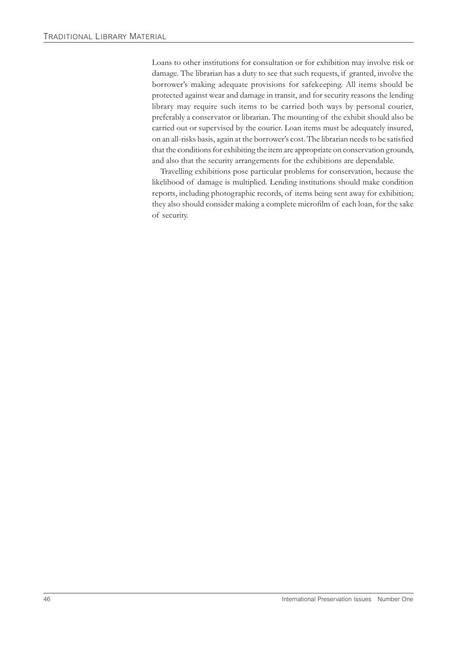Loans to other institutions for consultation or for exhibition may involve risk or damage. The librarian has a duty to see that such requests, if granted, involve the borrower's making adequate provisions for safekeeping. All items should be protected against wear and damage in transit, and for security reasons the lending library may require such items to be carried both ways by personal courier, preferably a conservator or librarian. The mounting of the exhibit should also be carried out or supervised by the courier. Loan items must be adequately insured, on an all-risks basis, again at the borrower's cost. The librarian needs to be satisfied that the conditions for exhibiting the item are appropriate on conservation grounds, and also that the security arrangements for the exhibitions are dependable.

Travelling exhibitions pose particular problems for conservation, because the likelihood of damage is multiplied. Lending institutions should make condition reports, including photographic records, of items being sent away for exhibition; they also should consider making a complete microfilm of each loan, for the sake of security.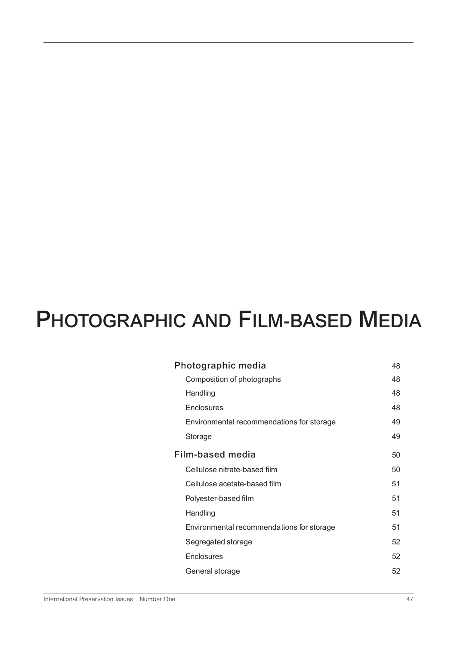# **PHOTOGRAPHIC AND FILM-BASED MEDIA**

| Photographic media<br>48 |                                           |    |
|--------------------------|-------------------------------------------|----|
|                          | Composition of photographs                | 48 |
|                          | Handling                                  | 48 |
|                          | Enclosures                                | 48 |
|                          | Environmental recommendations for storage | 49 |
|                          | Storage                                   | 49 |
| Film-based media         |                                           | 50 |
|                          | Cellulose nitrate-based film              | 50 |
|                          | Cellulose acetate-based film              | 51 |
|                          | Polyester-based film                      | 51 |
|                          | Handling                                  | 51 |
|                          | Environmental recommendations for storage | 51 |
|                          | Segregated storage                        | 52 |
|                          | Enclosures                                | 52 |
|                          | General storage                           | 52 |
|                          |                                           |    |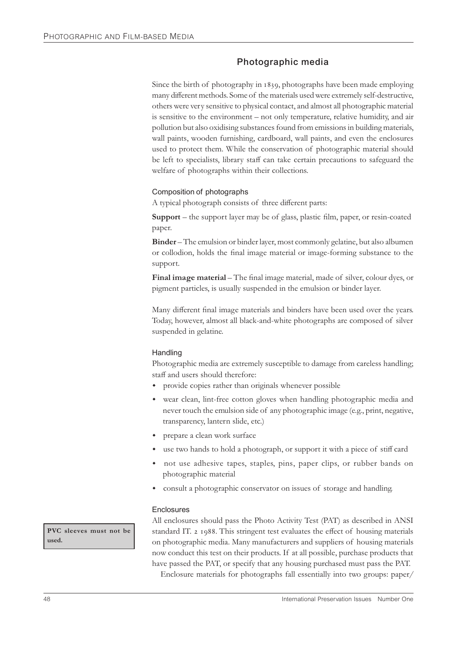# **Photographic media**

Since the birth of photography in 1839, photographs have been made employing many different methods. Some of the materials used were extremely self-destructive, others were very sensitive to physical contact, and almost all photographic material is sensitive to the environment – not only temperature, relative humidity, and air pollution but also oxidising substances found from emissions in building materials, wall paints, wooden furnishing, cardboard, wall paints, and even the enclosures used to protect them. While the conservation of photographic material should be left to specialists, library staff can take certain precautions to safeguard the welfare of photographs within their collections.

#### Composition of photographs

A typical photograph consists of three different parts:

**Support** – the support layer may be of glass, plastic film, paper, or resin-coated paper.

**Binder** – The emulsion or binder layer, most commonly gelatine, but also albumen or collodion, holds the final image material or image-forming substance to the support.

**Final image material** – The final image material, made of silver, colour dyes, or pigment particles, is usually suspended in the emulsion or binder layer.

Many different final image materials and binders have been used over the years. Today, however, almost all black-and-white photographs are composed of silver suspended in gelatine.

#### **Handling**

Photographic media are extremely susceptible to damage from careless handling; staff and users should therefore:

- provide copies rather than originals whenever possible
- wear clean, lint-free cotton gloves when handling photographic media and never touch the emulsion side of any photographic image (e.g., print, negative, transparency, lantern slide, etc.)
- prepare a clean work surface
- use two hands to hold a photograph, or support it with a piece of stiff card
- not use adhesive tapes, staples, pins, paper clips, or rubber bands on photographic material
- consult a photographic conservator on issues of storage and handling.

#### **Enclosures**

All enclosures should pass the Photo Activity Test (PAT) as described in ANSI standard IT. 2 1988. This stringent test evaluates the effect of housing materials on photographic media. Many manufacturers and suppliers of housing materials now conduct this test on their products. If at all possible, purchase products that have passed the PAT, or specify that any housing purchased must pass the PAT.

Enclosure materials for photographs fall essentially into two groups: paper/

**PVC sleeves must not be used.**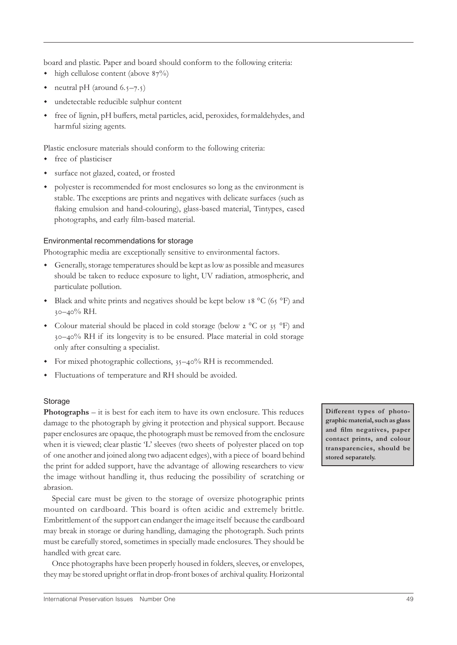board and plastic. Paper and board should conform to the following criteria:

- $\bullet$  high cellulose content (above  $87\%$ )
- neutral pH (around  $6.5-7.5$ )
- undetectable reducible sulphur content
- free of lignin, pH buffers, metal particles, acid, peroxides, formaldehydes, and harmful sizing agents.

Plastic enclosure materials should conform to the following criteria:

- free of plasticiser
- surface not glazed, coated, or frosted
- polyester is recommended for most enclosures so long as the environment is stable. The exceptions are prints and negatives with delicate surfaces (such as flaking emulsion and hand-colouring), glass-based material, Tintypes, cased photographs, and early film-based material.

#### Environmental recommendations for storage

Photographic media are exceptionally sensitive to environmental factors.

- w Generally, storage temperatures should be kept as low as possible and measures should be taken to reduce exposure to light, UV radiation, atmospheric, and particulate pollution.
- Black and white prints and negatives should be kept below 18  $^{\circ}$ C (65  $^{\circ}$ F) and  $30 - 40\%$  RH.
- Colour material should be placed in cold storage (below  $2^{\circ}$ C or  $35^{\circ}$ F) and –% RH if its longevity is to be ensured. Place material in cold storage only after consulting a specialist.
- For mixed photographic collections,  $35-40\%$  RH is recommended.
- w Fluctuations of temperature and RH should be avoided.

#### Storage

**Photographs** – it is best for each item to have its own enclosure. This reduces damage to the photograph by giving it protection and physical support. Because paper enclosures are opaque, the photograph must be removed from the enclosure when it is viewed; clear plastic 'L' sleeves (two sheets of polyester placed on top of one another and joined along two adjacent edges), with a piece of board behind the print for added support, have the advantage of allowing researchers to view the image without handling it, thus reducing the possibility of scratching or abrasion.

Special care must be given to the storage of oversize photographic prints mounted on cardboard. This board is often acidic and extremely brittle. Embrittlement of the support can endanger the image itself because the cardboard may break in storage or during handling, damaging the photograph. Such prints must be carefully stored, sometimes in specially made enclosures. They should be handled with great care.

Once photographs have been properly housed in folders, sleeves, or envelopes, they may be stored upright or flat in drop-front boxes of archival quality. Horizontal Different types of photo**graphic material, such as glass and film negatives, paper contact prints, and colour transparencies, should be stored separately.**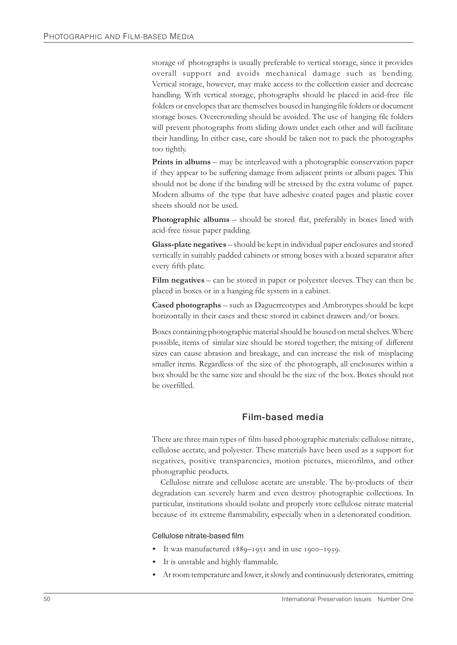storage of photographs is usually preferable to vertical storage, since it provides overall support and avoids mechanical damage such as bending. Vertical storage, however, may make access to the collection easier and decrease handling. With vertical storage, photographs should be placed in acid-free file folders or envelopes that are themselves housed in hanging file folders or document storage boxes. Overcrowding should be avoided. The use of hanging file folders will prevent photographs from sliding down under each other and will facilitate their handling. In either case, care should be taken not to pack the photographs too tightly.

**Prints in albums** – may be interleaved with a photographic conservation paper if they appear to be suffering damage from adjacent prints or album pages. This should not be done if the binding will be stressed by the extra volume of paper. Modern albums of the type that have adhesive coated pages and plastic cover sheets should not be used.

**Photographic albums** – should be stored flat, preferably in boxes lined with acid-free tissue paper padding.

**Glass-plate negatives** – should be kept in individual paper enclosures and stored vertically in suitably padded cabinets or strong boxes with a board separator after every fifth plate.

**Film negatives** – can be stored in paper or polyester sleeves. They can then be placed in boxes or in a hanging file system in a cabinet.

**Cased photographs** – such as Daguerreotypes and Ambrotypes should be kept horizontally in their cases and these stored in cabinet drawers and/or boxes.

Boxes containing photographic material should be housed on metal shelves. Where possible, items of similar size should be stored together; the mixing of different sizes can cause abrasion and breakage, and can increase the risk of misplacing smaller items. Regardless of the size of the photograph, all enclosures within a box should be the same size and should be the size of the box. Boxes should not be overfilled.

#### **Film-based media**

There are three main types of film-based photographic materials: cellulose nitrate, cellulose acetate, and polyester. These materials have been used as a support for negatives, positive transparencies, motion pictures, microfilms, and other photographic products.

Cellulose nitrate and cellulose acetate are unstable. The by-products of their degradation can severely harm and even destroy photographic collections. In particular, institutions should isolate and properly store cellulose nitrate material because of its extreme flammability, especially when in a deteriorated condition.

Cellulose nitrate-based film

- It was manufactured  $1889 1951$  and in use  $1900 1939$ .
- It is unstable and highly flammable.
- At room temperature and lower, it slowly and continuously deteriorates, emitting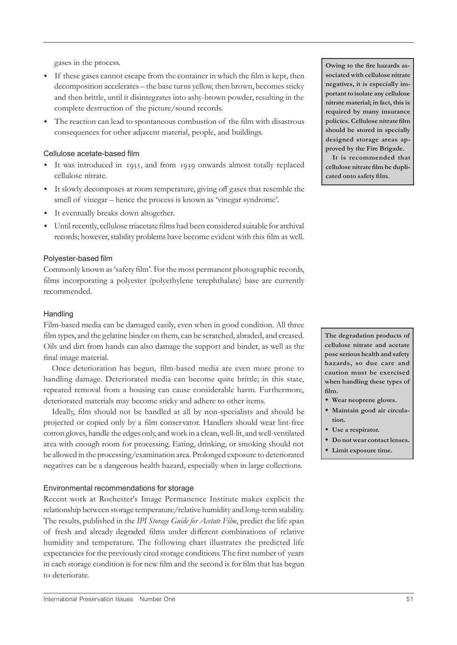gases in the process.

- w If these gases cannot escape from the container in which the film is kept, then decomposition accelerates – the base turns yellow, then brown, becomes sticky and then brittle, until it disintegrates into ashy-brown powder, resulting in the complete destruction of the picture/sound records.
- The reaction can lead to spontaneous combustion of the film with disastrous consequences for other adjacent material, people, and buildings.

#### Cellulose acetate-based film

- It was introduced in 1935, and from 1939 onwards almost totally replaced cellulose nitrate.
- w It slowly decomposes at room temperature, giving off gases that resemble the smell of vinegar – hence the process is known as 'vinegar syndrome'.
- It eventually breaks down altogether.
- w Until recently, cellulose triacetate films had been considered suitable for archival records; however, stability problems have become evident with this film as well.

#### Polyester-based film

Commonly known as 'safety film'. For the most permanent photographic records, films incorporating a polyester (polyethylene terephthalate) base are currently recommended.

#### **Handling**

Film-based media can be damaged easily, even when in good condition. All three film types, and the gelatine binder on them, can be scratched, abraded, and creased. Oils and dirt from hands can also damage the support and binder, as well as the final image material.

Once deterioration has begun, film-based media are even more prone to handling damage. Deteriorated media can become quite brittle; in this state, repeated removal from a housing can cause considerable harm. Furthermore, deteriorated materials may become sticky and adhere to other items.

Ideally, film should not be handled at all by non-specialists and should be projected or copied only by a film conservator. Handlers should wear lint-free cotton gloves, handle the edges only, and work in a clean, well-lit, and well-ventilated area with enough room for processing. Eating, drinking, or smoking should not be allowed in the processing/examination area. Prolonged exposure to deteriorated negatives can be a dangerous health hazard, especially when in large collections.

#### Environmental recommendations for storage

Recent work at Rochester's Image Permanence Institute makes explicit the relationship between storage temperature/relative humidity and long-term stability. The results, published in the *IPI Storage Guide for Acetate Film*, predict the life span of fresh and already degraded films under different combinations of relative humidity and temperature. The following chart illustrates the predicted life expectancies for the previously cited storage conditions. The first number of years in each storage condition is for new film and the second is for film that has begun to deteriorate.

**Owing to the fire hazards associated with cellulose nitrate negatives, it is especially important to isolate any cellulose nitrate material; in fact, this is required by many insurance policies. Cellulose nitrate film should be stored in specially designed storage areas approved by the Fire Brigade.**

**It is recommended that cellulose nitrate film be duplicated onto safety film.**

**The degradation products of cellulose nitrate and acetate pose serious health and safety hazards, so due care and caution must be exercised when handling these types of film.**

- $*$  Wear neoprene gloves.
- $*$  Maintain good air circula**tion.**
- $\bullet$  Use a respirator.
- $\bullet$  Do not wear contact lenses.
- $*$  Limit exposure time.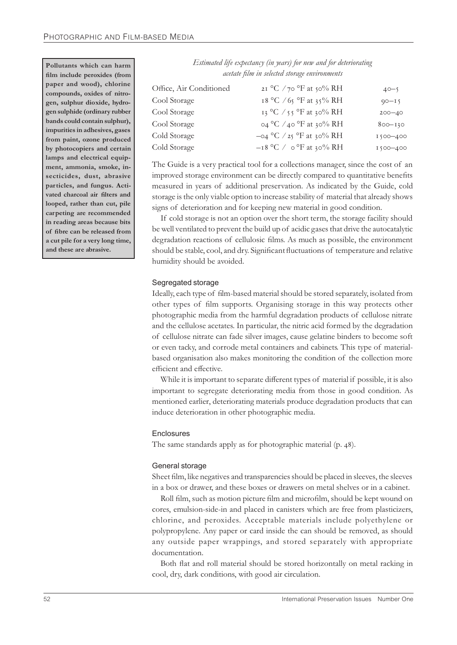**Pollutants which can harm film include peroxides (from paper and wood), chlorine compounds, oxides of nitrogen, sulphur dioxide, hydrogen sulphide (ordinary rubber bands could contain sulphur), impurities in adhesives, gases from paint, ozone produced by photocopiers and certain lamps and electrical equipment, ammonia, smoke, insecticides, dust, abrasive particles, and fungus. Activated charcoal air filters and looped, rather than cut, pile carpeting are recommended in reading areas because bits of fibre can be released from a cut pile for a very long time, and these are abrasive.**

| Estimated life expectancy (in years) for new and for deteriorating |
|--------------------------------------------------------------------|
| acetate film in selected storage environments                      |

| Office, Air Conditioned | 21 °C /70 °F at 50% RH          | $40 - 5$     |
|-------------------------|---------------------------------|--------------|
| Cool Storage            | 18 °C / 65 °F at 35% RH         | $90 - 15$    |
| Cool Storage            | 13 °C / 55 °F at 30% RH         | $200 - 40$   |
| Cool Storage            | $\circ$ 4 °C /40 °F at 30% RH   | $800 - 130$  |
| Cold Storage            | $-$ 04 °C / 25 °F at 30% RH     | 1500-400     |
| Cold Storage            | $-18$ °C / $\circ$ °F at 30% RH | $1500 - 400$ |

The Guide is a very practical tool for a collections manager, since the cost of an improved storage environment can be directly compared to quantitative benefits measured in years of additional preservation. As indicated by the Guide, cold storage is the only viable option to increase stability of material that already shows signs of deterioration and for keeping new material in good condition.

If cold storage is not an option over the short term, the storage facility should be well ventilated to prevent the build up of acidic gases that drive the autocatalytic degradation reactions of cellulosic films. As much as possible, the environment should be stable, cool, and dry. Significant fluctuations of temperature and relative humidity should be avoided.

#### Segregated storage

Ideally, each type of film-based material should be stored separately, isolated from other types of film supports. Organising storage in this way protects other photographic media from the harmful degradation products of cellulose nitrate and the cellulose acetates. In particular, the nitric acid formed by the degradation of cellulose nitrate can fade silver images, cause gelatine binders to become soft or even tacky, and corrode metal containers and cabinets. This type of materialbased organisation also makes monitoring the condition of the collection more efficient and effective.

While it is important to separate different types of material if possible, it is also important to segregate deteriorating media from those in good condition. As mentioned earlier, deteriorating materials produce degradation products that can induce deterioration in other photographic media.

#### **Enclosures**

The same standards apply as for photographic material (p. 48).

#### General storage

Sheet film, like negatives and transparencies should be placed in sleeves, the sleeves in a box or drawer, and these boxes or drawers on metal shelves or in a cabinet.

Roll film, such as motion picture film and microfilm, should be kept wound on cores, emulsion-side-in and placed in canisters which are free from plasticizers, chlorine, and peroxides. Acceptable materials include polyethylene or polypropylene. Any paper or card inside the can should be removed, as should any outside paper wrappings, and stored separately with appropriate documentation.

Both flat and roll material should be stored horizontally on metal racking in cool, dry, dark conditions, with good air circulation.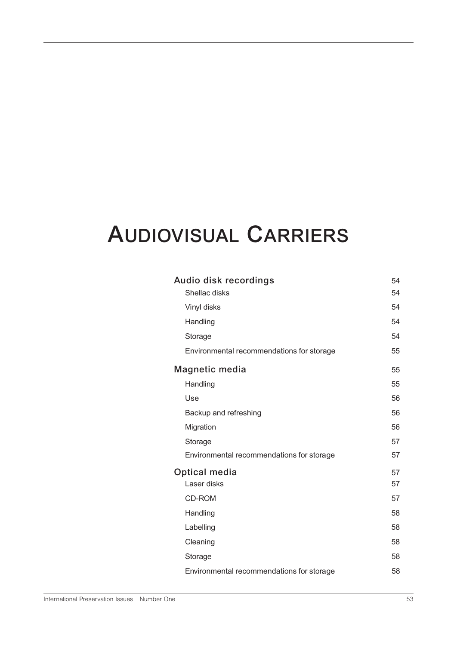# **AUDIOVISUAL CARRIERS**

| Audio disk recordings<br>54               |    |  |
|-------------------------------------------|----|--|
| Shellac disks                             | 54 |  |
| Vinyl disks                               | 54 |  |
| Handling                                  | 54 |  |
| Storage                                   | 54 |  |
| Environmental recommendations for storage | 55 |  |
| Magnetic media                            |    |  |
| Handling                                  | 55 |  |
| Use                                       | 56 |  |
| Backup and refreshing                     | 56 |  |
| Migration                                 | 56 |  |
| Storage                                   | 57 |  |
| Environmental recommendations for storage | 57 |  |
| Optical media                             |    |  |
| Laser disks                               | 57 |  |
| <b>CD-ROM</b>                             | 57 |  |
| Handling                                  | 58 |  |
| Labelling                                 | 58 |  |
| Cleaning                                  | 58 |  |
| Storage                                   | 58 |  |
| Environmental recommendations for storage | 58 |  |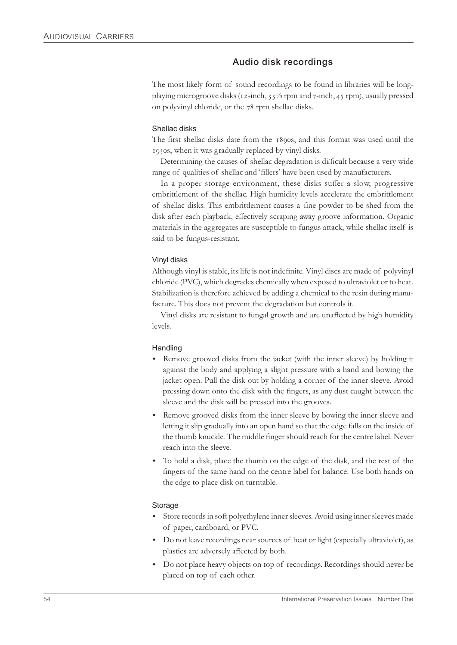# **Audio disk recordings**

The most likely form of sound recordings to be found in libraries will be longplaying microgroove disks ( $i_1$ -inch,  $i_3$ <sup>1</sup>/<sub>3</sub> rpm and  $i_7$ -inch,  $i_1$  rpm), usually pressed on polyvinyl chloride, or the 78 rpm shellac disks.

#### Shellac disks

The first shellac disks date from the 1890s, and this format was used until the 1950s, when it was gradually replaced by vinyl disks.

Determining the causes of shellac degradation is difficult because a very wide range of qualities of shellac and 'fillers' have been used by manufacturers.

In a proper storage environment, these disks suffer a slow, progressive embrittlement of the shellac. High humidity levels accelerate the embrittlement of shellac disks. This embrittlement causes a fine powder to be shed from the disk after each playback, effectively scraping away groove information. Organic materials in the aggregates are susceptible to fungus attack, while shellac itself is said to be fungus-resistant.

#### Vinyl disks

Although vinyl is stable, its life is not indefinite. Vinyl discs are made of polyvinyl chloride (PVC), which degrades chemically when exposed to ultraviolet or to heat. Stabilization is therefore achieved by adding a chemical to the resin during manufacture. This does not prevent the degradation but controls it.

Vinyl disks are resistant to fungal growth and are unaffected by high humidity levels.

#### **Handling**

- Remove grooved disks from the jacket (with the inner sleeve) by holding it against the body and applying a slight pressure with a hand and bowing the jacket open. Pull the disk out by holding a corner of the inner sleeve. Avoid pressing down onto the disk with the fingers, as any dust caught between the sleeve and the disk will be pressed into the grooves.
- Remove grooved disks from the inner sleeve by bowing the inner sleeve and letting it slip gradually into an open hand so that the edge falls on the inside of the thumb knuckle. The middle finger should reach for the centre label. Never reach into the sleeve.
- w To hold a disk, place the thumb on the edge of the disk, and the rest of the fingers of the same hand on the centre label for balance. Use both hands on the edge to place disk on turntable.

#### **Storage**

- Store records in soft polyethylene inner sleeves. Avoid using inner sleeves made of paper, cardboard, or PVC.
- w Do not leave recordings near sources of heat or light (especially ultraviolet), as plastics are adversely affected by both.
- Do not place heavy objects on top of recordings. Recordings should never be placed on top of each other.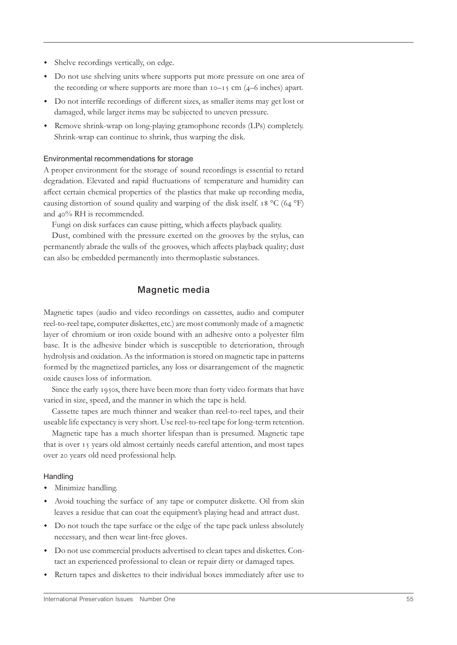- Shelve recordings vertically, on edge.
- Do not use shelving units where supports put more pressure on one area of the recording or where supports are more than  $10-15$  cm (4–6 inches) apart.
- w Do not interfile recordings of different sizes, as smaller items may get lost or damaged, while larger items may be subjected to uneven pressure.
- Remove shrink-wrap on long-playing gramophone records (LPs) completely. Shrink-wrap can continue to shrink, thus warping the disk.

#### Environmental recommendations for storage

A proper environment for the storage of sound recordings is essential to retard degradation. Elevated and rapid fluctuations of temperature and humidity can affect certain chemical properties of the plastics that make up recording media, causing distortion of sound quality and warping of the disk itself.  $18 \text{ °C}$  (64  $\text{ °F}$ ) and  $40\%$  RH is recommended.

Fungi on disk surfaces can cause pitting, which affects playback quality.

Dust, combined with the pressure exerted on the grooves by the stylus, can permanently abrade the walls of the grooves, which affects playback quality; dust can also be embedded permanently into thermoplastic substances.

#### **Magnetic media**

Magnetic tapes (audio and video recordings on cassettes, audio and computer reel-to-reel tape, computer diskettes, etc.) are most commonly made of a magnetic layer of chromium or iron oxide bound with an adhesive onto a polyester film base. It is the adhesive binder which is susceptible to deterioration, through hydrolysis and oxidation. As the information is stored on magnetic tape in patterns formed by the magnetized particles, any loss or disarrangement of the magnetic oxide causes loss of information.

Since the early 1950s, there have been more than forty video formats that have varied in size, speed, and the manner in which the tape is held.

Cassette tapes are much thinner and weaker than reel-to-reel tapes, and their useable life expectancy is very short. Use reel-to-reel tape for long-term retention.

Magnetic tape has a much shorter lifespan than is presumed. Magnetic tape that is over 15 years old almost certainly needs careful attention, and most tapes over 20 years old need professional help.

#### **Handling**

- Minimize handling.
- Avoid touching the surface of any tape or computer diskette. Oil from skin leaves a residue that can coat the equipment's playing head and attract dust.
- Do not touch the tape surface or the edge of the tape pack unless absolutely necessary, and then wear lint-free gloves.
- w Do not use commercial products advertised to clean tapes and diskettes. Contact an experienced professional to clean or repair dirty or damaged tapes.
- Return tapes and diskettes to their individual boxes immediately after use to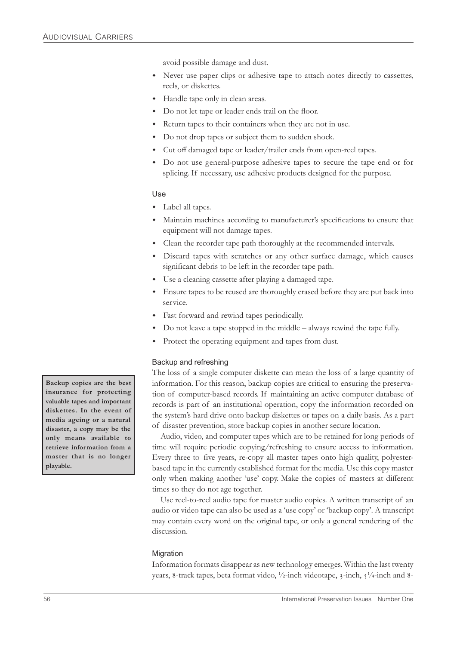avoid possible damage and dust.

- Never use paper clips or adhesive tape to attach notes directly to cassettes, reels, or diskettes.
- Handle tape only in clean areas.
- Do not let tape or leader ends trail on the floor.
- Return tapes to their containers when they are not in use.
- Do not drop tapes or subject them to sudden shock.
- Cut off damaged tape or leader/trailer ends from open-reel tapes.
- Do not use general-purpose adhesive tapes to secure the tape end or for splicing. If necessary, use adhesive products designed for the purpose.

#### Use

- Label all tapes.
- w Maintain machines according to manufacturer's specifications to ensure that equipment will not damage tapes.
- Clean the recorder tape path thoroughly at the recommended intervals.
- Discard tapes with scratches or any other surface damage, which causes significant debris to be left in the recorder tape path.
- Use a cleaning cassette after playing a damaged tape.
- w Ensure tapes to be reused are thoroughly erased before they are put back into service.
- w Fast forward and rewind tapes periodically.
- Do not leave a tape stopped in the middle  $-$  always rewind the tape fully.
- Protect the operating equipment and tapes from dust.

#### Backup and refreshing

The loss of a single computer diskette can mean the loss of a large quantity of information. For this reason, backup copies are critical to ensuring the preservation of computer-based records. If maintaining an active computer database of records is part of an institutional operation, copy the information recorded on the system's hard drive onto backup diskettes or tapes on a daily basis. As a part of disaster prevention, store backup copies in another secure location.

Audio, video, and computer tapes which are to be retained for long periods of time will require periodic copying/refreshing to ensure access to information. Every three to five years, re-copy all master tapes onto high quality, polyesterbased tape in the currently established format for the media. Use this copy master only when making another 'use' copy. Make the copies of masters at different times so they do not age together.

Use reel-to-reel audio tape for master audio copies. A written transcript of an audio or video tape can also be used as a 'use copy' or 'backup copy'. A transcript may contain every word on the original tape, or only a general rendering of the discussion.

#### **Migration**

Information formats disappear as new technology emerges. Within the last twenty years, 8-track tapes, beta format video,  $\frac{1}{2}$ -inch videotape, 3-inch,  $\frac{1}{4}$ -inch and 8-

**Backup copies are the best insurance for protecting valuable tapes and important diskettes. In the event of media ageing or a natural disaster, a copy may be the only means available to retrieve information from a master that is no longer playable.**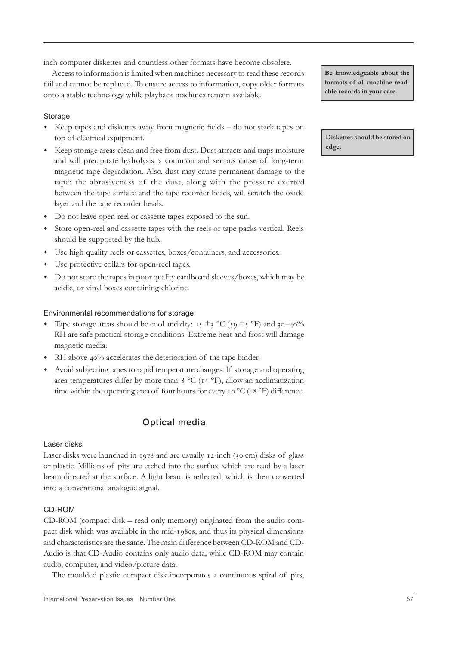inch computer diskettes and countless other formats have become obsolete.

Access to information is limited when machines necessary to read these records fail and cannot be replaced. To ensure access to information, copy older formats onto a stable technology while playback machines remain available.

#### **Storage**

- Keep tapes and diskettes away from magnetic fields do not stack tapes on top of electrical equipment.
- w Keep storage areas clean and free from dust. Dust attracts and traps moisture and will precipitate hydrolysis, a common and serious cause of long-term magnetic tape degradation. Also, dust may cause permanent damage to the tape: the abrasiveness of the dust, along with the pressure exerted between the tape surface and the tape recorder heads, will scratch the oxide layer and the tape recorder heads.
- Do not leave open reel or cassette tapes exposed to the sun.
- w Store open-reel and cassette tapes with the reels or tape packs vertical. Reels should be supported by the hub.
- w Use high quality reels or cassettes, boxes/containers, and accessories.
- Use protective collars for open-reel tapes.
- w Do not store the tapes in poor quality cardboard sleeves/boxes, which may be acidic, or vinyl boxes containing chlorine.

#### Environmental recommendations for storage

- Tape storage areas should be cool and dry:  $\tau$   $\pm$  3 °C (59  $\pm$ 5 °F) and 30–40% RH are safe practical storage conditions. Extreme heat and frost will damage magnetic media.
- $\cdot$  RH above 40% accelerates the deterioration of the tape binder.
- Avoid subjecting tapes to rapid temperature changes. If storage and operating area temperatures differ by more than  $8 \degree C$  ( $15 \degree F$ ), allow an acclimatization time within the operating area of four hours for every  $\sigma$ °C ( $\sigma$ 8°F) difference.

# **Optical media**

#### Laser disks

Laser disks were launched in  $1978$  and are usually  $12$ -inch (30 cm) disks of glass or plastic. Millions of pits are etched into the surface which are read by a laser beam directed at the surface. A light beam is reflected, which is then converted into a conventional analogue signal.

#### CD-ROM

CD-ROM (compact disk – read only memory) originated from the audio compact disk which was available in the mid-1980s, and thus its physical dimensions and characteristics are the same. The main difference between CD-ROM and CD-Audio is that CD-Audio contains only audio data, while CD-ROM may contain audio, computer, and video/picture data.

The moulded plastic compact disk incorporates a continuous spiral of pits,

**Be knowledgeable about the formats of all machine-readable records in your care**.

**Diskettes should be stored on edge.**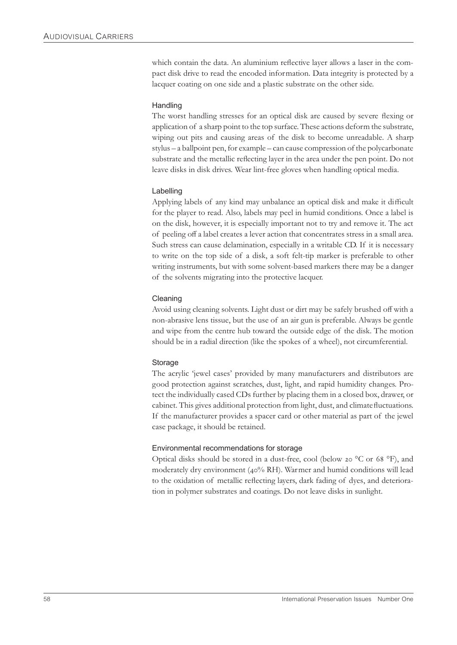which contain the data. An aluminium reflective layer allows a laser in the compact disk drive to read the encoded information. Data integrity is protected by a lacquer coating on one side and a plastic substrate on the other side.

#### **Handling**

The worst handling stresses for an optical disk are caused by severe flexing or application of a sharp point to the top surface. These actions deform the substrate, wiping out pits and causing areas of the disk to become unreadable. A sharp stylus – a ballpoint pen, for example – can cause compression of the polycarbonate substrate and the metallic reflecting layer in the area under the pen point. Do not leave disks in disk drives. Wear lint-free gloves when handling optical media.

#### Labelling

Applying labels of any kind may unbalance an optical disk and make it difficult for the player to read. Also, labels may peel in humid conditions. Once a label is on the disk, however, it is especially important not to try and remove it. The act of peeling off a label creates a lever action that concentrates stress in a small area. Such stress can cause delamination, especially in a writable CD. If it is necessary to write on the top side of a disk, a soft felt-tip marker is preferable to other writing instruments, but with some solvent-based markers there may be a danger of the solvents migrating into the protective lacquer.

#### Cleaning

Avoid using cleaning solvents. Light dust or dirt may be safely brushed off with a non-abrasive lens tissue, but the use of an air gun is preferable. Always be gentle and wipe from the centre hub toward the outside edge of the disk. The motion should be in a radial direction (like the spokes of a wheel), not circumferential.

#### **Storage**

The acrylic 'jewel cases' provided by many manufacturers and distributors are good protection against scratches, dust, light, and rapid humidity changes. Protect the individually cased CDs further by placing them in a closed box, drawer, or cabinet. This gives additional protection from light, dust, and climate fluctuations. If the manufacturer provides a spacer card or other material as part of the jewel case package, it should be retained.

#### Environmental recommendations for storage

Optical disks should be stored in a dust-free, cool (below 20  $\rm{^oC}$  or 68  $\rm{^oF}$ ), and moderately dry environment (40% RH). Warmer and humid conditions will lead to the oxidation of metallic reflecting layers, dark fading of dyes, and deterioration in polymer substrates and coatings. Do not leave disks in sunlight.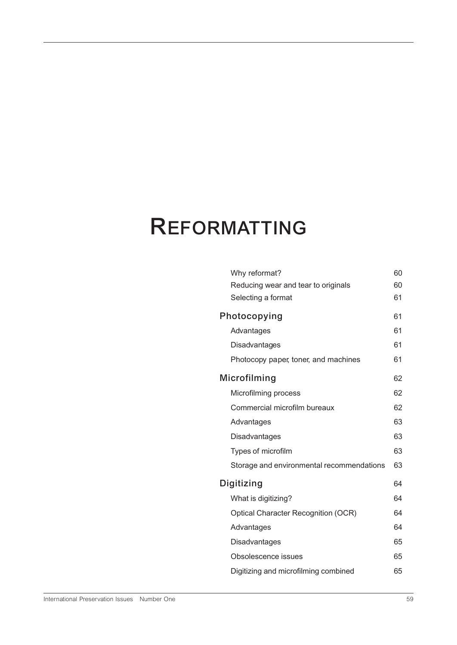# **REFORMATTING**

|              | Why reformat?                              | 60 |
|--------------|--------------------------------------------|----|
|              | Reducing wear and tear to originals        | 60 |
|              | Selecting a format                         | 61 |
|              | Photocopying                               |    |
|              | Advantages                                 | 61 |
|              | Disadvantages                              | 61 |
|              | Photocopy paper, toner, and machines       | 61 |
| Microfilming |                                            | 62 |
|              | Microfilming process                       | 62 |
|              | Commercial microfilm bureaux               | 62 |
|              | Advantages                                 | 63 |
|              | Disadvantages                              | 63 |
|              | Types of microfilm                         | 63 |
|              | Storage and environmental recommendations  | 63 |
| Digitizing   |                                            | 64 |
|              | What is digitizing?                        | 64 |
|              | <b>Optical Character Recognition (OCR)</b> | 64 |
|              | Advantages                                 | 64 |
|              | Disadvantages                              | 65 |
|              | Obsolescence issues                        | 65 |
|              | Digitizing and microfilming combined       | 65 |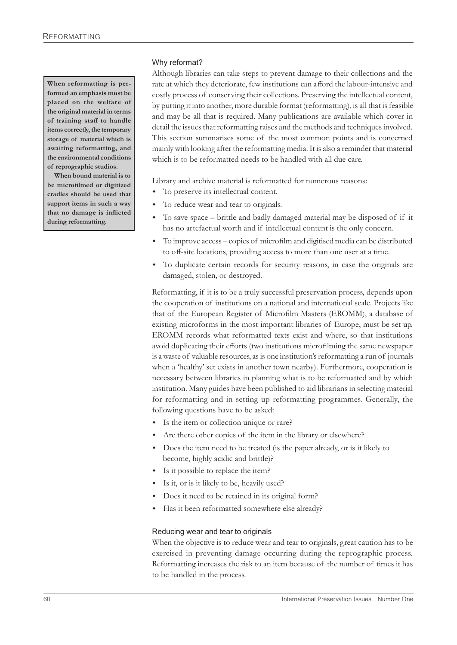**When reformatting is performed an emphasis must be placed on the welfare of the original material in terms of training staff to handle items correctly, the temporary storage of material which is awaiting reformatting, and the environmental conditions of reprographic studios.**

**When bound material is to be microfilmed or digitized cradles should be used that support items in such a way that no damage is inflicted during reformatting.**

#### Why reformat?

Although libraries can take steps to prevent damage to their collections and the rate at which they deteriorate, few institutions can afford the labour-intensive and costly process of conserving their collections. Preserving the intellectual content, by putting it into another, more durable format (reformatting), is all that is feasible and may be all that is required. Many publications are available which cover in detail the issues that reformatting raises and the methods and techniques involved. This section summarises some of the most common points and is concerned mainly with looking after the reformatting media. It is also a reminder that material which is to be reformatted needs to be handled with all due care.

Library and archive material is reformatted for numerous reasons:

- To preserve its intellectual content.
- To reduce wear and tear to originals.
- $\bullet$  To save space brittle and badly damaged material may be disposed of if it has no artefactual worth and if intellectual content is the only concern.
- w To improve access copies of microfilm and digitised media can be distributed to off-site locations, providing access to more than one user at a time.
- To duplicate certain records for security reasons, in case the originals are damaged, stolen, or destroyed.

Reformatting, if it is to be a truly successful preservation process, depends upon the cooperation of institutions on a national and international scale. Projects like that of the European Register of Microfilm Masters (EROMM), a database of existing microforms in the most important libraries of Europe, must be set up. EROMM records what reformatted texts exist and where, so that institutions avoid duplicating their efforts (two institutions microfilming the same newspaper is a waste of valuable resources, as is one institution's reformatting a run of journals when a 'healthy' set exists in another town nearby). Furthermore, cooperation is necessary between libraries in planning what is to be reformatted and by which institution. Many guides have been published to aid librarians in selecting material for reformatting and in setting up reformatting programmes. Generally, the following questions have to be asked:

- Is the item or collection unique or rare?
- Are there other copies of the item in the library or elsewhere?
- Does the item need to be treated (is the paper already, or is it likely to become, highly acidic and brittle)?
- $\bullet$  Is it possible to replace the item?
- w Is it, or is it likely to be, heavily used?
- Does it need to be retained in its original form?
- Has it been reformatted somewhere else already?

#### Reducing wear and tear to originals

When the objective is to reduce wear and tear to originals, great caution has to be exercised in preventing damage occurring during the reprographic process. Reformatting increases the risk to an item because of the number of times it has to be handled in the process.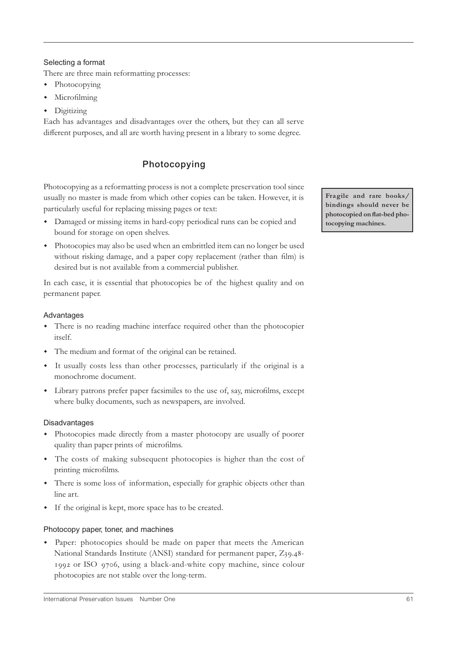#### Selecting a format

There are three main reformatting processes:

- Photocopying
- Microfilming
- $\bullet$  Digitizing

Each has advantages and disadvantages over the others, but they can all serve different purposes, and all are worth having present in a library to some degree.

# **Photocopying**

Photocopying as a reformatting process is not a complete preservation tool since usually no master is made from which other copies can be taken. However, it is particularly useful for replacing missing pages or text:

- Damaged or missing items in hard-copy periodical runs can be copied and bound for storage on open shelves.
- w Photocopies may also be used when an embrittled item can no longer be used without risking damage, and a paper copy replacement (rather than film) is desired but is not available from a commercial publisher.

In each case, it is essential that photocopies be of the highest quality and on permanent paper.

#### Advantages

- There is no reading machine interface required other than the photocopier itself.
- The medium and format of the original can be retained.
- w It usually costs less than other processes, particularly if the original is a monochrome document.
- Library patrons prefer paper facsimiles to the use of, say, microfilms, except where bulky documents, such as newspapers, are involved.

#### Disadvantages

- Photocopies made directly from a master photocopy are usually of poorer quality than paper prints of microfilms.
- The costs of making subsequent photocopies is higher than the cost of printing microfilms.
- w There is some loss of information, especially for graphic objects other than line art.
- w If the original is kept, more space has to be created.

#### Photocopy paper, toner, and machines

w Paper: photocopies should be made on paper that meets the American National Standards Institute (ANSI) standard for permanent paper, Z39.48-1992 or ISO 9706, using a black-and-white copy machine, since colour photocopies are not stable over the long-term.

**Fragile and rare books/ bindings should never be photocopied on flat-bed photocopying machines.**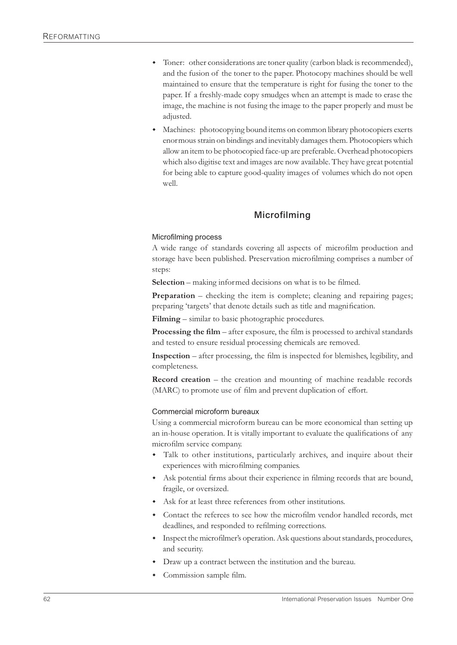- Toner: other considerations are toner quality (carbon black is recommended), and the fusion of the toner to the paper. Photocopy machines should be well maintained to ensure that the temperature is right for fusing the toner to the paper. If a freshly-made copy smudges when an attempt is made to erase the image, the machine is not fusing the image to the paper properly and must be adjusted.
- Machines: photocopying bound items on common library photocopiers exerts enormous strain on bindings and inevitably damages them. Photocopiers which allow an item to be photocopied face-up are preferable. Overhead photocopiers which also digitise text and images are now available. They have great potential for being able to capture good-quality images of volumes which do not open well.

## **Microfilming**

#### Microfilming process

A wide range of standards covering all aspects of microfilm production and storage have been published. Preservation microfilming comprises a number of steps:

**Selection** – making informed decisions on what is to be filmed.

**Preparation** – checking the item is complete; cleaning and repairing pages; preparing 'targets' that denote details such as title and magnification.

**Filming** – similar to basic photographic procedures.

**Processing the film** – after exposure, the film is processed to archival standards and tested to ensure residual processing chemicals are removed.

**Inspection** – after processing, the film is inspected for blemishes, legibility, and completeness.

**Record creation** – the creation and mounting of machine readable records (MARC) to promote use of film and prevent duplication of effort.

#### Commercial microform bureaux

Using a commercial microform bureau can be more economical than setting up an in-house operation. It is vitally important to evaluate the qualifications of any microfilm service company.

- Talk to other institutions, particularly archives, and inquire about their experiences with microfilming companies.
- Ask potential firms about their experience in filming records that are bound, fragile, or oversized.
- $\bullet$  Ask for at least three references from other institutions.
- Contact the referees to see how the microfilm vendor handled records, met deadlines, and responded to refilming corrections.
- Inspect the microfilmer's operation. Ask questions about standards, procedures, and security.
- Draw up a contract between the institution and the bureau.
- Commission sample film.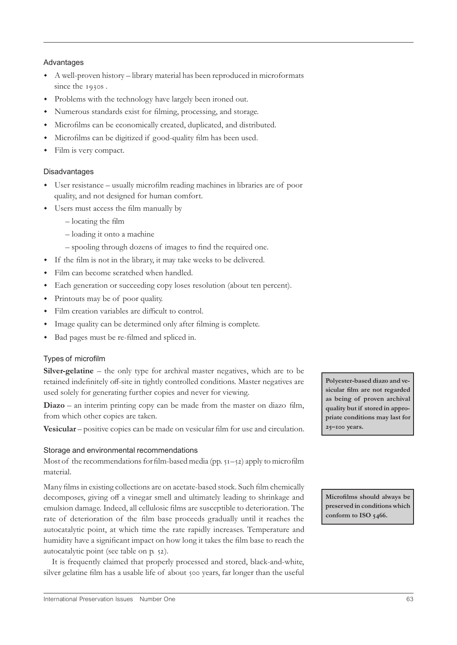#### Advantages

- w A well-proven history library material has been reproduced in microformats since the 1930s.
- Problems with the technology have largely been ironed out.
- Numerous standards exist for filming, processing, and storage.
- w Microfilms can be economically created, duplicated, and distributed.
- Microfilms can be digitized if good-quality film has been used.
- $\cdot$  Film is very compact.

#### Disadvantages

- w User resistance usually microfilm reading machines in libraries are of poor quality, and not designed for human comfort.
- Users must access the film manually by
	- locating the film
	- loading it onto a machine
	- spooling through dozens of images to find the required one.
- w If the film is not in the library, it may take weeks to be delivered.
- Film can become scratched when handled.
- w Each generation or succeeding copy loses resolution (about ten percent).
- Printouts may be of poor quality.
- Film creation variables are difficult to control.
- Image quality can be determined only after filming is complete.
- w Bad pages must be re-filmed and spliced in.

#### Types of microfilm

**Silver-gelatine** – the only type for archival master negatives, which are to be retained indefinitely off-site in tightly controlled conditions. Master negatives are used solely for generating further copies and never for viewing.

**Diazo** – an interim printing copy can be made from the master on diazo film, from which other copies are taken.

**Vesicular** – positive copies can be made on vesicular film for use and circulation.

#### Storage and environmental recommendations

Most of the recommendations for film-based media (pp.  $51 - 52$ ) apply to microfilm material.

Many films in existing collections are on acetate-based stock. Such film chemically decomposes, giving off a vinegar smell and ultimately leading to shrinkage and emulsion damage. Indeed, all cellulosic films are susceptible to deterioration. The rate of deterioration of the film base proceeds gradually until it reaches the autocatalytic point, at which time the rate rapidly increases. Temperature and humidity have a significant impact on how long it takes the film base to reach the autocatalytic point (see table on p. 52).

It is frequently claimed that properly processed and stored, black-and-white, silver gelatine film has a usable life of about 500 years, far longer than the useful **Polyester-based diazo and vesicular film are not regarded as being of proven archival quality but if stored in appropriate conditions may last for – years.**

**Microfilms should always be preserved in conditions which conform to ISO .**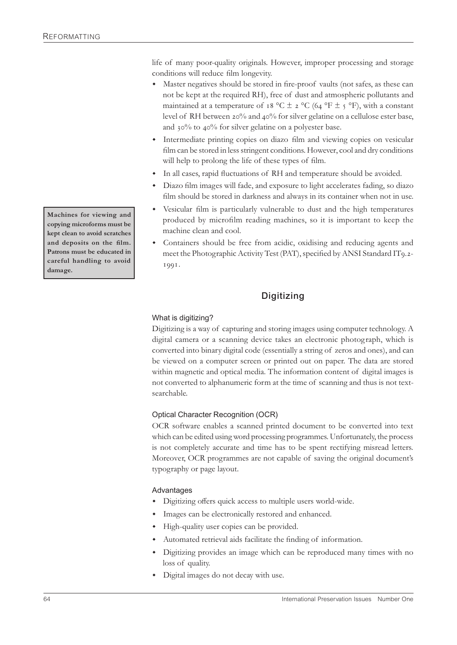life of many poor-quality originals. However, improper processing and storage conditions will reduce film longevity.

- Master negatives should be stored in fire-proof vaults (not safes, as these can not be kept at the required RH), free of dust and atmospheric pollutants and maintained at a temperature of 18 °C  $\pm$  2 °C (64 °F  $\pm$  5 °F), with a constant level of RH between 20% and 40% for silver gelatine on a cellulose ester base, and 30% to 40% for silver gelatine on a polyester base.
- w Intermediate printing copies on diazo film and viewing copies on vesicular film can be stored in less stringent conditions. However, cool and dry conditions will help to prolong the life of these types of film.
- w In all cases, rapid fluctuations of RH and temperature should be avoided.
- w Diazo film images will fade, and exposure to light accelerates fading, so diazo film should be stored in darkness and always in its container when not in use.
- w Vesicular film is particularly vulnerable to dust and the high temperatures produced by microfilm reading machines, so it is important to keep the machine clean and cool.
- Containers should be free from acidic, oxidising and reducing agents and meet the Photographic Activity Test (PAT), specified by ANSI Standard IT9.2-1991.

# **Digitizing**

#### What is digitizing?

Digitizing is a way of capturing and storing images using computer technology. A digital camera or a scanning device takes an electronic photograph, which is converted into binary digital code (essentially a string of zeros and ones), and can be viewed on a computer screen or printed out on paper. The data are stored within magnetic and optical media. The information content of digital images is not converted to alphanumeric form at the time of scanning and thus is not textsearchable.

# Optical Character Recognition (OCR)

OCR software enables a scanned printed document to be converted into text which can be edited using word processing programmes. Unfortunately, the process is not completely accurate and time has to be spent rectifying misread letters. Moreover, OCR programmes are not capable of saving the original document's typography or page layout.

#### Advantages

- Digitizing offers quick access to multiple users world-wide.
- Images can be electronically restored and enhanced.
- High-quality user copies can be provided.
- Automated retrieval aids facilitate the finding of information.
- Digitizing provides an image which can be reproduced many times with no loss of quality.
- Digital images do not decay with use.

**Machines for viewing and copying microforms must be kept clean to avoid scratches and deposits on the film. Patrons must be educated in careful handling to avoid damage.**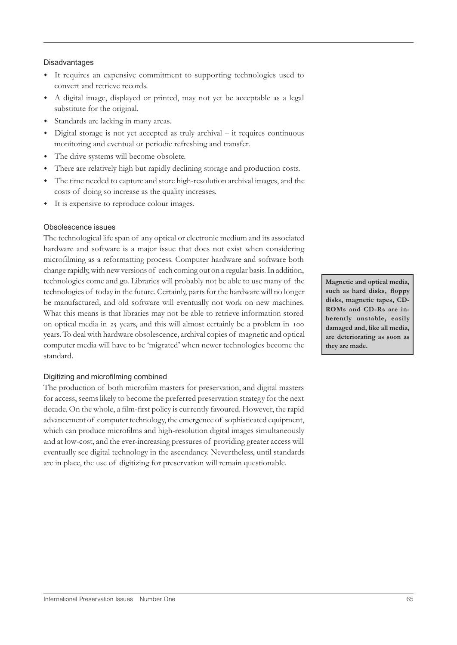#### Disadvantages

- w It requires an expensive commitment to supporting technologies used to convert and retrieve records.
- w A digital image, displayed or printed, may not yet be acceptable as a legal substitute for the original.
- Standards are lacking in many areas.
- w Digital storage is not yet accepted as truly archival it requires continuous monitoring and eventual or periodic refreshing and transfer.
- The drive systems will become obsolete.
- There are relatively high but rapidly declining storage and production costs.
- w The time needed to capture and store high-resolution archival images, and the costs of doing so increase as the quality increases.
- It is expensive to reproduce colour images.

#### Obsolescence issues

The technological life span of any optical or electronic medium and its associated hardware and software is a major issue that does not exist when considering microfilming as a reformatting process. Computer hardware and software both change rapidly, with new versions of each coming out on a regular basis. In addition, technologies come and go. Libraries will probably not be able to use many of the technologies of today in the future. Certainly, parts for the hardware will no longer be manufactured, and old software will eventually not work on new machines. What this means is that libraries may not be able to retrieve information stored on optical media in 25 years, and this will almost certainly be a problem in 100 years. To deal with hardware obsolescence, archival copies of magnetic and optical computer media will have to be 'migrated' when newer technologies become the standard.

#### Digitizing and microfilming combined

The production of both microfilm masters for preservation, and digital masters for access, seems likely to become the preferred preservation strategy for the next decade. On the whole, a film-first policy is currently favoured. However, the rapid advancement of computer technology, the emergence of sophisticated equipment, which can produce microfilms and high-resolution digital images simultaneously and at low-cost, and the ever-increasing pressures of providing greater access will eventually see digital technology in the ascendancy. Nevertheless, until standards are in place, the use of digitizing for preservation will remain questionable.

**Magnetic and optical media, such as hard disks, floppy disks, magnetic tapes, CD-ROMs and CD-Rs are inherently unstable, easily damaged and, like all media, are deteriorating as soon as they are made.**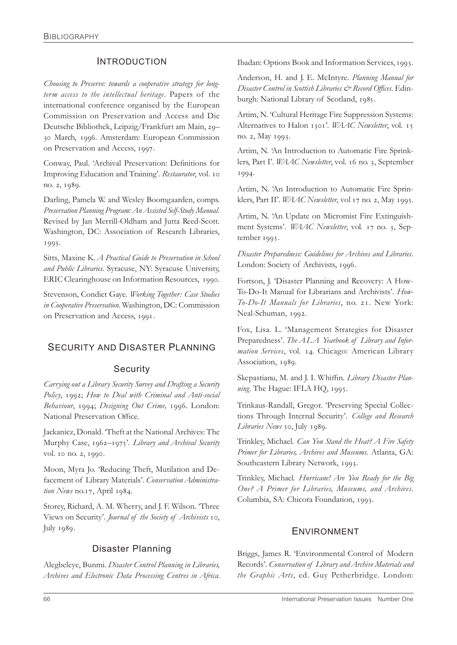# INTRODUCTION

*Choosing to Preserve: towards a cooperative strategy for longterm access to the intellectual heritage*. Papers of the international conference organised by the European Commission on Preservation and Access and Die Deutsche Bibliothek, Leipzig/Frankfurt am Main, 29-30 March, 1996. Amsterdam: European Commission on Preservation and Access, 1997.

Conway, Paul. 'Archival Preservation: Definitions for Improving Education and Training'. *Restaurator*, vol. no. 2, 1989.

Darling, Pamela W. and Wesley Boomgaarden, comps. *Preservation Planning Program: An Assisted Self-Study Manual*. Revised by Jan Merrill-Oldham and Jutta Reed-Scott. Washington, DC: Association of Research Libraries, 1993.

Sitts, Maxine K. *A Practical Guide to Preservation in School and Public Libraries.* Syracuse, NY: Syracuse University, ERIC Clearinghouse on Information Resources, 1990.

Stevenson, Condict Gaye. *Working Together: Case Studies in Cooperative Preservation*. Washington, DC: Commission on Preservation and Access, 1991.

# SECURITY AND DISASTER PLANNING

# Security

*Carrying out a Library Security Survey and Drafting a Security* Policy, 1992; How to Deal with Criminal and Anti-social *Behaviour*, 1994; *Designing Out Crime*, 1996. London: National Preservation Office.

Jackanicz, Donald. 'Theft at the National Archives: The Murphy Case, 1962–1975'. Library and Archival Security vol. 10 no. 2, 1990.

Moon, Myra Jo. 'Reducing Theft, Mutilation and Defacement of Library Materials'. *Conservation Administra*tion News no.17, April 1984.

Storey, Richard, A. M. Wherry, and J. F. Wilson. 'Three Views on Security'. *Journal of the Society of Archivists* 10, July 1989.

# Disaster Planning

Alegbeleye, Bunmi. *Disaster Control Planning in Libraries, Archives and Electronic Data Processing Centres in Africa.* Ibadan: Options Book and Information Services, 1993.

Anderson, H. and J. E. McIntyre. *Planning Manual for Disaster Control in Scottish Libraries & Record Offices*. Edinburgh: National Library of Scotland, 1985.

Artim, N. 'Cultural Heritage Fire Suppression Systems: Alternatives to Halon 1301'. *WAAC Newsletter*, vol. 15 no. 2, May 1993.

Artim, N. 'An Introduction to Automatic Fire Sprinklers, Part I'. *WAAC Newsletter*, vol. 16 no. 3, September 1994.

Artim, N. 'An Introduction to Automatic Fire Sprinklers, Part II'. *WAAC Newsletter*, vol 17 no. 2, May 1995.

Artim, N. 'An Update on Micromist Fire Extinguishment Systems'. *WAAC Newsletter*, vol. 17 no. 3, September 1995.

*Disaster Preparedness: Guidelines for Archives and Libraries*. London: Society of Archivists, 1996.

Fortson, J. 'Disaster Planning and Recovery: A How-To-Do-It Manual for Librarians and Archivists'. *How-To-Do-It Manuals for Libraries*, no. 21. New York: Neal-Schuman, 1992.

Fox, Lisa. L. 'Management Strategies for Disaster Preparedness'. The ALA Yearbook of Library and Information Services, vol. 14. Chicago: American Library Association, 1989.

Skepastianu, M. and J. I. Whiffin. *Library Disaster Planning*. The Hague: IFLA HQ, 1995.

Trinkaus-Randall, Gregor. 'Preserving Special Collections Through Internal Security'. *College and Research* Libraries News 50, July 1989.

Trinkley, Michael. *Can You Stand the Heat? A Fire Safety Primer for Libraries, Archives and Museums.* Atlanta, GA: Southeastern Library Network, 1993.

Trinkley, Michael. *Hurricane! Are You Ready for the Big One? A Primer for Libraries, Museums, and Archives*. Columbia, SA: Chicora Foundation, 1993.

# ENVIRONMENT

Briggs, James R. 'Environmental Control of Modern Records'. *Conservation of Library and Archive Materials and the Graphic Arts*, ed. Guy Petherbridge. London: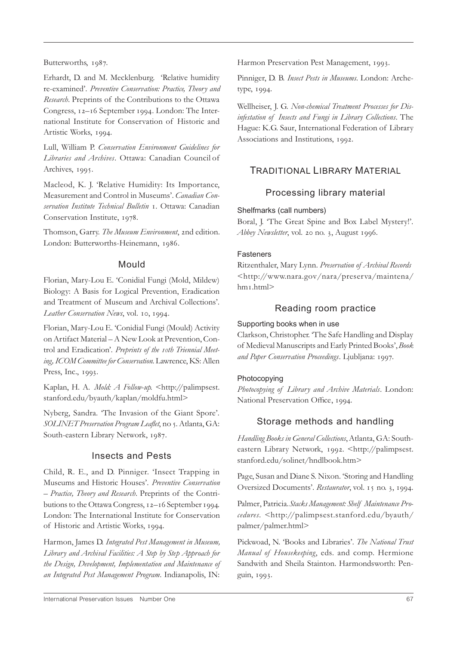Butterworths, 1987.

Erhardt, D. and M. Mecklenburg. 'Relative humidity re-examined'. *Preventive Conservation: Practice, Theory and Research*. Preprints of the Contributions to the Ottawa Congress, 12-16 September 1994. London: The International Institute for Conservation of Historic and Artistic Works, 1994.

Lull, William P. *Conservation Environment Guidelines for Libraries and Archives*. Ottawa: Canadian Council of Archives, 1995.

Macleod, K. J. 'Relative Humidity: Its Importance, Measurement and Control in Museums'. *Canadian Conservation Institute Technical Bulletin* . Ottawa: Canadian Conservation Institute, 1978.

Thomson, Garry. The Museum Environment, 2nd edition. London: Butterworths-Heinemann, 1986.

#### Mould

Florian, Mary-Lou E. 'Conidial Fungi (Mold, Mildew) Biology: A Basis for Logical Prevention, Eradication and Treatment of Museum and Archival Collections'. *Leather Conservation News*, vol. 10, 1994.

Florian, Mary-Lou E. 'Conidial Fungi (Mould) Activity on Artifact Material – A New Look at Prevention, Control and Eradication'. Preprints of the 10th Triennial Meet*ing, ICOM Committee for Conservation*. Lawrence, KS: Allen Press, Inc., 1993.

Kaplan, H. A. *Mold: A Follow-up*. <http://palimpsest. stanford.edu/byauth/kaplan/moldfu.html>

Nyberg, Sandra. 'The Invasion of the Giant Spore'. *SOLINET Preservation Program Leaflet*, no . Atlanta, GA: South-eastern Library Network, 1987.

#### Insects and Pests

Child, R. E., and D. Pinniger. 'Insect Trapping in Museums and Historic Houses'. *Preventive Conservation – Practice, Theory and Research*. Preprints of the Contributions to the Ottawa Congress, 12-16 September 1994. London: The International Institute for Conservation of Historic and Artistic Works, 1994.

Harmon, James D. *Integrated Pest Management in Museum, Library and Archival Facilities: A Step by Step Approach for the Design, Development, Implementation and Maintenance of an Integrated Pest Management Program*. Indianapolis, IN:

Harmon Preservation Pest Management, 1993.

Pinniger, D. B. *Insect Pests in Museums*. London: Archetype, 1994.

Wellheiser, J. G. *Non-chemical Treatment Processes for Disinfestation of Insects and Fungi in Library Collections*. The Hague: K.G. Saur, International Federation of Library Associations and Institutions, 1992.

# TRADITIONAL LIBRARY MATERIAL

## Processing library material

#### Shelfmarks (call numbers)

Boral, J. 'The Great Spine and Box Label Mystery!'. *Abbey Newsletter*, vol. 20 no. 3, August 1996.

#### **Fasteners**

Ritzenthaler, Mary Lynn. *Preservation of Archival Records* <http://www.nara.gov/nara/preserva/maintena/ hm<sub>I</sub>.html>

## Reading room practice

#### Supporting books when in use

Clarkson, Christopher. 'The Safe Handling and Display of Medieval Manuscripts and Early Printed Books', *Book* and Paper Conservation Proceedings. Ljubljana: 1997.

#### Photocopying

*Photocopying of Library and Archive Materials*. London: National Preservation Office, 1994.

# Storage methods and handling

*Handling Books in General Collections*, Atlanta, GA: Southeastern Library Network, 1992. <http://palimpsest. stanford.edu/solinet/hndlbook.htm>

Page, Susan and Diane S. Nixon. 'Storing and Handling Oversized Documents'. Restaurator, vol. 15 no. 3, 1994.

Palmer, Patricia. *Stacks Management: Shelf Maintenance Procedures*. <http://palimpsest.stanford.edu/byauth/ palmer/palmer.html>

Pickwoad, N. 'Books and Libraries'. *The National Trust Manual of Housekeeping*, eds. and comp. Hermione Sandwith and Sheila Stainton. Harmondsworth: Penguin, 1993.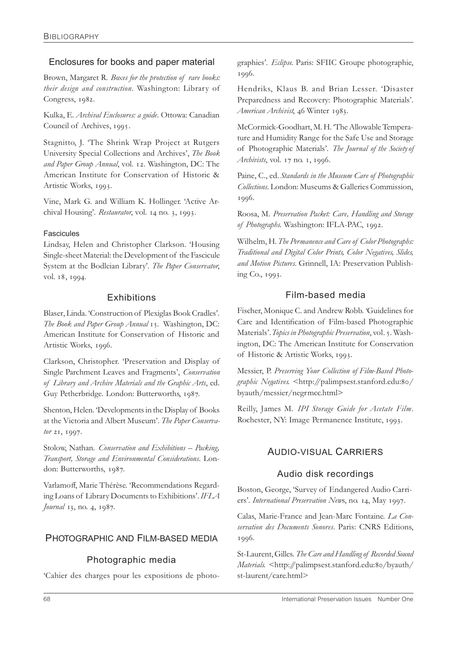# Enclosures for books and paper material

Brown, Margaret R. *Boxes for the protection of rare books: their design and construction*. Washington: Library of Congress, 1982.

Kulka, E. *Archival Enclosures: a guide*. Ottowa: Canadian Council of Archives, 1995.

Stagnitto, J. 'The Shrink Wrap Project at Rutgers University Special Collections and Archives', *The Book* and Paper Group Annual, vol. 12. Washington, DC: The American Institute for Conservation of Historic & Artistic Works, 1993.

Vine, Mark G. and William K. Hollinger. 'Active Archival Housing'. *Restaurator*, vol. 14 no. 3, 1993.

#### Fascicules

Lindsay, Helen and Christopher Clarkson. 'Housing Single-sheet Material: the Development of the Fascicule System at the Bodleian Library'. *The Paper Conservator*, vol. 18, 1994.

## **Exhibitions**

Blaser, Linda. 'Construction of Plexiglas Book Cradles'. *The Book and Paper Group Annual* 15. Washington, DC: American Institute for Conservation of Historic and Artistic Works, 1996.

Clarkson, Christopher. 'Preservation and Display of Single Parchment Leaves and Fragments', *Conservation of Library and Archive Materials and the Graphic Arts*, ed. Guy Petherbridge. London: Butterworths, 1987.

Shenton, Helen. 'Developments in the Display of Books at the Victoria and Albert Museum'. *The Paper Conserva*tor 21, 1997.

Stolow, Nathan. *Conservation and Exhibitions – Packing, Transport, Storage and Environmental Considerations*. London: Butterworths, 1987.

Varlamoff, Marie Thérèse. 'Recommendations Regarding Loans of Library Documents to Exhibitions'. *IFLA Journal* 13, no. 4, 1987.

# PHOTOGRAPHIC AND FILM-BASED MEDIA

# Photographic media

'Cahier des charges pour les expositions de photo-

graphies'. *Eclipse*. Paris: SFIIC Groupe photographie, 1996.

Hendriks, Klaus B. and Brian Lesser. 'Disaster Preparedness and Recovery: Photographic Materials'. *American Archivist*, 46 Winter 1983.

McCormick-Goodhart, M. H. 'The Allowable Temperature and Humidity Range for the Safe Use and Storage of Photographic Materials'. *The Journal of the Society of Archivists*, vol. 17 no. 1, 1996.

Paine, C., ed. *Standards in the Museum Care of Photographic Collections*. London: Museums & Galleries Commission, 1996.

Roosa, M. *Preservation Packet: Care, Handling and Storage* of Photographs. Washington: IFLA-PAC, 1992.

Wilhelm, H. *The Permanence and Care of Color Photographs: Traditional and Digital Color Prints, Color Negatives, Slides, and Motion Pictures.* Grinnell, IA: Preservation Publishing Co., 1993.

# Film-based media

Fischer, Monique C. and Andrew Robb. *'*Guidelines for Care and Identification of Film-based Photographic Materials'. *Topics in Photographic Preservation*, vol. 5. Washington, DC: The American Institute for Conservation of Historic & Artistic Works, 1993.

Messier, P. *Preserving Your Collection of Film-Based Photo*graphic Negatives. < http://palimpsest.stanford.edu:80/ byauth/messier/negrmcc.html>

Reilly, James M. *IPI Storage Guide for Acetate Film*. Rochester, NY: Image Permanence Institute, 1993.

# AUDIO-VISUAL CARRIERS

# Audio disk recordings

Boston, George, 'Survey of Endangered Audio Carriers'. International Preservation News, no. 14, May 1997.

Calas, Marie-France and Jean-Marc Fontaine. *La Conservation des Documents Sonores*. Paris: CNRS Editions, 1996.

St-Laurent,Gilles. *The Care and Handling of Recorded Sound Materials*. <http://palimpsest.stanford.edu:80/byauth/ st-laurent/care.html>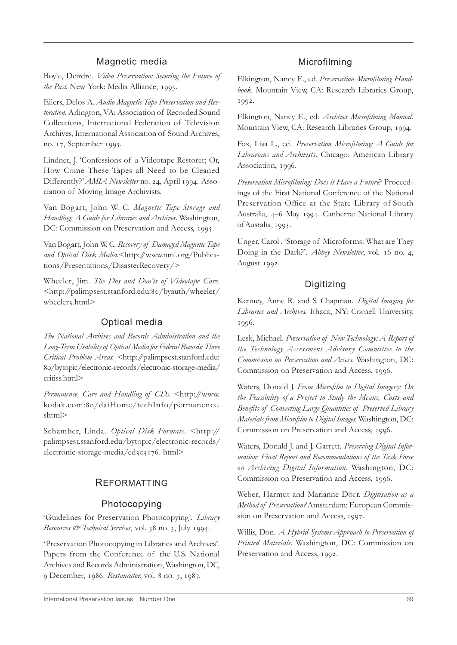#### Magnetic media

Boyle, Deirdre. *Video Preservation: Securing the Future of* the Past. New York: Media Alliance, 1993.

Eilers, Delos A. *Audio Magnetic Tape Preservation and Restoration*. Arlington, VA: Association of Recorded Sound Collections, International Federation of Television Archives, International Association of Sound Archives, no. 17, September 1995.

Lindner, J. 'Confessions of a Videotape Restorer; Or, How Come These Tapes all Need to be Cleaned Differently?' AMIA Newsletter no. 24, April 1994. Association of Moving Image Archivists.

Van Bogart, John W. C. *Magnetic Tape Storage and Handling: A Guide for Libraries and Archives*. Washington, DC: Commission on Preservation and Access, 1995.

Van Bogart, John W. C. *Recovery of Damaged Magnetic Tape* and Optical Disk Media.<http://www.nml.org/Publications/Presentations/DisasterRecovery/>

Wheeler, Jim. *The Dos and Don'ts of Videotape Care.* <http://palimpsest.stanford.edu:80/byauth/wheeler/ wheeler3.html>

#### Optical media

*The National Archives and Records Administration and the Long-Term Usability of Optical Media for Federal Records: Three Critical Problem Areas.* <http://palimpsest.stanford.edu: /bytopic/electronic-records/electronic-storage-media/ critiss.html>

Permanence, Care and Handling of CDs. <http://www. kodak.com:80/daiHome/techInfo/permanence. shtml>

Schamber, Linda. *Optical Disk Formats*. <http:// palimpsest.stanford.edu/bytopic/electronic-records/ electronic-storage-media/ed303176.html>

#### REFORMATTING

#### Photocopying

'Guidelines for Preservation Photocopying'. *Library Resources & Technical Services*, vol. 38 no. 3, July 1994.

'Preservation Photocopying in Libraries and Archives'. Papers from the Conference of the U.S. National Archives and Records Administration, Washington, DC, 9 December, 1986. Restaurator, vol. 8 no. 3, 1987.

#### Microfilming

Elkington, Nancy E., ed. *Preservation Microfilming Handbook*. Mountain View, CA: Research Libraries Group, 1992.

Elkington, Nancy E., ed. *Archives Microfilming Manual*. Mountain View, CA: Research Libraries Group, 1994.

Fox, Lisa L., ed. *Preservation Microfilming: A Guide for Librarians and Archivists*. Chicago: American Library Association, 1996.

*Preservation Microfilming: Does it Have a Future*? Proceedings of the First National Conference of the National Preservation Office at the State Library of South Australia, 4–6 May 1994. Canberra: National Library of Austalia, 1995.

Unger, Carol . 'Storage of Microforms: What are They Doing in the Dark?'. *Abbey Newsletter*, vol. 16 no. 4, August 1992.

#### Digitizing

Kenney, Anne R. and S. Chapman. *Digital Imaging for Libraries and Archives*. Ithaca, NY: Cornell University, 1996.

Lesk, Michael. *Preservation of New Technology: A Report of the Technology Assessment Advisor y Committee to the Commission on Preservation and Access*. Washington, DC: Commission on Preservation and Access, 1996.

Waters, Donald J. *From Microfilm to Digital Imagery: On the Feasibility of a Project to Study the Means, Costs and Benefits of Converting Large Quantities of Preserved Library Materials from Microfilm to Digital Images.* Washington, DC: Commission on Preservation and Access, 1996.

Waters, Donald J. and J. Garrett. *Preserving Digital Information: Final Report and Recommendations of the Task Force on Archiving Digital Information*. Washington, DC: Commission on Preservation and Access, 1996.

Weber, Harmut and Marianne Dörr. *Digitisation as a Method of Preservation?* Amsterdam: European Commission on Preservation and Access, 1997.

Willis, Don. *A Hybrid Systems Approach to Preservation of Printed Materials*. Washington, DC: Commission on Preservation and Access, 1992.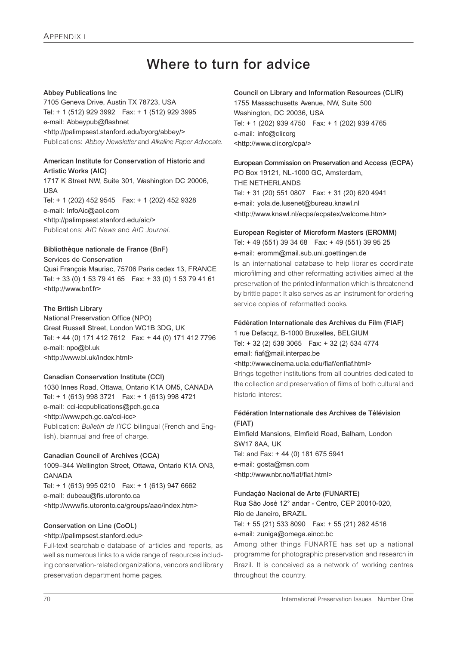# **Where to turn for advice**

#### **Abbey Publications Inc**

7105 Geneva Drive, Austin TX 78723, USA Tel: + 1 (512) 929 3992 Fax: + 1 (512) 929 3995 e-mail: Abbeypub@flashnet <http://palimpsest.stanford.edu/byorg/abbey/> Publications: *Abbey Newsletter* and *Alkaline Paper Advocate*.

#### **American Institute for Conservation of Historic and Artistic Works (AIC)**

1717 K Street NW, Suite 301, Washington DC 20006, USA Tel: + 1 (202) 452 9545 Fax: + 1 (202) 452 9328 e-mail: InfoAic@aol.com <http://palimpsest.stanford.edu/aic/> Publications: *AIC News* and *AIC Journal*.

#### **Bibliothèque nationale de France (BnF)**

#### Services de Conservation

Quai François Mauriac, 75706 Paris cedex 13, FRANCE Tel: + 33 (0) 1 53 79 41 65 Fax: + 33 (0) 1 53 79 41 61 <http://www.bnf.fr>

#### **The British Library**

National Preservation Office (NPO) Great Russell Street, London WC1B 3DG, UK Tel: + 44 (0) 171 412 7612 Fax: + 44 (0) 171 412 7796 e-mail: npo@bl.uk <http://www.bl.uk/index.html>

#### **Canadian Conservation Institute (CCI)**

1030 Innes Road, Ottawa, Ontario K1A OM5, CANADA Tel: + 1 (613) 998 3721 Fax: + 1 (613) 998 4721 e-mail: cci-iccpublications@pch.gc.ca <http://www.pch.gc.ca/cci-icc> Publication: *Bulletin de l'ICC* bilingual (French and English), biannual and free of charge.

#### **Canadian Council of Archives (CCA)**

1009–344 Wellington Street, Ottawa, Ontario K1A ON3, CANADA Tel: + 1 (613) 995 0210 Fax: + 1 (613) 947 6662 e-mail: dubeau@fis.utoronto.ca <http://www.fis.utoronto.ca/groups/aao/index.htm>

#### **Conservation on Line (CoOL)**

#### <http://palimpsest.stanford.edu>

Full-text searchable database of articles and reports, as well as numerous links to a wide range of resources including conservation-related organizations, vendors and library preservation department home pages.

#### **Council on Library and Information Resources (CLIR)** 1755 Massachusetts Avenue, NW, Suite 500

Washington, DC 20036, USA Tel: + 1 (202) 939 4750 Fax: + 1 (202) 939 4765 e-mail: info@clir.org <http://www.clir.org/cpa/>

# **European Commission on Preservation and Access (ECPA)**

PO Box 19121, NL-1000 GC, Amsterdam, THE NETHERLANDS Tel: + 31 (20) 551 0807 Fax: + 31 (20) 620 4941 e-mail: yola.de.lusenet@bureau.knawl.nl <http://www.knawl.nl/ecpa/ecpatex/welcome.htm>

#### **European Register of Microform Masters (EROMM)** Tel: + 49 (551) 39 34 68 Fax: + 49 (551) 39 95 25 e-mail: eromm@mail.sub.uni.goettingen.de

Is an international database to help libraries coordinate microfilming and other reformatting activities aimed at the preservation of the printed information which is threatenend by brittle paper. It also serves as an instrument for ordering service copies of reformatted books.

#### **Fédération Internationale des Archives du Film (FIAF)**

1 rue Defacqz, B-1000 Bruxelles, BELGIUM Tel: + 32 (2) 538 3065 Fax: + 32 (2) 534 4774 email: fiaf@mail.interpac.be <http://www.cinema.ucla.edu/fiaf/enfiaf.html>

Brings together institutions from all countries dedicated to the collection and preservation of films of both cultural and historic interest.

#### **Fédération Internationale des Archives de Télévision (FIAT)**

Elmfield Mansions, Elmfield Road, Balham, London SW17 8AA, UK Tel: and Fax: + 44 (0) 181 675 5941 e-mail: gosta@msn.com <http://www.nbr.no/fiat/fiat.html>

#### **Fundaçáo Nacional de Arte (FUNARTE)**

Rua São José 12° andar - Centro, CEP 20010-020, Rio de Janeiro, BRAZIL Tel: + 55 (21) 533 8090 Fax: + 55 (21) 262 4516 e-mail: zuniga@omega.eincc.bc

Among other things FUNARTE has set up a national programme for photographic preservation and research in Brazil. It is conceived as a network of working centres throughout the country.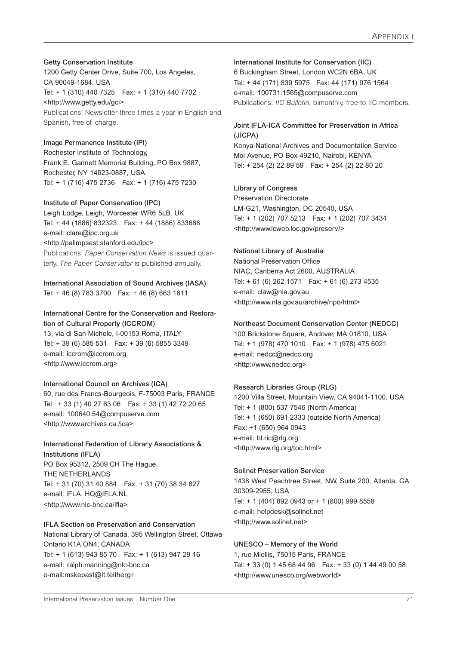#### **Getty Conservation Institute**

1200 Getty Center Drive, Suite 700, Los Angeles, CA 90049-1684, USA Tel: + 1 (310) 440 7325 Fax: + 1 (310) 440 7702 <http://www.getty.edu/gci> Publications: Newsletter three times a year in English and Spanish, free of charge.

#### **Image Permanence Institute (IPI)**

Rochester Institute of Technology, Frank E. Gannett Memorial Building, PO Box 9887, Rochester, NY 14623-0887, USA Tel: + 1 (716) 475 2736 Fax: + 1 (716) 475 7230

#### **Institute of Paper Conservation (IPC)**

Leigh Lodge, Leigh, Worcester WR6 5LB, UK Tel: + 44 (1886) 832323 Fax: + 44 (1886) 833688 e-mail: clare@ipc.org.uk <http://palimpsest.stanford.edu/ipc> Publications: *Paper Conservation News* is issued quarterly. *The Paper Conservator* is published annually.

#### **International Association of Sound Archives (IASA)** Tel: + 46 (8) 783 3700 Fax: + 46 (8) 663 1811

#### **International Centre for the Conservation and Restoration of Cultural Property (ICCROM)**

13, via di San Michele, I-00153 Roma, ITALY Tel: + 39 (6) 585 531 Fax: + 39 (6) 5855 3349 e-mail: iccrom@iccrom.org <http://www.iccrom.org>

#### **International Council on Archives (ICA)**

60, rue des Francs-Bourgeois, F-75003 Paris, FRANCE Tel : + 33 (1) 40 27 63 06 Fax: + 33 (1) 42 72 20 65 e-mail: 100640.54@compuserve.com <http://www.archives.ca./ica>

# **International Federation of Library Associations &**

**Institutions (IFLA)** PO Box 95312, 2509 CH The Hague, THE NETHERLANDS Tel: + 31 (70) 31 40 884 Fax: + 31 (70) 38 34 827 e-mail: IFLA. HQ@IFLA.NL <http://www.nlc-bnc.ca/ifla>

#### **IFLA Section on Preservation and Conservation**

National Library of Canada, 395 Wellington Street, Ottawa Ontario K1A ON4, CANADA Tel: + 1 (613) 943 85 70 Fax: + 1 (613) 947 29 16 e-mail: ralph.manning@nlc-bnc.ca e-mail:mskepast@it.teither.gr

#### **International Institute for Conservation (IIC)** 6 Buckingham Street, London WC2N 6BA, UK Tel: + 44 (171) 839 5975 Fax: 44 (171) 976 1564 e-mail: 100731.1565@compuserve.com Publications: *IIC Bulletin*, bimonthly, free to IIC members.

#### **Joint IFLA-ICA Committee for Preservation in Africa (JICPA)**

Kenya National Archives and Documentation Service Moi Avenue, PO Box 49210, Nairobi, KENYA Tel: + 254 (2) 22 89 59 Fax: + 254 (2) 22 80 20

#### **Library of Congress**

Preservation Directorate LM-G21, Washington, DC 20540, USA Tel: + 1 (202) 707 5213 Fax: + 1 (202) 707 3434 <http://www.lcweb.loc.gov/preserv/>

#### **National Library of Australia**

National Preservation Office NIAC, Canberra Act 2600, AUSTRALIA Tel: + 61 (6) 262 1571 Fax: + 61 (6) 273 4535 e-mail: claw@nla.gov.au <http://www.nla.gov.au/archive/npo/html>

#### **Northeast Document Conservation Center (NEDCC)**

100 Brickstone Square, Andover, MA 01810, USA Tel: + 1 (978) 470 1010 Fax: + 1 (978) 475 6021 e-mail: nedcc@nedcc.org <http://www.nedcc.org>

#### **Research Libraries Group (RLG)**

1200 Villa Street, Mountain View, CA 94041-1100, USA Tel: + 1 (800) 537 7546 (North America) Tel: + 1 (650) 691 2333 (outside North America) Fax: +1 (650) 964 0943 e-mail: bl.ric@rlg.org <http://www.rlg.org/toc.html>

#### **Solinet Preservation Service**

1438 West Peachtree Street, NW, Suite 200, Atlanta, GA 30309-2955, USA Tel: + 1 (404) 892 0943 or + 1 (800) 999 8558 e-mail: helpdesk@solinet.net <http://www.solinet.net>

#### **UNESCO – Memory of the World**

1, rue Miollis, 75015 Paris, FRANCE Tel: + 33 (0) 1 45 68 44 96 Fax: + 33 (0) 1 44 49 00 58 <http://www.unesco.org/webworld>